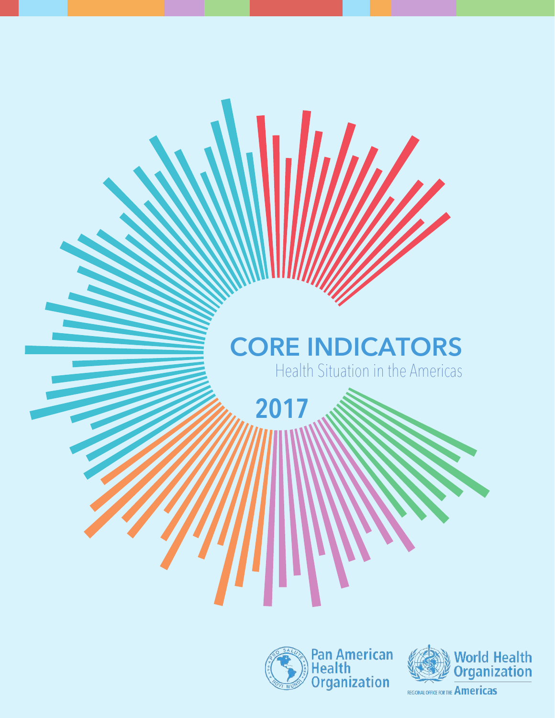# **CORE INDICATORS**

**2017**

Health Situation in the Americas





REGIONAL OFFICE FOR THE Americas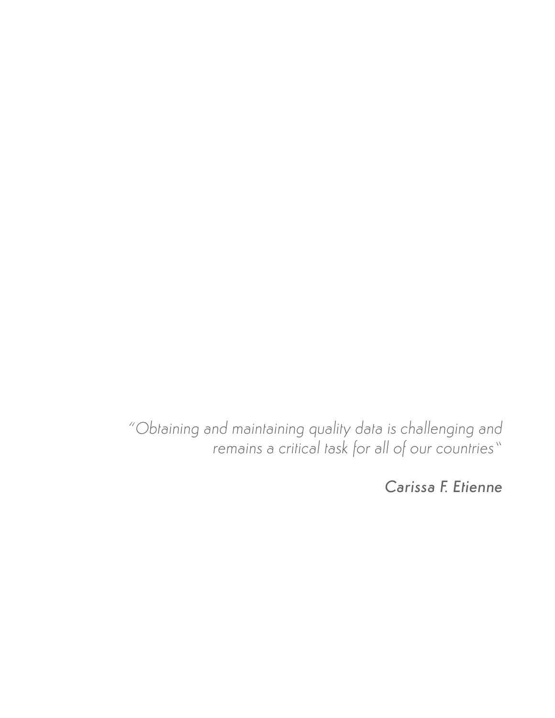*"Obtaining and maintaining quality data is challenging and remains a critical task for all of our countries"*

*Carissa F. Etienne*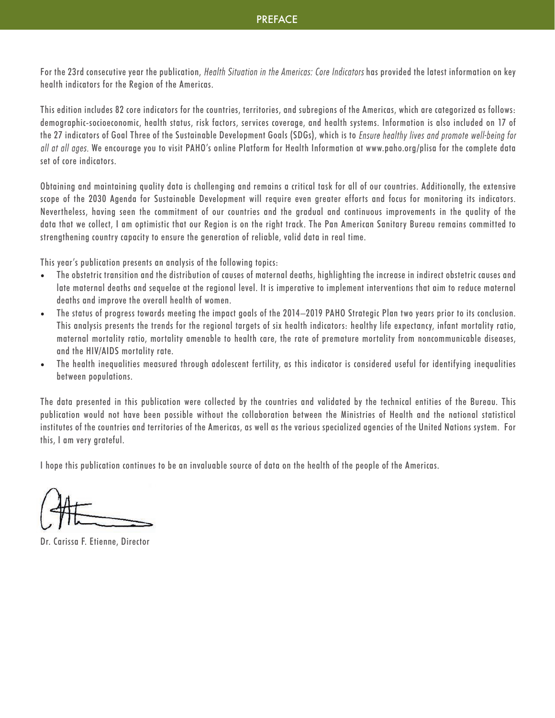For the 23rd consecutive vear the publication, *Health Situation in the Americas: Core Indicators* has provided the latest information on key health indicators for the Region of the Americas.

This edition includes 82 core indicators for the countries, territories, and subregions of the Americas, which are categorized as follows: demographic-socioeconomic, health status, risk factors, services coverage, and health systems. Information is also included on 17 of the 27 indicators of Goal Three of the Sustainable Development Goals (SDGs), which is to Ensure healthy lives and promote well-being for all at all ages. We encourage you to visit PAHO's online Platform for Health Information at www.paho.org/plisa for the complete data set of core indicators.

Obtaining and maintaining quality data is challenging and remains a critical task for all of our countries. Additionally, the extensive scope of the 2030 Agenda for Sustainable Development will require even greater efforts and focus for monitoring its indicators. Nevertheless, having seen the commitment of our countries and the gradual and continuous improvements in the quality of the data that we collect, I am optimistic that our Region is on the right track. The Pan American Sanitary Bureau remains committed to strengthening country capacity to ensure the generation of reliable, valid data in real time.

This year's publication presents an analysis of the following topics:

- The obstetric transition and the distribution of causes of maternal deaths, highlighting the increase in indirect obstetric causes and late maternal deaths and sequelae at the regional level. It is imperative to implement interventions that aim to reduce maternal deaths and improve the overall health of women.
- The status of progress towards meeting the impact goals of the 2014–2019 PAHO Strategic Plan two years prior to its conclusion. This analysis presents the trends for the regional targets of six health indicators: healthy life expectancy, infant mortality ratio, maternal mortality ratio, mortality amenable to health care, the rate of premature mortality from noncommunicable diseases, and the HIV/AIDS mortality rate.
- The health inequalities measured through adolescent fertility, as this indicator is considered useful for identifying inequalities between populations.

The data presented in this publication were collected by the countries and validated by the technical entities of the Bureau. This publication would not have been possible without the collaboration between the Ministries of Health and the national statistical institutes of the countries and territories of the Americas, as well as the various specialized agencies of the United Nations system. For this, I am very grateful.

I hope this publication continues to be an invaluable source of data on the health of the people of the Americas.

Dr. Carissa F. Etienne, Director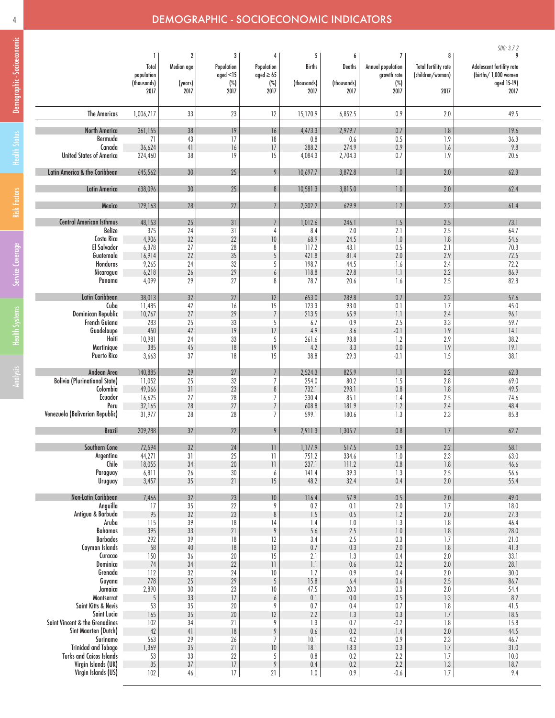## 4 DEMOGRAPHIC - SOCIOECONOMIC INDICATORS

|                                      |                                                 |                                    |                                                |                                                     |                                    |                                    |                                                                      |                                                              | SDG: 3.7.2                                                                   |
|--------------------------------------|-------------------------------------------------|------------------------------------|------------------------------------------------|-----------------------------------------------------|------------------------------------|------------------------------------|----------------------------------------------------------------------|--------------------------------------------------------------|------------------------------------------------------------------------------|
|                                      | 1<br>Total<br>population<br>(thousands)<br>2017 | 2<br>Median age<br>(years)<br>2017 | 3<br>Population<br>qged < 15<br>$(\%)$<br>2017 | 4<br>Population<br>aged $\geq 65$<br>$(\%)$<br>2017 | 5<br>Births<br>(thousands)<br>2017 | 6<br>Deaths<br>(thousands)<br>2017 | $\overline{I}$<br>Annual population<br>growth rate<br>$(\%)$<br>2017 | 8<br><b>Total fertility rate</b><br>(children/woman)<br>2017 | 9<br>Adolescent fertility rate<br>(births/1,000 women<br>aged 15-19)<br>2017 |
| <b>The Americas</b>                  | 1,006,717                                       | 33                                 | 23                                             | 12                                                  | 15,170.9                           | 6,852.5                            | 0.9                                                                  | 2.0                                                          | 49.5                                                                         |
|                                      |                                                 | 38                                 |                                                |                                                     | 4,473.3                            | 2,979.7                            | 0.7                                                                  | 1.8                                                          |                                                                              |
| North America<br>Bermuda             | 361,155<br>71                                   | 43                                 | 19<br>17                                       | 16<br>18                                            | 0.8                                | 0.6                                | 0.5                                                                  | 1.9                                                          | 19.6<br>36.3                                                                 |
| Canada                               | 36,624                                          | 41                                 | 16                                             | $\sqrt{ }$                                          | 388.2                              | 274.9                              | 0.9                                                                  | 1.6                                                          | 9.8                                                                          |
| <b>United States of America</b>      | 324,460                                         | 38                                 | 19                                             | 15                                                  | 4,084.3                            | 2,704.3                            | 0.7                                                                  | 1.9                                                          | 20.6                                                                         |
| Latin America & the Caribbean        | 645,562                                         | 30                                 | 25                                             | 9                                                   | 10,697.7                           | 3,872.8                            | $1.0\,$                                                              | 2.0                                                          | 62.3                                                                         |
| <b>Latin America</b>                 | 638,096                                         | 30                                 | 25                                             | 8                                                   | 10,581.3                           | 3,815.0                            | 1.0                                                                  | 2.0                                                          | 62.4                                                                         |
| Mexico                               | 129,163                                         | 28                                 | 27                                             |                                                     | 2,302.2                            | 629.9                              | 1.2                                                                  | 2.2                                                          | 61.4                                                                         |
| <b>Central American Isthmus</b>      | 48,153                                          | 25                                 | 31                                             |                                                     | 1,012.6                            | 246.1                              | $1.5\,$                                                              | 2.5                                                          | 73.1                                                                         |
| Belize                               | 375                                             | 24                                 | 31                                             | 4                                                   | 8.4                                | 2.0                                | 2.1                                                                  | 2.5                                                          | 64.7                                                                         |
| Costa Rica                           | 4,906                                           | 32                                 | 22                                             | 10                                                  | 68.9                               | 24.5                               | 1.0                                                                  | 1.8                                                          | 54.6                                                                         |
| El Salvador                          | 6,378                                           | 27                                 | 28                                             | 8                                                   | 117.2                              | 43.1                               | 0.5                                                                  | 2.1                                                          | 70.3                                                                         |
| Guatemala                            | 16,914                                          | 22                                 | 35                                             | 5                                                   | 421.8                              | 81.4                               | 2.0                                                                  | 2.9                                                          | 72.5                                                                         |
| Honduras                             | 9,265                                           | 24                                 | 32                                             | 5                                                   | 198.7                              | 44.5                               | 1.6                                                                  | 2.4                                                          | 72.2<br>86.9                                                                 |
| Nicaragua<br>Panama                  | 6,218<br>4,099                                  | 26<br>29                           | 29<br>27                                       | 6<br>8                                              | 118.8<br>78.7                      | 29.8<br>20.6                       | 1.1<br>1.6                                                           | 2.2<br>2.5                                                   | 82.8                                                                         |
|                                      |                                                 |                                    |                                                |                                                     |                                    |                                    |                                                                      |                                                              |                                                                              |
| Latin Caribbean                      | 38,013                                          | 32                                 | 27                                             | 12                                                  | 653.0                              | 289.8                              | 0.7                                                                  | $2.2\,$                                                      | 57.6                                                                         |
| Cuba                                 | 11,485                                          | 42                                 | 16                                             | 15                                                  | 123.3                              | 93.0                               | 0.1                                                                  | 1.7                                                          | 45.0                                                                         |
| Dominican Republic                   | 10,767                                          | 27                                 | 29                                             | $\overline{7}$                                      | 213.5                              | 65.9                               | 1.1                                                                  | 2.4                                                          | 96.1                                                                         |
| French Guiana<br>Guadeloupe          | 283                                             | 25                                 | 33                                             | 5                                                   | 6.7                                | 0.9                                | 2.5                                                                  | 3.3                                                          | 59.7                                                                         |
| Haiti                                | 450<br>10,981                                   | 42<br>24                           | 19<br>33                                       | $\sqrt{ }$<br>5                                     | 4.9<br>261.6                       | 3.6<br>93.8                        | $-0.1\,$<br>1.2                                                      | 1.9<br>2.9                                                   | 14.1<br>38.2                                                                 |
| Martinique                           | 385                                             | 45                                 | 18                                             | 19                                                  | 4.2                                | 3.3                                | 0.0                                                                  | 1.9                                                          | 19.1                                                                         |
| <b>Puerto Rico</b>                   | 3,663                                           | 37                                 | 18                                             | 15                                                  | 38.8                               | 29.3                               | $-0.1$                                                               | 1.5                                                          | 38.1                                                                         |
| Andean Area                          | 140,885                                         | 29                                 | 27                                             | $\overline{7}$                                      | 2,524.3                            | 825.9                              | 1.1                                                                  | 2.2                                                          | 62.3                                                                         |
| <b>Bolivia (Plurinational State)</b> | 11,052                                          | 25                                 | 32                                             | $\overline{1}$                                      | 254.0                              | 80.2                               | 1.5                                                                  | 2.8                                                          | 69.0                                                                         |
| Colombia                             | 49,066                                          | $31\,$                             | 23                                             | 8                                                   | 732.1                              | 298.1                              | 0.8                                                                  | 1.8                                                          | 49.5                                                                         |
| Ecuador                              | 16,625                                          | 27                                 | 28                                             | 7                                                   | 330.4                              | 85.1                               | 1.4                                                                  | 2.5                                                          | 74.6                                                                         |
| Peru                                 | 32,165                                          | $28$                               | $27\,$                                         | $\overline{1}$                                      | 608.8                              | 181.9                              | 1.2                                                                  | 2.4                                                          | 48.4                                                                         |
| Venezuela (Bolivarian Republic)      | 31,977                                          | 28                                 | 28                                             | $\overline{7}$                                      | 599.1                              | 180.6                              | 1.3                                                                  | 2.3                                                          | 85.8                                                                         |
| <b>Brazil</b>                        | 209,288                                         | 32                                 | 22                                             | 9                                                   | 2,911.3                            | 1,305.7                            | 0.8                                                                  | 1.7                                                          | 62.7                                                                         |
| Southern Cone                        | 72,594                                          | 32                                 | 24                                             | $\left  {}\right $                                  | 1,177.9                            | 517.5                              | 0.9                                                                  | 2.2                                                          | 58.1                                                                         |
| Argentina                            | 44,271                                          | 31                                 | 25                                             | $\overline{11}$                                     | 751.2                              | 334.6                              | $1.0\,$                                                              | 2.3                                                          | 63.0                                                                         |
| Chile                                | 18,055                                          | 34                                 | $20\,$                                         | $\overline{11}$                                     | 237.1                              | 111.2                              | $0.8\,$                                                              | $1.8\,$                                                      | 46.6                                                                         |
| Paraguay<br>Uruguay                  | 6,811<br>3,457                                  | 26<br>35                           | 30<br>21                                       | 6<br>15                                             | 141.4<br>48.2                      | 39.3<br>32.4                       | 1.3<br>0.4                                                           | 2.5<br>2.0                                                   | 56.6<br>55.4                                                                 |
|                                      |                                                 |                                    |                                                |                                                     |                                    |                                    |                                                                      |                                                              |                                                                              |
| Non-Latin Caribbean                  | 7,466                                           | 32                                 | 23                                             | $10\,$                                              | 116.4                              | 57.9                               | 0.5                                                                  | $2.0\,$                                                      | 49.0                                                                         |
| Anguilla                             | 17                                              | 35                                 | $22\,$                                         | 9                                                   | 0.2                                | 0.1                                | $2.0\,$                                                              | 1.7                                                          | 18.0                                                                         |
| Antigua & Barbuda<br>Aruba           | 95<br>115                                       | 32<br>39                           | 23<br>18                                       | $\, 8$<br>$\frac{1}{4}$                             | 1.5<br>1.4                         | $0.5\,$<br>1.0                     | $1.2\,$<br>1.3                                                       | $2.0\,$<br>1.8                                               | 27.3<br>46.4                                                                 |
| <b>Bahamas</b>                       | 395                                             | 33                                 | $21\,$                                         | $\overline{9}$                                      | 5.6                                | 2.5                                | $1.0\,$                                                              | $1.8$                                                        | 28.0                                                                         |
| <b>Barbados</b>                      | 292                                             | 39                                 | 18                                             | 12                                                  | 3.4                                | 2.5                                | 0.3                                                                  | 1.7                                                          | 21.0                                                                         |
| Cayman Islands                       | 58                                              | $40\,$                             | $18\,$                                         | 13                                                  | 0.7                                | 0.3                                | 2.0                                                                  | 1.8                                                          | 41.3                                                                         |
| Curacao                              | 150                                             | 36                                 | 20                                             | 15                                                  | 2.1                                | 1.3                                | 0.4                                                                  | 2.0                                                          | 33.1                                                                         |
| Dominica                             | 74                                              | 34                                 | 22                                             | $\left  {}\right $                                  | $\left\lceil . \right\rceil$       | 0.6                                | 0.2                                                                  | $2.0\,$                                                      | 28.1                                                                         |
| Grenada<br>Guyana                    | 112<br>778                                      | 32<br>25                           | 24<br>29                                       | 10<br>$\overline{5}$                                | 1.7<br>15.8                        | 0.9<br>6.4                         | 0.4<br>0.6                                                           | $2.0\,$<br>$2.5\,$                                           | 30.0<br>86.7                                                                 |
| Jamaica                              | 2,890                                           | 30                                 | 23                                             | 10                                                  | 47.5                               | 20.3                               | 0.3                                                                  | 2.0                                                          | 54.4                                                                         |
| Montserrat                           | 5                                               | 33                                 | 17                                             | 6                                                   | 0.1                                | $0.0\,$                            | 0.5                                                                  | 1.3                                                          | 8.2                                                                          |
| Saint Kitts & Nevis                  | 53                                              | 35                                 | 20                                             | 9                                                   | 0.7                                | 0.4                                | 0.7                                                                  | 1.8                                                          | 41.5                                                                         |
| Saint Lucia                          | 165                                             | 35                                 | 20                                             | 12                                                  | 2.2                                | 1.3                                | 0.3                                                                  | 1.7                                                          | 18.5                                                                         |
| Saint Vincent & the Grenadines       | 102                                             | 34                                 | 21                                             | 9                                                   | 1.3                                | 0.7                                | $-0.2$                                                               | 1.8                                                          | 15.8                                                                         |
| Sint Maarten (Dutch)<br>Suriname     | 42<br>563                                       | 41<br>29                           | 18<br>26                                       | $\overline{9}$<br>$\overline{1}$                    | 0.6<br>10.1                        | 0.2<br>4.2                         | 1.4<br>0.9                                                           | $2.0\,$<br>2.3                                               | 44.5<br>46.7                                                                 |
| <b>Trinidad and Tobago</b>           | 1,369                                           | 35                                 | 21                                             | $10\,$                                              | 18.1                               | 13.3                               | $0.3\,$                                                              | 1.7                                                          | 31.0                                                                         |
| <b>Turks and Caicos Islands</b>      | 53                                              | 33                                 | 22                                             | 5                                                   | 0.8                                | 0.2                                | 2.2                                                                  | 1.7                                                          | 10.0                                                                         |
| Virgin Islands (UK)                  | 35                                              | $37\,$                             | $17\,$                                         | $\,9$                                               | 0.4                                | 0.2                                | 2.2                                                                  | $1.3\,$                                                      | 18.7                                                                         |
| Virgin Islands (US)                  | 102                                             | 46                                 | 17                                             | 21                                                  | 1.0                                | $0.9\,$                            | $-0.6$                                                               | $1.7\,$                                                      | 9.4                                                                          |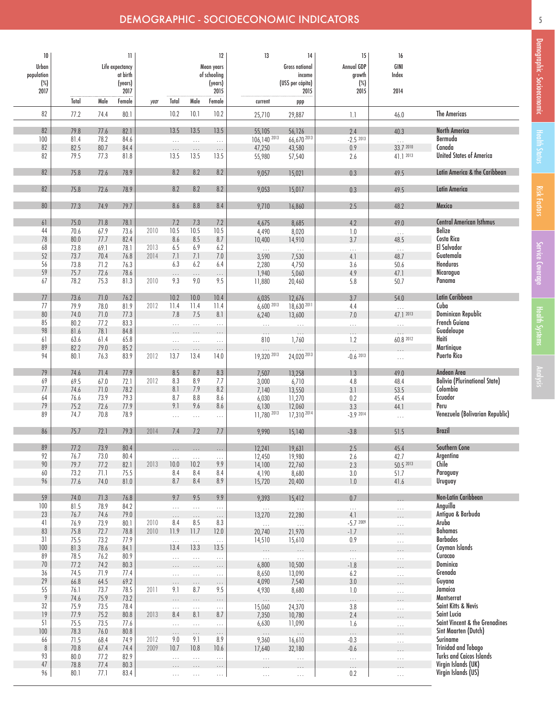### DEMOGRAPHIC - SOCIOECONOMIC INDICATORS

| 10<br>Urban<br>population<br>$(\%)$<br>2017 |              |              | H<br>Life expectancy<br>at birth<br>(years)<br>2017 |              |                      |                           | 12<br>Mean years<br>of schooling<br>(years)<br>2015 | 13                          | 14<br><b>Gross national</b><br>income<br>(USS per cápita)<br>2015 | 15<br>Annual GDP<br>growth<br>$(\%)$<br>2015 | 16<br>GINI<br>Index<br>2014 |                                                               |
|---------------------------------------------|--------------|--------------|-----------------------------------------------------|--------------|----------------------|---------------------------|-----------------------------------------------------|-----------------------------|-------------------------------------------------------------------|----------------------------------------------|-----------------------------|---------------------------------------------------------------|
|                                             | Total        | Male         | Female                                              | year         | Total                | Male                      | Female                                              | current                     | ppp                                                               |                                              |                             |                                                               |
| 82                                          | 77.2         | 74.4         | 80.1                                                |              | 10.2                 | 10.1                      | 10.2                                                | 25,710                      | 29,887                                                            | 1.1                                          | 46.0                        | <b>The Americas</b>                                           |
| 82<br>100                                   | 79.8<br>81.4 | 77.6<br>78.2 | 82.1<br>84.6                                        |              | 13.5<br>$\ldots$     | 13.5<br>$\cdots$          | 13.5<br>$\ldots$                                    | 55,105<br>106,140 2013      | 56,126<br>66,670 2013                                             | 2.4<br>$-2.52013$                            | 40.3<br>$\cdots$            | North America<br>Bermuda                                      |
| 82                                          | 82.5         | 80.7         | 84.4                                                |              | $\cdots$             | $\ldots$                  | $\ldots$                                            | 47,250                      | 43,580                                                            | 0.9                                          | 33.7 2010                   | Canada                                                        |
| 82                                          | 79.5         | 77.3         | 81.8                                                |              | 13.5                 | 13.5                      | 13.5                                                | 55,980                      | 57,540                                                            | 2.6                                          | 41.1 2013                   | <b>United States of America</b>                               |
| 82                                          | 75.8         | 72.6         | 78.9                                                |              | 8.2                  | 8.2                       | 8.2                                                 | 9,057                       | 15,021                                                            | 0.3                                          | 49.5                        | Latin America & the Caribbean                                 |
| 82                                          | 75.8         | 72.6         | 78.9                                                |              | 8.2                  | 8.2                       | 8.2                                                 | 9,053                       | 15,017                                                            | 0.3                                          | 49.5                        | <b>Latin America</b>                                          |
| 80                                          | 77.3         | 74.9         | 79.7                                                |              | 8.6                  | 8.8                       | 8.4                                                 | 9,710                       | 16,860                                                            | 2.5                                          | 48.2                        | Mexico                                                        |
| 61                                          | 75.0         | 71.8         | 78.1                                                |              | 7.2                  | 7.3                       | 7.2                                                 | 4,675                       | 8,685                                                             | 4.2                                          | 49.0                        | <b>Central American Isthmus</b>                               |
| 44                                          | 70.6         | 67.9         | 73.6                                                | 2010         | 10.5                 | 10.5                      | 10.5                                                | 4,490                       | 8,020                                                             | 1.0                                          | $\ldots$                    | <b>Belize</b>                                                 |
| 78                                          | 80.0         | 77.7         | 82.4                                                |              | 8.6                  | 8.5                       | 8.7                                                 | 10,400                      | 14,910                                                            | 3.7                                          | 48.5                        | Costa Rica                                                    |
| 68<br>52                                    | 73.8<br>73.7 | 69.1<br>70.4 | 78.1<br>76.8                                        | 2013<br>2014 | 6.5<br>7.1           | 6.9<br>7.1                | 6.2<br>$7.0$                                        | $\ldots$<br>3,590           | $\sim$ .                                                          | $\cdots$<br>4.1                              | $\ldots$<br>48.7            | El Salvador<br>Guatemala                                      |
| 56                                          | 73.8         | 71.2         | 76.3                                                |              | 6.3                  | 6.2                       | 6.4                                                 | 2,280                       | 7,530<br>4,750                                                    | 3.6                                          | 50.6                        | Honduras                                                      |
| 59                                          | 75.7         | 72.6         | 78.6                                                |              | $\cdots$             | $\ldots$                  | $\cdots$                                            | 1,940                       | 5,060                                                             | 4.9                                          | 47.1                        | Nicaragua                                                     |
| 67                                          | 78.2         | 75.3         | 81.3                                                | 2010         | 9.3                  | 9.0                       | 9.5                                                 | 11,880                      | 20,460                                                            | 5.8                                          | 50.7                        | Panama                                                        |
|                                             |              |              |                                                     |              |                      |                           |                                                     |                             |                                                                   |                                              |                             |                                                               |
| 77<br>77                                    | 73.6<br>79.9 | 71.0<br>78.0 | 76.2<br>81.9                                        | 2012         | 10.2<br>11.4         | 10.0<br>11.4              | 10.4<br>11.4                                        | 6,035<br>6,600 2013         | 12,676<br>18,630 2011                                             | 3.7                                          | 54.0                        | Latin Caribbean<br>Cuba                                       |
| 80                                          | 74.0         | 71.0         | 77.3                                                |              | 7.8                  | 7.5                       | 8.1                                                 | 6,240                       | 13,600                                                            | 4.4<br>7.0                                   | $\cdots$<br>47.1 2013       | Dominican Republic                                            |
| 85                                          | 80.2         | 77.2         | 83.3                                                |              | $\ldots$             | $\cdots$                  | $\ldots$                                            | $\bar{\mathcal{L}}$ .       | $\ldots$                                                          | $\ldots$                                     |                             | French Guiana                                                 |
| 98                                          | 81.6         | 78.1         | 84.8                                                |              |                      |                           | $\ldots$                                            | $\cdots$                    |                                                                   |                                              |                             | Guadeloupe                                                    |
| 61                                          | 63.6         | 61.4         | 65.8                                                |              | $\cdots$             | $\cdots$                  | $\ldots$                                            | 810                         | 1,760                                                             | 1.2                                          | 60.8 2012                   | Haiti                                                         |
| 89<br>94                                    | 82.2<br>80.1 | 79.0<br>76.3 | 85.2<br>83.9                                        | 2012         | $\ldots$<br>13.7     | $\cdots$<br>13.4          | $\ldots$<br>14.0                                    | $\cdots$<br>19,320 2013     | 24,020 2013                                                       | $-0.62013$                                   |                             | Martinique<br><b>Puerto Rico</b>                              |
|                                             |              |              |                                                     |              |                      |                           |                                                     |                             |                                                                   |                                              | $\ldots$                    |                                                               |
| 79                                          | 74.6         | 71.4         | 77.9                                                |              | 8.5                  | 8.7                       | 8.3                                                 | 7,507                       | 13,258                                                            | 1.3                                          | 49.0                        | Andean Area                                                   |
| 69                                          | 69.5         | 67.0         | 72.1                                                | 2012         | 8.3                  | 8.9                       | 7.7                                                 | 3,000                       | 6,710                                                             | 4.8                                          | 48.4                        | <b>Bolivia (Plurinational State)</b>                          |
| 77                                          | 74.6<br>76.6 | 71.0<br>73.9 | 78.2<br>79.3                                        |              | 8.1<br>8.7           | 7.9<br>8.8                | 8.2<br>8.6                                          | 7,140<br>6,030              | 13,550                                                            | 3.1<br>0.2                                   | 53.5<br>45.4                | Colombia<br>Ecuador                                           |
| 64<br>79                                    | 75.2         | 72.6         | 77.9                                                |              | 9.1                  | 9.6                       | 8.6                                                 | 6,130                       | 11,270<br>12,060                                                  | 3.3                                          | 44.1                        | Peru                                                          |
| 89                                          | 74.7         | 70.8         | 78.9                                                |              | .                    | $\ldots$                  | $\ldots$                                            | 11.780 2013                 | 17,310 2014                                                       | $-3.92014$                                   | $\cdots$                    | Venezuela (Bolivarian Republic)                               |
| 86                                          | 75.7         | 72.1         | 79.3                                                | 2014         | 7.4                  | 7.2                       | 7.7                                                 | 9,990                       | 15,140                                                            | $-3.8$                                       | 51.5                        | <b>Brazil</b>                                                 |
|                                             |              |              |                                                     |              |                      |                           |                                                     |                             |                                                                   |                                              |                             |                                                               |
| 89<br>92                                    | 77.2<br>76.7 | 73.9<br>73.0 | 80.4<br>80.4                                        |              |                      |                           |                                                     | 12,241<br>12,450            | 19,631<br>19,980                                                  | 2.5<br>2.6                                   | 45.4<br>42.7                | Southern Cone<br>Argentina                                    |
| $90\,$                                      | 79.7         | 77.2         | 82.1                                                | 2013         | $\ldots$<br>10.0     | $\ldots$<br>10.2          | $\cdots$<br>9.9                                     | 14,100                      | 22,760                                                            | 2.3                                          | 50.5 2013                   | Chile                                                         |
| $60\,$                                      | 73.2         | 71.1         | 75.5                                                |              | 8.4                  | 8.4                       | 8.4                                                 | 4,190                       | 8,680                                                             | $3.0\,$                                      | 51.7                        | Paraguay                                                      |
| 96                                          | 77.6         | 74.0         | 81.0                                                |              | 8.7                  | 8.4                       | $8.9$                                               | 15,720                      | 20,400                                                            | $1.0\,$                                      | 41.6                        | <b>Uruguay</b>                                                |
| 59                                          | 74.0         | 71.3         | 76.8                                                |              | 9.7                  | 9.5                       | 9.9                                                 | 9,393                       | 15,412                                                            | 0.7                                          |                             | Non-Latin Caribbean                                           |
| 100                                         | 81.5         | 78.9         | 84.2                                                |              | $\ldots$             | $\ldots$                  | $\ldots$                                            | $\bar{\tau}$ , $\bar{\tau}$ | $\ldots$                                                          | $\bar{\mathbb{Z}}$ .                         | $\ldots$                    | Anguilla                                                      |
| 23<br>41                                    | 76.7<br>76.9 | 74.6<br>73.9 | 79.0<br>80.1                                        | 2010         | $\ldots$<br>8.4      | $\dots$<br>8.5            | $\ldots$<br>8.3                                     | 13,270                      | 22,280                                                            | 4.1<br>$-5.72009$                            | $\cdots$                    | Antigua & Barbuda<br>Aruba                                    |
| 83                                          | 75.8         | 72.7         | 78.8                                                | 2010         | 11.9                 | 11.7                      | 12.0                                                | $\ldots$<br>20,740          | $\ldots$<br>21,970                                                | $-1.7$                                       | $\cdots$                    | <b>Bahamas</b>                                                |
| 31                                          | 75.5         | 73.2         | 77.9                                                |              | $\ldots$             | $\bar{\nu}$ , $\bar{\nu}$ | $\bar{\mathcal{L}}$ .                               | 14,510                      | 15,610                                                            | 0.9                                          | .                           | <b>Barbados</b>                                               |
| 100                                         | 81.3         | 78.6         | 84.1                                                |              | 13.4                 | 13.3                      | 13.5                                                |                             |                                                                   | $\cdots$                                     | .                           | Cayman Islands                                                |
| 89<br>$70\,$                                | 78.5<br>77.2 | 76.2<br>74.2 | 80.9<br>80.3                                        |              | $\dots$              | $\ldots$                  | $\ldots$                                            | $\ldots$                    | $\ldots$                                                          | $\ldots$                                     | .                           | Curacao<br>Dominica                                           |
| 36                                          | 74.5         | 71.9         | 77.4                                                |              | $\cdots$<br>$\ldots$ | .<br>$\ldots$             | $\ldots$<br>$\ldots$                                | 6,800<br>8,650              | 10,500<br>13,090                                                  | $-1.8$<br>6.2                                |                             | Grenada                                                       |
| $29$                                        | 66.8         | 64.5         | 69.2                                                |              | $\cdots$             | $\ldots$                  | $\ldots$                                            | 4,090                       | 7,540                                                             | 3.0                                          | .<br>$\cdots$               | Guyana                                                        |
| 55                                          | 76.1         | 73.7         | 78.5                                                | 2011         | 9.1                  | 8.7                       | 9.5                                                 | 4,930                       | 8,680                                                             | $1.0\,$                                      | .                           | Jamaica                                                       |
| $\overline{9}$                              | 74.6         | 75.9         | 73.2                                                |              | $\ldots$             | .                         | $\ldots$                                            | $\ldots$                    | $\ldots$                                                          | $\cdots$                                     |                             | Montserrat                                                    |
| 32<br>19                                    | 75.9<br>77.9 | 73.5<br>75.2 | 78.4<br>80.8                                        | 2013         | $\dots$<br>8.4       | $\ldots$<br>8.1           | $\ldots$<br>8.7                                     | 15,060<br>7,350             | 24,370<br>10,780                                                  | 3.8<br>2.4                                   | $\cdots$                    | Saint Kitts & Nevis<br>Saint Lucia                            |
| 51                                          | 75.5         | 73.5         | 77.6                                                |              | $\dots$              | $\ldots$                  | $\ldots$                                            | 6,630                       | 11,090                                                            | 1.6                                          | $\cdots$<br>$\ldots$        | Saint Vincent & the Grenadines                                |
| 100                                         | 78.3         | 76.0         | 80.8                                                |              | $\ldots$             | .                         | $\ldots$                                            | $\ldots$                    | $\ldots$                                                          | $\cdots$                                     | $\cdots$                    | Sint Maarten (Dutch)                                          |
| 66                                          | 71.5         | 68.4         | 74.9                                                | 2012         | 9.0                  | 9.1                       | 8.9                                                 | 9,360                       | 16,610                                                            | $-0.3$                                       | .                           | Suriname                                                      |
| $\, 8$                                      | 70.8         | 67.4         | 74.4                                                | 2009         | 10.7                 | 10.8                      | 10.6                                                | 17,640                      | 32,180                                                            | $-0.6$                                       | $\cdots$                    | <b>Trinidad and Tobago</b><br><b>Turks and Caicos Islands</b> |
| 93<br>$47\,$                                | 80.0<br>78.8 | 77.2<br>77.4 | 82.9<br>80.3                                        |              | $\ldots$             | $\ldots$                  | $\ldots$                                            | $\cdots$                    | .                                                                 | $\ldots$                                     | .                           | Virgin Islands (UK)                                           |
| 96                                          | 80.1         | 77.1         | 83.4                                                |              | $\cdots$<br>$\ldots$ | $\ldots$<br>$\ldots$      | $\cdots$<br>$\sim$ $\sim$                           | .<br>$\ldots$               | .                                                                 | $\cdots$<br>0.2                              | $\ldots$                    | Virgin Islands (US)                                           |
|                                             |              |              |                                                     |              |                      |                           |                                                     |                             |                                                                   |                                              |                             |                                                               |

5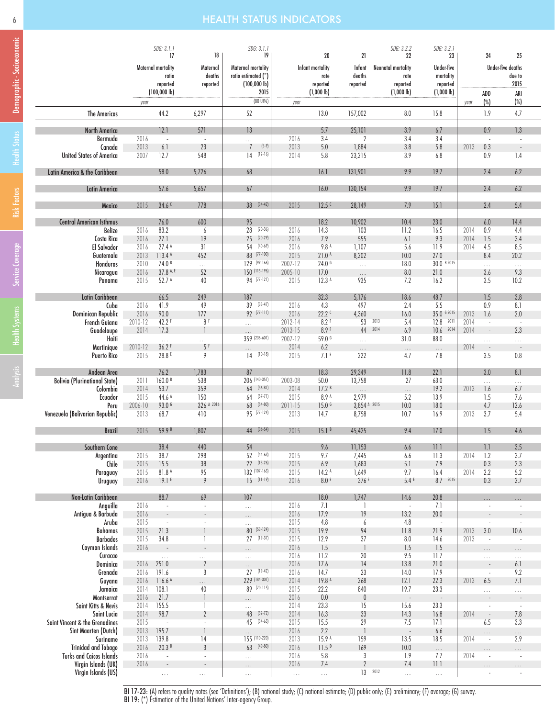### 6 HEALTH STATUS INDICATORS

|                                      |              | SDG: 3.1.1                       |                                | SDG: 3.1.1                     |                             |                   |                          | SDG: 3.2.2                       | SDG: 3.2.1               |      |                          |                          |  |
|--------------------------------------|--------------|----------------------------------|--------------------------------|--------------------------------|-----------------------------|-------------------|--------------------------|----------------------------------|--------------------------|------|--------------------------|--------------------------|--|
|                                      |              | 17                               | 18                             | 19                             |                             | 20                | 21                       | 22                               | 23                       |      | 24                       | 25                       |  |
|                                      |              | <b>Maternal mortality</b>        | Maternal                       | Maternal mortality             |                             | Infant mortality  | Infant                   | <b>Neonatal mortality</b>        | Under-five               |      |                          | <b>Under-five deaths</b> |  |
|                                      |              | ratio                            | deaths                         | ratio estimated (*)            |                             | rate              | deaths                   | rate                             | mortality                |      |                          | due to                   |  |
|                                      |              | reported                         | reported                       | $(100,000 \, lb)$              |                             | reported          | reported                 | reported                         | reported                 |      |                          | 2015                     |  |
|                                      |              | $(100,000 \, lb)$                |                                | 2015                           |                             | $(1,000 \, lb)$   |                          | $(1,000 \, lb)$                  | $(1,000 \, lb)$          |      | ADD                      | ARI                      |  |
|                                      | year         |                                  |                                | (80 UI%)                       | year                        |                   |                          |                                  |                          | year | $(\%)$                   | $(\%)$                   |  |
| <b>The Americas</b>                  |              | 44.2                             | 6,297                          | 52                             |                             | 13.0              | 157,002                  | 8.0                              | 15.8                     |      | 1.9                      | 4.7                      |  |
|                                      |              |                                  |                                |                                |                             |                   |                          |                                  |                          |      |                          |                          |  |
| <b>North America</b>                 |              | 12.1                             | 571                            | 13                             |                             | 5.7               | 25,101                   | 3.9                              | 6.7                      |      | 0.9                      | 1.3                      |  |
| Bermuda                              | 2016         | $\sim$                           | $\sim$                         | $\ldots$                       | 2016                        | 3.4               | $\overline{2}$           | 3.4                              | 3.4                      |      | $\overline{\phantom{a}}$ |                          |  |
| Canada                               | 2013         | 6.1                              | 23                             | $(5-9)$<br>$7\overline{ }$     | 2013                        | 5.0               | 1,884                    | 3.8                              | 5.8                      | 2013 | 0.3                      |                          |  |
| <b>United States of America</b>      | 2007         | 12.7                             | 548                            | $14$ $(12-16)$                 | 2014                        | 5.8               | 23,215                   | 3.9                              | 6.8                      |      | 0.9                      | 1.4                      |  |
|                                      |              |                                  |                                |                                |                             |                   |                          |                                  |                          |      |                          |                          |  |
| Latin America & the Caribbean        |              | 58.0                             | 5,726                          | 68                             |                             | 16.1              | 131,901                  | 9.9                              | 19.7                     |      | 2.4                      | 6.2                      |  |
|                                      |              |                                  |                                |                                |                             |                   |                          |                                  |                          |      |                          |                          |  |
| <b>Latin America</b>                 |              | 57.6                             | 5,657                          | 67                             |                             | 16.0              | 130,154                  | 9.9                              | 19.7                     |      | 2.4                      | 6.2                      |  |
| Mexico                               | 2015         | 34.6 <sup>c</sup>                | 778                            | 38 (34-42)                     | 2015                        | 12.5 <sup>C</sup> | 28,149                   | 7.9                              | 15.1                     |      | 2.4                      | 5.4                      |  |
|                                      |              |                                  |                                |                                |                             |                   |                          |                                  |                          |      |                          |                          |  |
| <b>Central American Isthmus</b>      |              | 76.0                             | 600                            | 95                             |                             | 18.2              | 10,902                   | 10.4                             | 23.0                     |      | 6.0                      | 14.4                     |  |
| <b>Belize</b>                        | 2016         | 83.2                             | 6                              | $(20-36)$<br>28                | 2016                        | 14.3              | 103                      | 11.2                             | 16.5                     | 2014 | 0.9                      | 4.4                      |  |
| Costa Rica                           | 2016         | 27.1                             | 19                             | 25<br>$(20-29)$                | 2016                        | 7.9               | 555                      | 6.1                              | 9.3                      | 2014 | 1.5                      | 3.4                      |  |
| <b>El Salvador</b>                   | 2016         | 27.4A                            | 31                             | 54<br>$(40-69)$                | 2016                        | 9.8 A             | 1,107                    | 5.6                              | 11.9                     | 2014 | 4.5                      | 8.5                      |  |
| Guatemala                            | 2013         | 113.4 A                          | 452                            | 88 (77-100)                    | 2015                        | 21.0A             | 8,202                    | 10.0                             | 27.0                     |      | 8.4                      | 20.2                     |  |
| Honduras                             | 2010         | 74.0 <sup>B</sup>                | $\cdots$                       | 129 (99-166)                   | 2007-12                     | 24.0 <sup>6</sup> | $\bar{\mathcal{L}}$      | 18.0                             | 30.0 B 2015              |      | $\ldots$                 | $\ldots$                 |  |
| Nicaragua                            | 2016         | 37.8 A, E                        | 52                             | 150 (115-196)                  | 2005-10                     | 17.0              | $\ldots$                 | 8.0                              | 21.0                     |      | 3.6                      | 9.3                      |  |
| Panama                               | 2015         | 52.7 A                           | 40                             | 94 (77-121)                    | 2015                        | 12.3 <sup>A</sup> | 935                      | 7.2                              | 16.2                     |      | 3.5                      | 10.2                     |  |
|                                      |              |                                  |                                |                                |                             |                   |                          |                                  |                          |      |                          |                          |  |
| Latin Caribbean<br>Cuba              | 2016         | 66.5<br>41.9                     | 249<br>49                      | 187<br>$(33-47)$<br>39         | 2016                        | 32.3<br>4.3       | 5,176<br>497             | 18.6<br>2.4                      | 48.7<br>5.5              |      | 1.5<br>0.9               | 3.8<br>8.1               |  |
| Dominican Republic                   | 2016         | 90.0                             | 177                            | 92 (77-111)                    | 2016                        | 22.2C             | 4,360                    | 16.0                             | 35.0 6 2015              | 2013 | 1.6                      | 2.0                      |  |
| French Guiana                        | 2010-12      | 42.2F                            | 8 F                            | ùч                             | $2012 - 14$                 | 8.2 F             | 53                       | 2013<br>5.4                      | 12.8<br>2011             | 2014 | $\sim$                   | $\sim$                   |  |
| Guadeloupe                           | 2014         | 17.3                             | $\overline{\phantom{a}}$       | $\ldots$                       | 2013-15                     | 8.9F              | 44                       | 2014<br>6.9                      | 10.6<br>2014             | 2014 | $\sim$                   | 2.3                      |  |
| Haiti                                |              | $\ldots$                         | $\ldots$                       | 359 (236-601)                  | 2007-12                     | 59.0 6            | $\cdots$                 | 31.0                             | 88.0                     |      | $\ldots$                 | $\ldots$                 |  |
| Martinique                           | 2010-12      | 36.2F                            | 5F                             | .                              | 2014                        | 6.2               | $\ldots$                 | $\ldots$                         | $\ldots$                 | 2014 | $\overline{\phantom{a}}$ | $\sim$                   |  |
| <b>Puerto Rico</b>                   | 2015         | 28.8 E                           | 9                              | $14(10-18)$                    | 2015                        | 7.1 <sup>E</sup>  | 222                      | 4.7                              | 7.8                      |      | 3.5                      | 0.8                      |  |
|                                      |              |                                  |                                |                                |                             |                   |                          |                                  |                          |      |                          |                          |  |
| Andean Area                          |              | 76.2                             | 1,783                          | 87                             |                             | 18.3              | 29,349                   | 11.8                             | 22.1                     |      | 3.0                      | 8.1                      |  |
| <b>Bolivia (Plurinational State)</b> | 2011         | 160.0B                           | 538                            | 206 (140-351)                  | 2003-08                     | 50.0              | 13,758                   | 27                               | 63.0                     |      | $\ldots$                 | $\ldots$                 |  |
| Colombia                             | 2014         | 53.7                             | 359                            | $64$ (56-81)                   | 2014                        | 17.2B             | $\ldots$                 | $\cdots$                         | 19.2                     | 2013 | 1.6                      | 6.7                      |  |
| Ecuador                              | 2015         | 44.6 A                           | 150                            | $(57-71)$<br>64                | 2015                        | 8.9 A             | 2,979                    | 5.2                              | 13.9                     |      | 1.5                      | 7.6                      |  |
| Peru                                 | 2006-10      | 93.0 $G$                         | 326 A 2016<br>410              | $(54-80)$<br>68<br>95 (77-124) | 2011-15<br>2013             | 15.0 <sup>6</sup> | 3.854 A 2015<br>8,758    | 10.0                             | 18.0<br>16.9             |      | 4.7<br>3.7               | 12.6<br>5.4              |  |
| Venezuela (Bolivarian Republic)      | 2013         | 68.7                             |                                |                                |                             | 14.7              |                          | 10.7                             |                          | 2013 |                          |                          |  |
| <b>Brazil</b>                        | 2015         | 59.9 <sup>B</sup>                | 1,807                          | 44 (36-54)                     | 2015                        | 15.1 <sup>B</sup> | 45,425                   | 9.4                              | 17.0                     |      | 1.5                      | 4.6                      |  |
|                                      |              |                                  |                                |                                |                             |                   |                          |                                  |                          |      |                          |                          |  |
| Southern Cone                        |              | 38.4                             | 440                            | 54                             |                             | 9.6               | 11,153                   | 6.6                              | 11.1                     |      | 1.1                      | 3.5                      |  |
| Argentina                            | 2015         | 38.7                             | 298                            | $(44-63)$<br>52                | 2015                        | 9.7               | 7,445                    | 6.6                              | 11.3                     | 2014 | 1.2                      | 3.7                      |  |
| Chile                                | 2015         | 15.5                             | 38                             | 22 (18-26)                     | 2015                        | 6.9               | 1,683                    | 5.1                              | 7.9                      |      | 0.3                      | 2.3                      |  |
| Paraguay                             | 2015         | 81.8 A                           | 95                             | 132 (107-163)                  | 2015                        | 14.2 <sup>A</sup> | 1,649                    | 9.7                              | 16.4                     | 2014 | 2.2                      | 5.2                      |  |
| Uruguay                              | 2016         | 19.1 <sup>E</sup>                | 9                              | $15$ (11-19)                   | 2016                        | 8.0E              | 376E                     | 5.4E                             | 8.7 2015                 |      | 0.3                      | 2.7                      |  |
|                                      |              |                                  |                                |                                |                             |                   |                          |                                  |                          |      |                          |                          |  |
| Non-Latin Caribbean                  | 2016         | 88.7<br>$\overline{\phantom{a}}$ | 69<br>ä,                       | 107                            | 2016                        | 18.0<br>7.1       | 1,747<br>-1              | 14.6<br>$\overline{\phantom{a}}$ | 20.8<br>7.1              |      | .<br>$\sim$              | $\overline{\phantom{a}}$ |  |
| Anguilla<br>Antigua & Barbuda        | 2016         |                                  |                                | $\cdots$                       | 2016                        | 17.9              | 19                       | 13.2                             | 20.0                     |      |                          |                          |  |
| Aruba                                | 2015         | $\overline{\phantom{a}}$         | $\overline{\phantom{a}}$       | $\ldots$<br>$\ldots$           | 2015                        | 4.8               | 6                        | 4.8                              | $\overline{\phantom{a}}$ |      | $\overline{\phantom{a}}$ | $\overline{\phantom{a}}$ |  |
| Bahamas                              | 2015         | 21.3                             |                                | 80 (53-124)                    | 2015                        | 19.9              | 94                       | 11.8                             | 21.9                     | 2013 | 3.0                      | 10.6                     |  |
| <b>Barbados</b>                      | 2015         | 34.8                             | 1                              | $(19-37)$<br>27                | 2015                        | 12.9              | 37                       | 8.0                              | 14.6                     | 2013 | $\sim$                   |                          |  |
| Cayman Islands                       | 2016         | $\sim$                           | $\overline{\phantom{a}}$       | $\ldots$                       | 2016                        | 1.5               |                          | 1.5                              | 1.5                      |      | $\ldots$                 | $\ldots$                 |  |
| Curacao                              |              | $\ldots$                         | $\ldots$                       | $\ldots$                       | 2016                        | 11.2              | 20                       | 9.5                              | 11.7                     |      | $\ldots$                 | $\ldots$                 |  |
| Dominica                             | 2016         | 251.0                            | $\overline{2}$                 | $\cdots$                       | 2016                        | 17.6              | 4                        | 13.8                             | 21.0                     |      |                          | 6.1                      |  |
| Grenada                              | 2016         | 191.6                            | 3                              | $(19-42)$<br>27                | 2016                        | 14.7              | 23                       | 14.0                             | 17.9                     |      | $\overline{\phantom{a}}$ | 9.2                      |  |
| Guyana                               | 2016         | 116.6A                           | $\ldots$                       | 229 (184-301)                  | 2014                        | 19.8 A            | 268                      | 12.1                             | 22.3                     | 2013 | 6.5                      | 7.1                      |  |
| Jamaica                              | 2014         | 108.1                            | 40<br>$\overline{\phantom{a}}$ | 89 (70-115)                    | 2015<br>2016                | 22.2              | 840                      | 19.7                             | 23.3                     |      | $\ldots$                 | $\ldots$                 |  |
| Montserrat                           | 2016<br>2014 | 21.7                             |                                | $\ldots$                       | 2014                        | 0.0               | $\pmb{0}$                | $\bar{z}$                        | 23.3                     |      |                          |                          |  |
| Saint Kitts & Nevis<br>Saint Lucia   | 2014         | 155.5<br>98.7                    | -1<br>$\overline{2}$           | $\ldots$<br>$(32 - 72)$<br>48  | 2014                        | 23.3<br>16.3      | 15<br>33                 | 15.6<br>14.3                     | 16.8                     | 2014 | $\overline{\phantom{a}}$ | $\sim$<br>7.8            |  |
| Saint Vincent & the Grenadines       | 2015         | $\sim$                           | $\overline{\phantom{a}}$       | 45<br>$(34-63)$                | 2015                        | 15.5              | 29                       | 7.5                              | 17.1                     |      | 6.5                      | 3.3                      |  |
| Sint Maarten (Dutch)                 | 2013         | 195.7                            | $\mathbf{1}$                   | $\cdots$                       | 2016                        | 2.2               | $\overline{\phantom{a}}$ | $\overline{\phantom{a}}$         | 6.6                      |      | $\ldots$                 | $\cdots$                 |  |
| Suriname                             | 2013         | 139.8                            | 14                             | 155 (110-220)                  | 2013                        | 15.9 A            | 159                      | 13.5                             | 18.5                     | 2014 | $\overline{\phantom{a}}$ | 2.9                      |  |
| <b>Trinidad and Tobago</b>           | 2016         | 20.3P                            | $\mathbf{3}$                   | $63$ (49-80)                   | 2016                        | 11.5 <sup>b</sup> | 169                      | 10.0                             | $\cdots$                 |      |                          |                          |  |
| <b>Turks and Caicos Islands</b>      | 2016         | $\sim$                           | $\overline{\phantom{a}}$       | $\ldots$                       | 2016                        | 5.8               | 3                        | 1.9                              | 7.7                      | 2014 |                          | $\sim$                   |  |
| Virgin Islands (UK)                  | 2016         | $\overline{\phantom{a}}$         |                                | $\cdots$                       | 2016                        | 7.4               | $\overline{2}$           | 7.4                              | 11.1                     |      |                          |                          |  |
| Virgin Islands (US)                  |              | $\bar{\mathbb{Z}}$ .             | $\cdots$                       | ùч                             | $\bar{\tau}$ , $\bar{\tau}$ | $\ldots$          | 13 2012                  | $\cdots$                         | $\ldots$                 |      |                          | $\overline{\phantom{a}}$ |  |

BI 17-23: (A) refers to quality notes (see 'Definitions'); (B) national study; (C) national estimate; (D) public only; (E) preliminary; (F) average; (G) survey. BI 19: (\*) Estimation of the United Nations' Inter-agency Group.

Demographic - Socioeconomic

Demographic - Socioeconomic

Risk Factors Service Coverage Risk Factors | Health Status

Health Systems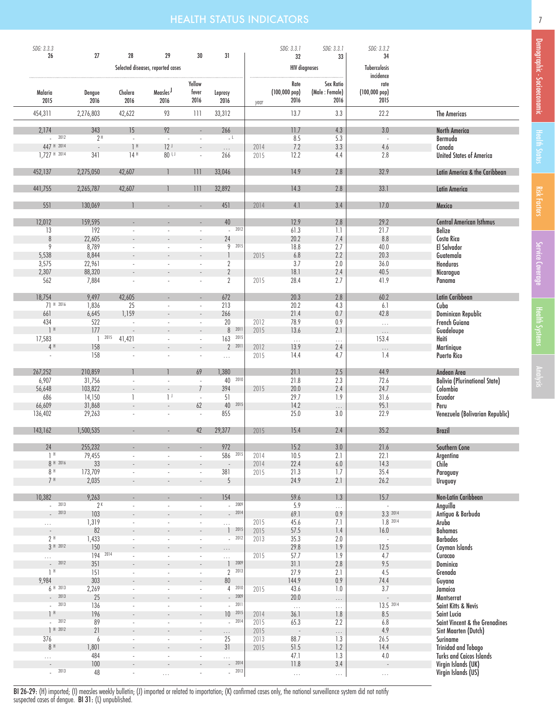### **HEALTH STATUS INDICATORS 7** *CONTRACT CONTRACT CONTRACT CONTRACT CONTRACT CONTRACT CONTRACT CONTRACT CONTRACT*

| SDG: 3.3.3                       |                          |                                 |                                         |                                |                           |              | SDG: 3.3.1                             | SDG: 3.3.1                          | SDG: 3.3.2                             |                                               |
|----------------------------------|--------------------------|---------------------------------|-----------------------------------------|--------------------------------|---------------------------|--------------|----------------------------------------|-------------------------------------|----------------------------------------|-----------------------------------------------|
| 26                               | 27                       | 28                              | 29<br>Selected diseases, reported cases | 30                             | 31                        |              | 32<br><b>HIV</b> diagnoses             | 33                                  | 34<br>Tuberculosis                     |                                               |
|                                  |                          |                                 |                                         |                                |                           |              |                                        |                                     | incidence                              |                                               |
| Malaria<br>2015                  | Dengue<br>2016           | Cholera<br>2016                 | Measles <sup>J</sup><br>2016            | Yellow<br>fever<br>2016        | Leprosy<br>2016           | year         | Rate<br>$(100,000~\text{pop})$<br>2016 | Sex Ratio<br>(Male: Female)<br>2016 | rate<br>$(100,000~\text{pop})$<br>2015 |                                               |
| 454,311                          | 2,276,803                | 42,622                          | 93                                      | 111                            | 33,312                    |              | 13.7                                   | 3.3                                 | 22.2                                   | <b>The Americas</b>                           |
| 2,174                            | 343                      | 15                              | 92                                      |                                | 266                       |              | 11.7                                   | 4.3                                 | 3.0                                    | <b>North America</b>                          |
| $- 2012$<br>447 H 2014           | 2 <sup>H</sup><br>$\sim$ | $\mathcal{L}$<br>1 <sup>H</sup> | $\omega$<br>12 <sup>j</sup>             | ×,<br>$\sim$                   | $L_{\rm L}$<br>$\ldots$   | 2014         | 8.5<br>7.2                             | 5.3<br>3.3                          | ÷,<br>4.6                              | Bermuda<br>Canada                             |
| 1.727 # 2014                     | 341                      | 14H                             | 80 <sup>1,1</sup>                       | ÷.                             | 266                       | 2015         | 12.2                                   | 4.4                                 | 2.8                                    | <b>United States of America</b>               |
| 452,137                          | 2,275,050                | 42,607                          |                                         | 111                            | 33,046                    |              | 14.9                                   | $2.8\,$                             | 32.9                                   | Latin America & the Caribbean                 |
| 441,755                          | 2,265,787                | 42,607                          |                                         | 111                            | 32,892                    |              | 14.3                                   | 2.8                                 | 33.1                                   | <b>Latin America</b>                          |
| 551                              | 130,069                  |                                 |                                         |                                | 451                       | 2014         | 4.1                                    | 3.4                                 | 17.0                                   | Mexico                                        |
| 12,012                           | 159,595                  |                                 |                                         |                                | 40                        |              | 12.9                                   | 2.8                                 | 29.2                                   | <b>Central American Isthmus</b>               |
| 13                               | $\overline{192}$         |                                 |                                         |                                | 2012<br>$\sim$            |              | 61.3                                   | 1.1                                 | 21.7                                   | <b>Belize</b>                                 |
| 8<br>$\overline{9}$              | 22,605                   |                                 |                                         |                                | 24<br>2015<br>9           |              | 20.2                                   | 7.4                                 | 8.8                                    | Costa Rica                                    |
| 5,538                            | 8,789<br>8,844           |                                 |                                         | ÷,<br>$\overline{\phantom{a}}$ |                           | 2015         | 18.8<br>6.8                            | 2.7<br>2.2                          | 40.0<br>20.3                           | El Salvador<br>Guatemala                      |
| 3,575                            | 22,961                   |                                 |                                         |                                | $\overline{2}$            |              | 3.7                                    | 2.0                                 | 36.0                                   | Honduras                                      |
| 2,307                            | 88,320                   |                                 |                                         |                                | $\overline{2}$            |              | 18.1                                   | 2.4                                 | 40.5                                   | Nicaragua                                     |
| 562                              | 7,884                    |                                 |                                         |                                | 2                         | 2015         | 28.4                                   | 2.7                                 | 41.9                                   | Panama                                        |
| 18,754                           | 9,497                    | 42,605                          |                                         |                                | 672                       |              | 20.3                                   | 2.8                                 | 60.2                                   | Latin Caribbean                               |
| 71 H 2016<br>661                 | 1,836<br>6,645           | 25<br>1,159                     |                                         | ÷,<br>$\sim$                   | 213<br>266                |              | 20.2<br>21.4                           | 4.3<br>0.7                          | 6.1<br>42.8                            | Cuba<br>Dominican Republic                    |
| 434                              | 522                      | ×,                              |                                         | $\sim$                         | 20                        | 2012         | 78.9                                   | 0.9                                 | $\ldots$                               | <b>French Guiana</b>                          |
| 1 <sup>H</sup>                   | 177                      | $\overline{\phantom{a}}$        |                                         |                                | 8 2011                    | 2015         | 13.6                                   | 2.1                                 | $\ldots$                               | Guadeloupe                                    |
| 17,583                           | $\overline{\phantom{a}}$ | 2015<br>41,421                  |                                         | ÷,                             | 163<br>2015               |              | $\ldots$                               | $\ldots$                            | 153.4                                  | Haiti                                         |
| 4H                               | 158                      |                                 |                                         |                                | 2 2011                    | 2012         | 13.9                                   | 2.4                                 | $\cdots$                               | Martinique                                    |
| $\overline{\phantom{a}}$         | 158                      |                                 |                                         |                                | $\ldots$                  | 2015         | 14.4                                   | 4.7                                 | 1.4                                    | <b>Puerto Rico</b>                            |
| 267,252                          | 210,859                  |                                 |                                         | 69                             | 1,380                     |              | 21.1                                   | $2.5\,$                             | 44.9                                   | Andean Area                                   |
| 6,907                            | 31,756                   | L.                              |                                         | ÷,                             | 40 2010                   |              | 21.8                                   | 2.3                                 | 72.6                                   | <b>Bolivia (Plurinational State)</b>          |
| 56,648                           | 103,822                  |                                 |                                         | $\overline{7}$                 | 394                       | 2015         | 20.0                                   | 2.4                                 | 24.7                                   | Colombia                                      |
| 686                              | 14,150                   | 1                               | $\mathbf{1}^{\perp}$                    | $\overline{\phantom{a}}$       | 51                        |              | 29.7                                   | 1.9                                 | 31.6                                   | Ecuador                                       |
| 66,609<br>136,402                | 31,868<br>29,263         |                                 |                                         | 62<br>$\overline{\phantom{a}}$ | 40 2015<br>855            |              | 14.2<br>25.0                           | $\cdots$<br>3.0                     | 95.1<br>22.9                           | Peru<br>Venezuela (Bolivarian Republic)       |
|                                  |                          |                                 |                                         |                                |                           |              |                                        |                                     |                                        |                                               |
| 143,162                          | 1,500,535                |                                 |                                         | 42                             | 29,377                    | 2015         | 15.4                                   | 2.4                                 | 35.2                                   | <b>Brazil</b>                                 |
| 24                               | 255,232                  |                                 |                                         |                                | 972                       |              | 15.2                                   | 3.0                                 | 21.6                                   | Southern Cone                                 |
| $1$ H                            | 79,455                   | ÷,                              |                                         | ÷,                             | 586<br>2015               | 2014         | 10.5                                   | 2.1                                 | 22.1                                   | Argentina                                     |
| 8 H 2016                         | $33\,$                   |                                 |                                         |                                | $\overline{\phantom{a}}$  | 2014         | 22.4                                   | $6.0\,$                             | 14.3                                   | Chile                                         |
| $8$ H<br>7 <sup>H</sup>          | 173,709<br>2,035         | $\overline{\phantom{a}}$        | $\sim$                                  | $\overline{\phantom{a}}$       | 381<br>5                  | 2015         | 21.3<br>24.9                           | 1.7<br>2.1                          | 35.4<br>26.2                           | Paraguay<br>Uruguay                           |
|                                  |                          |                                 |                                         |                                |                           |              |                                        |                                     |                                        |                                               |
| 10,382<br>2013<br>$\omega$ .     | 9,263<br>2 <sup>K</sup>  |                                 |                                         |                                | 154<br>$-2009$            |              | 59.6<br>5.9                            | 1.3<br>.                            | 15.7<br>÷,                             | Non-Latin Caribbean<br>Anguilla               |
| 2013<br>$\overline{a}$           | 103                      |                                 |                                         |                                | 2014<br>$\sim$            |              | 69.1                                   | 0.9                                 | 3.3 2014                               | Antigua & Barbuda                             |
| $\cdots$                         | 1,319                    |                                 |                                         | $\overline{\phantom{a}}$       | $\cdots$                  | 2015         | 45.6                                   | 7.1                                 | 1.8 2014                               | Aruba                                         |
| $\overline{\phantom{a}}$         | 82                       |                                 |                                         |                                | 2015<br>$\mathbf{1}$      | 2015         | 57.5                                   | 1.4                                 | 16.0                                   | <b>Bahamas</b>                                |
| $2$ H                            | 1,433                    |                                 |                                         |                                | 2012<br>$\sim$            | 2013         | 35.3                                   | 2.0                                 | $\sim$                                 | <b>Barbados</b>                               |
| 3 H 2012                         | 150<br>194 2014          |                                 |                                         |                                | $\cdots$                  |              | 29.8                                   | 1.9                                 | 12.5                                   | Cayman Islands                                |
| $\cdots$<br>2012                 | 351                      |                                 |                                         | $\overline{\phantom{a}}$<br>L. | .<br>2009<br>$\mathbf{1}$ | 2015         | 57.7<br>31.1                           | 1.9<br>2.8                          | 4.7<br>9.5                             | Curacao<br>Dominica                           |
| 1 <sup>H</sup>                   | 151                      | $\sim$                          |                                         | ÷.                             | $2^{2013}$                |              | 27.9                                   | 2.1                                 | 4.5                                    | Grenada                                       |
| 9,984                            | 303                      | $\overline{\phantom{a}}$        |                                         | $\sim$                         | $80\,$                    |              | 144.9                                  | 0.9                                 | 74.4                                   | Guyana                                        |
| 6H2013                           | 2,269                    | $\overline{\phantom{a}}$        | $\sim$                                  | $\overline{\phantom{a}}$       | $4 - 2010$                | 2015         | 43.6                                   | 1.0                                 | 3.7                                    | Jamaica                                       |
| 2013                             | 25                       |                                 |                                         | $\overline{a}$                 | 2009                      |              | 20.0                                   | $\ldots$                            |                                        | Montserrat                                    |
| 2013<br>$\sim$                   | 136                      | $\overline{\phantom{a}}$        |                                         | $\overline{\phantom{a}}$       | 2011<br>×.<br>2015        |              | $\bar{\mathcal{A}}$                    | $\ldots$                            | 13.5 2014                              | Saint Kitts & Nevis                           |
| 1 <sup>H</sup><br>2012<br>$\sim$ | 196<br>89                |                                 |                                         | $\overline{\phantom{a}}$<br>×, | 10 <sup>°</sup><br>2014   | 2014<br>2015 | 36.1<br>65.3                           | 1.8<br>2.2                          | 8.5<br>6.8                             | Saint Lucia<br>Saint Vincent & the Grenadines |
| 1 H 2012                         | 21                       |                                 |                                         | $\overline{\phantom{a}}$       | $\ldots$                  | 2015         |                                        | $\cdots$                            | 4.9                                    | Sint Maarten (Dutch)                          |
| 376                              | 6                        |                                 |                                         | J,                             | 25                        | 2013         | 88.7                                   | 1.3                                 | 26.5                                   | Suriname                                      |
| $8$ H                            | 1,801                    |                                 |                                         |                                | 31                        | 2015         | 51.5                                   | 1.2                                 | 14.4                                   | <b>Trinidad and Tobago</b>                    |
| $\ldots$                         | 484                      |                                 |                                         |                                | $\cdots$                  |              | 47.1                                   | 1.3                                 | $4.0\,$                                | <b>Turks and Caicos Islands</b>               |
| 2013                             | 100                      |                                 |                                         |                                | $-2014$<br>2013           |              | 11.8                                   | $3.4\,$                             |                                        | Virgin Islands (UK)                           |
| ÷,                               | 48                       | $\frac{1}{2}$                   | $\ldots$                                |                                | $\overline{\phantom{a}}$  |              | $\ldots$                               | $\ldots$                            | $\ldots$                               | Virgin Islands (US)                           |

BI 26-29: (H) imported; (I) measles weekly bulletin; (J) imported or related to importation; (K) confirmed cases only, the national surveillance system did not notify suspected cases of dengue. BI 31: (L) unpublished.

Demographic - Socioeconomic

Demographic - Socioeconomic

Service Coverage Health Status

Service Coverage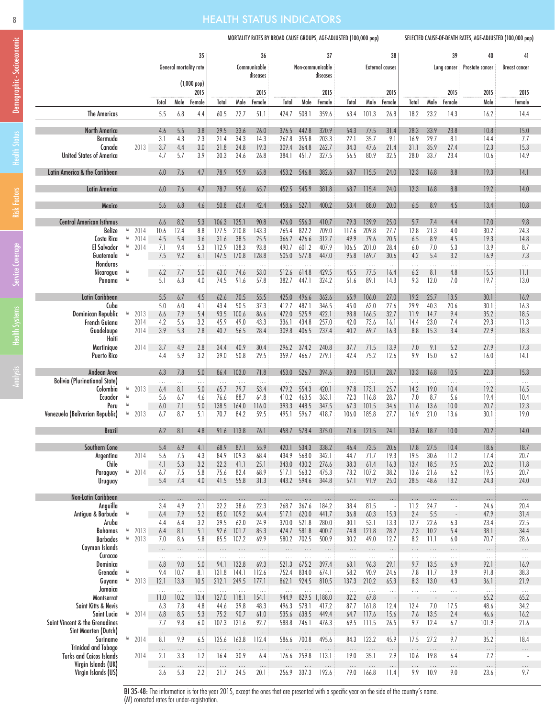# Demographic - Socioeconomic Demographic - Socioeconomic

|  |  |  |  |  |  |  |  |  | <b>HEALTH STATUS INDICATORS</b> |  |
|--|--|--|--|--|--|--|--|--|---------------------------------|--|
|  |  |  |  |  |  |  |  |  |                                 |  |

### MORTALITY RATES BY BROAD CAUSE GROUPS, AGE-ADJUSTED (100,000 pop) SELECTED CAUSE-OF-DEATH RATES, AGE-ADJUSTED (100,000 pop)

|                                                        |        |              |                  | General mortality rate | 35                                          |                   |                   | 36<br>Communicable<br>diseases |                    | Non-communicable     | 37<br>diseases      |                  |                   | 38<br><b>External causes</b> |                  |                  | 39               | 40<br>Lung cancer Prostate cancer | 41<br><b>Breast cancer</b> |
|--------------------------------------------------------|--------|--------------|------------------|------------------------|---------------------------------------------|-------------------|-------------------|--------------------------------|--------------------|----------------------|---------------------|------------------|-------------------|------------------------------|------------------|------------------|------------------|-----------------------------------|----------------------------|
|                                                        |        |              | Total            |                        | $(1,000~\text{pop})$<br>2015<br>Male Female | Total             | Male              | 2015<br>Female                 | Total              | Male                 | 2015<br>Female      | Total            | Male              | 2015<br>Female               | Total            | Male             | 2015<br>Female   | 2015<br>Male                      | 2015<br>Female             |
| <b>The Americas</b>                                    |        |              | 5.5              | 6.8                    | 4.4                                         | 60.5              | 72.7              | 51.1                           | 424.7              | 508.1                | 359.6               | 63.4             | 101.3             | 26.8                         | 18.2             | 23.2             | 14.3             | 16.2                              | 14.4                       |
| <b>North America</b>                                   |        |              | 4.6              | 5.5                    | 3.8                                         | 29.5              | 33.6              | 26.0                           | 376.5              | 442.8                | 320.9               | 54.3             | 77.5              | 31.4                         | 28.3             | 33.9             | 23.8             | 10.8                              | 15.0                       |
| Bermuda<br>Canada                                      |        | 2013         | 3.1<br>3.7       | 4.3<br>4.4             | 2.3<br>$3.0\,$                              | 21.4<br>21.8      | 34.3<br>24.8      | 14.3<br>19.3                   | 267.8<br>309.4     | 355.8<br>364.8       | 203.3<br>262.7      | 22.1<br>34.3     | 35.7<br>47.6      | 9.1<br>21.4                  | 16.9<br>31.1     | 29.7<br>35.9     | 8.1<br>27.4      | 14.4<br>12.3                      | 7.7<br>15.3                |
| <b>United States of America</b>                        |        |              | 4.7              | 5.7                    | 3.9                                         | 30.3              | 34.6              | 26.8                           | 384.1              | 451.7                | 327.5               | 56.5             | 80.9              | 32.5                         | 28.0             | 33.7             | 23.4             | 10.6                              | 14.9                       |
| Latin America & the Caribbean                          |        |              | 6.0              | 7.6                    | 4.7                                         | 78.9              | 95.9              | 65.8                           | 453.2              | 546.8                | 382.6               | 68.7             | 115.5             | 24.0                         | 12.3             | 16.8             | 8.8              | 19.3                              | 14.1                       |
| Latin America                                          |        |              | 6.0              | 7.6                    | 4.7                                         | 78.7              | 95.6              | 65.7                           | 452.5              | 545.9                | 381.8               | 68.7             | 115.4             | 24.0                         | 12.3             | 16.8             | 8.8              | 19.2                              | 14.0                       |
| Mexico                                                 |        |              | 5.6              | 6.8                    | 4.6                                         | 50.8              | 60.4              | 42.4                           | 458.6              | 527.1                | 400.2               | 53.4             | 88.0              | 20.0                         | 6.5              | 8.9              | 4.5              | 13.4                              | 10.8                       |
| <b>Central American Isthmus</b>                        |        |              | 6.6              | 8.2                    | 5.3                                         | 106.3             | 125.1             | 90.8                           | 476.0              | 556.3                | 410.7               | 79.3             | 139.9             | 25.0                         | 5.7              | 7.4              | 4.4              | 17.0                              | 9.8                        |
| Belize<br><b>Costa Rica</b>                            | W<br>M | 2014<br>2014 | 10.6<br>4.5      | 12.4<br>5.4            | 8.8<br>3.6                                  | 177.5<br>31.6     | 210.8<br>38.5     | 143.3<br>25.5                  | 765.4<br>366.2     | 822.2<br>426.6       | 709.0<br>312.7      | 117.6<br>49.9    | 209.8<br>79.6     | 27.7<br>20.5                 | 12.8<br>6.5      | 21.3<br>8.9      | 4.0<br>4.5       | 30.2<br>19.3                      | 24.3<br>14.8               |
| <b>El Salvador</b>                                     | W      | 2014         | 7.1              | 9.4                    | 5.3                                         | 112.9             | 138.3             | 93.8                           | 490.7              | 601.2                | 407.9               | 106.5            | 201.0             | 28.4                         | 6.0              | 7.0              | 5.3              | 13.9                              | 8.7                        |
| Guatemala<br>Honduras                                  | W      |              | 7.5              | 9.2<br>$\ldots$        | 6.1                                         | 147.5<br>$\ldots$ | 170.8<br>$\ldots$ | 128.8<br>$\ldots$              | 505.0<br>$\ldots$  | 577.8<br>$\ldots$    | 447.0<br>$\ldots$   | 95.8<br>$\sim$   | 169.7<br>$\ldots$ | 30.6                         | 4.2              | 5.4              | 3.2<br>$\ldots$  | 16.9<br>$\ldots$                  | 7.3<br>$\ldots$            |
| Nicaragua                                              |        |              | $\cdots$<br>6.2  | 7.7                    | $\ldots$<br>5.0                             | 63.0              | 74.6              | 53.0                           | 512.6              | 614.8                | 429.5               | 45.5             | 77.5              | $\ldots$<br>16.4             | $\cdots$<br>6.2  | $\cdots$<br>8.1  | 4.8              | 15.5                              | 11.1                       |
| Panama                                                 | M      |              | 5.1              | 6.3                    | 4.0                                         | 74.5              | 91.6              | 57.8                           | 382.7              | 447.1                | 324.2               | 51.6             | 89.1              | 14.3                         | 9.3              | 12.0             | 7.0              | 19.7                              | 13.0                       |
| Latin Caribbean<br>Cuba                                |        |              | 5.5<br>5.0       | 6.7<br>6.0             | 4.5<br>4.1                                  | 62.6<br>43.4      | 70.5<br>50.5      | 55.5<br>37.3                   | 425.0<br>412.7     | 496.6<br>487.1       | 362.6<br>346.5      | 65.9<br>45.0     | 106.0<br>62.0     | 27.0<br>27.6                 | 19.2<br>29.9     | 25.7<br>40.3     | 13.5<br>20.6     | 30.1<br>30.1                      | 16.9<br>16.3               |
| Dominican Republic                                     |        | 2013         | 6.6              | 7.9                    | 5.4                                         | 93.5              | 100.6             | 86.6                           | 472.0              | 525.9                | 422.1               | 98.8             | 166.5             | 32.7                         | 11.9             | 14.7             | 9.4              | 35.2                              | 18.5                       |
| French Guiana<br>Guadeloupe                            |        | 2014<br>2014 | 4.2<br>3.9       | 5.6<br>5.3             | 3.2<br>2.8                                  | 45.9<br>40.7      | 49.0<br>56.5      | 43.3<br>28.4                   | 336.1<br>309.8     | 434.8<br>406.5       | 257.0<br>237.4      | 42.0<br>40.2     | 73.6<br>69.7      | 16.1<br>16.3                 | 14.4<br>8.8      | 23.0<br>15.3     | 7.4<br>3.4       | 29.3<br>22.9                      | 11.3<br>18.3               |
| Haiti                                                  |        |              | .                | $\cdots$               | $\cdots$                                    | $\sim$ .          | $\cdots$          | $\ldots$                       | $\ldots$           | $\ldots$             | $\ldots$            | $\ldots$         | $\ldots$          | $\cdots$                     | .                | $\ldots$         | .                | $\ldots$                          | $\ldots$                   |
| Martinique<br><b>Puerto Rico</b>                       |        | 2014         | 3.7<br>4.4       | 4.9<br>5.9             | 2.8<br>3.2                                  | 34.4<br>39.0      | 40.9<br>50.8      | 30.4<br>29.5                   | 296.2<br>359.7     | 374.2<br>466.7       | 240.8<br>279.1      | 37.7<br>42.4     | 71.5<br>75.2      | 13.9<br>12.6                 | 7.0<br>9.9       | 9.1<br>15.0      | 5.2<br>6.2       | 27.9<br>16.0                      | 17.3<br>14.1               |
|                                                        |        |              |                  |                        |                                             |                   |                   |                                |                    |                      |                     |                  |                   |                              |                  |                  |                  |                                   |                            |
| Andean Area<br><b>Bolivia (Plurinational State)</b>    |        |              | 6.3              | 7.8                    | 5.0                                         | 86.4              | 103.0             | 71.8                           | 453.0              | 526.7                | 394.6               | 89.0             | 151.1             | 28.7                         | 13.3             | 16.8             | 10.5             | 22.3<br>$\ldots$                  | 15.3                       |
| Colombia                                               | W      | 2013         | .<br>6.4         | $\cdots$<br>8.1        | $\ldots$<br>5.0                             | $\ldots$<br>65.7  | $\ldots$<br>79.7  | $\ldots$<br>53.4               | $\cdots$<br>479.2  | $\ldots$<br>554.3    | $\ldots$<br>420.1   | $\ldots$<br>97.8 | $\ldots$<br>173.1 | $\ldots$<br>25.7             | $\ldots$<br>14.2 | $\cdots$<br>19.0 | $\cdots$<br>10.4 | 19.2                              | $\cdots$<br>16.5           |
| Ecuador<br>Peru                                        | M      |              | 5.6<br>6.0       | 6.7<br>7.1             | 4.6<br>5.0                                  | 76.6<br>138.5     | 88.7<br>164.0     | 64.8<br>116.0                  | 410.2<br>393.3     | 463.5<br>448.5       | 363.1<br>347.5      | 72.3<br>67.3     | 116.8<br>101.5    | 28.7<br>34.6                 | 7.0<br>11.6      | 8.7<br>13.6      | 5.6<br>10.0      | 19.4<br>20.7                      | 10.4<br>12.3               |
| Venezuela (Bolivarian Republic)                        | M      | 2013         | 6.7              | 8.7                    | 5.1                                         | 70.7              | 84.2              | 59.5                           | 495.1              | 596.7                | 418.7               | 106.0            | 185.8             | 27.7                         | 16.9             | 21.0             | 13.6             | 30.1                              | 19.0                       |
| <b>Brazil</b>                                          |        |              | 6.2              | 8.1                    | 4.8                                         | 91.6              | 113.8             | 76.1                           | 458.7              | 578.4                | 375.0               | 71.6             | 121.5             | 24.1                         | 13.6             | 18.7             | 10.0             | 20.2                              | 14.0                       |
| Southern Cone                                          |        |              | 5.4              | 6.9                    | 4.1                                         | 68.9              | 87.1              | 55.9                           | 420.1              | 534.3                | 338.2               | 46.4             | 73.5              | 20.6                         | 17.8             | 27.5             | 10.4             | 18.6                              | 18.7                       |
| Argenting                                              |        | 2014         | 5.6              | 7.5                    | 4.3                                         | 84.9              | 109.3             | 68.4                           | 434.9              | 568.0                | 342.1               | 44.7             | 71.7              | 19.3                         | 19.5             | 30.6             | 11.2             | 17.4                              | 20.7                       |
| Chile<br>Paraguay                                      | W      | 2014         | 4.1<br>6.7       | 5.3<br>7.5             | 3.2<br>5.8                                  | 32.3<br>75.6      | 41.1<br>82.4      | 25.1<br>68.9                   | 343.0<br>517.1     | 430.2<br>563.2       | 276.6<br>475.3      | 38.3<br>73.2     | 61.4<br>107.2     | 16.3<br>38.2                 | 13.4<br>13.6     | 18.5<br>21.6     | 9.5<br>6.2       | 20.2<br>19.5                      | 11.8<br>20.7               |
| Uruguay                                                |        |              | 5.4              | 7.4                    | 4.0                                         | 41.5              | 55.8              | 31.3                           |                    | 443.2 594.6          | 344.8               | 57.1             | 91.9              | 25.0                         | 28.5             | 48.6             | 13.2             | 24.3                              | 24.0                       |
| Non-Latin Caribbean                                    |        |              |                  | .                      | $\cdots$                                    | $\ldots$          | $\ldots$          | $\ldots$                       | $\ldots$           | $\ldots$             | $\ldots$            | $\ldots$         | $\ldots$          | .                            | $\ldots$         | $\ldots$         | .                | $\ldots$                          | $\ldots$                   |
| Anguilla<br>Antigua & Barbuda                          | M      |              | 3.4<br>6.4       | 4.9<br>7.9             | 2.1<br>5.2                                  | 32.2<br>85.0      | 38.6<br>109.2     | 22.3<br>66.4                   | 268.7<br>517.1     | 367.6<br>620.0       | 184.2<br>441.7      | 38.4<br>36.8     | 81.5<br>60.3      | 15.3                         | 11.2<br>2.4      | 24.7<br>5.5      |                  | 24.6<br>47.9                      | 20.4<br>31.4               |
| Aruba                                                  |        |              | 4.4              | 6.4                    | 3.2                                         | 39.5              | 62.0              | 24.9                           | 370.0              | 521.8                | 280.0               | 30.1             | 53.1              | 13.3                         | 12.7             | 22.6             | 6.3              | 23.4                              | 22.5                       |
| Bahamas<br><b>Barbados</b>                             | W<br>W | 2013<br>2013 | 6.4<br>7.0       | 8.1<br>8.6             | 5.1<br>5.8                                  | 92.6<br>85.5      | 101.7<br>107.2    | 85.3<br>69.9                   | 474.7              | 581.8<br>580.2 702.5 | 400.7<br>500.9      | 74.8<br>30.2     | 121.8<br>49.0     | 28.2<br>12.7                 | 7.3<br>8.2       | 10.2<br>11.1     | 5.4              | 38.1<br>70.7                      | 34.4<br>28.6               |
| Cayman Islands                                         |        |              | $\cdots$         | $\ldots$               | $\cdots$                                    | $\cdots$          | $\cdots$          | $\cdots$                       | $\cdots$           | $\ldots$             | $\cdots$            | $\ldots$         | $\cdots$          | $\ldots$                     | $\cdots$         | $\cdots$         | 6.0<br>$\cdots$  | $\cdots$                          | $\cdots$                   |
| Curacao<br>Dominica                                    |        |              | .<br>6.8         | $\ldots$<br>9.0        | $\cdots$<br>5.0                             | $\ldots$<br>94.1  | $\ldots$<br>132.8 | $\ldots$<br>69.3               | $\ddotsc$<br>521.3 | $\ldots$<br>675.2    | $\ldots$<br>397.4   | $\ldots$<br>63.1 | $\ldots$<br>96.3  | $\ldots$<br>29.1             | $\cdots$<br>9.7  | $\ldots$<br>13.5 | .<br>6.9         | $\ldots$<br>92.1                  | $\ldots$<br>16.9           |
| Grenada                                                |        |              | 9.4              | 10.7                   | 8.1                                         | 131.8             | 144.1             | 112.6                          | 752.4              | 834.0                | 674.1               | 58.2             | 90.9              | 24.6                         | 7.8              | 11.7             | 3.9              | 91.8                              | 38.3                       |
| Guyana                                                 | M      | 2013         | 12.1             | 13.8                   | 10.5                                        | 212.1             | 249.5             | 177.1                          | 862.1              | 924.5                | 810.5               | 137.3            | 210.2             | 65.3                         | 8.3              | 13.0             | 4.3              | 36.1                              | 21.9                       |
| Jamaica<br>Montserrat                                  |        |              | $\cdots$<br>11.0 | $\ldots$<br>10.2       | $\ldots$<br>13.4                            | $\cdots$<br>127.0 | $\ldots$<br>118.1 | $\ldots$<br>154.1              | $\cdots$<br>944.9  | $\ldots$<br>829.5    | $\ldots$<br>1,188.0 | $\sim$<br>32.2   | $\ldots$<br>67.8  | $\ldots$                     | $\ldots$         | $\ldots$         | $\cdots$         | $\ldots$<br>65.2                  | $\ldots$<br>65.2           |
| Saint Kitts & Nevis                                    |        |              | 6.3              | 7.8                    | 4.8                                         | 44.6              | 39.8              | 48.3                           | 496.3              | 578.1                | 417.2               | 87.7             | 161.8             | 12.4                         | 12.4             | 7.0              | 17.5             | 48.6                              | 34.2                       |
| Saint Lucia<br>Saint Vincent & the Grenadines          |        | $M$ 2014     | 6.8<br>7.7       | 8.5<br>9.8             | 5.3<br>6.0                                  | 75.2<br>107.3     | 90.7<br>121.6     | 61.0<br>92.7                   | 535.6<br>588.8     | 638.5<br>746.1       | 449.4<br>476.3      | 64.7<br>69.5     | 117.6<br>111.5    | 15.6<br>26.5                 | 7.6<br>9.7       | 13.5<br>12.4     | 2.4<br>6.7       | 46.6<br>101.9                     | 16.2<br>21.6               |
| Sint Maarten (Dutch)<br>Suriname                       |        | 2014         | $\ldots$<br>8.1  | $\cdots$<br>9.9        | $\cdots$<br>6.5                             | $\cdots$<br>135.6 | $\ldots$<br>163.8 | $\ldots$<br>112.4              | $\ldots$<br>586.6  | $\ldots$<br>700.8    | $\ldots$<br>495.6   | $\cdots$<br>84.3 | $\cdots$<br>123.2 | $\cdots$<br>45.9             | $\cdots$<br>17.5 | $\ldots$<br>27.2 | $\cdots$<br>9.7  | $\ldots$<br>35.2                  | $\cdots$<br>18.4           |
| Trinidad and Tobago                                    |        |              | $\ldots$         | $\ldots$               | $\cdots$                                    | $\cdots$          | $\dots$           | $\cdots$                       | $\cdots$           | $\ldots$             | $\ldots$            | $\ldots$         | $\ldots$          | $\cdots$                     | $\cdots$         | $\ldots$         | $\cdots$         | $\ldots$                          | $\cdots$                   |
| <b>Turks and Caicos Islands</b><br>Virgin Islands (UK) |        | 2014         | 2.1<br>$\cdots$  | 3.3<br>$\cdots$        | 1.2<br>$\cdots$                             | 16.4<br>$\cdots$  | 30.9<br>$\dots$   | 6.4<br>$\ldots$                | 176.6<br>$\cdots$  | 259.8<br>$\ldots$    | 113.1<br>$\dots$    | 19.0<br>$\cdots$ | 35.1<br>$\ldots$  | 2.9<br>$\cdots$              | 10.6<br>.        | 19.8<br>$\ldots$ | 6.4<br>.         | 7.2<br>$\ldots$                   | $\cdots$                   |
| Virgin Islands (US)                                    |        |              | 3.6              | 5.3                    | 2.2                                         | 21.7              | 24.5              | 20.1                           | 256.9              | 337.3                | 192.6               | 79.0             | 166.8             | 11.4                         | 9.9              | 10.9             | 9.0              | 23.6                              | 9.7                        |

BI 35-48: The information is for the year 2015, except the ones that are presented with a specific year on the side of the country's name. (M) corrected rates for under-registration.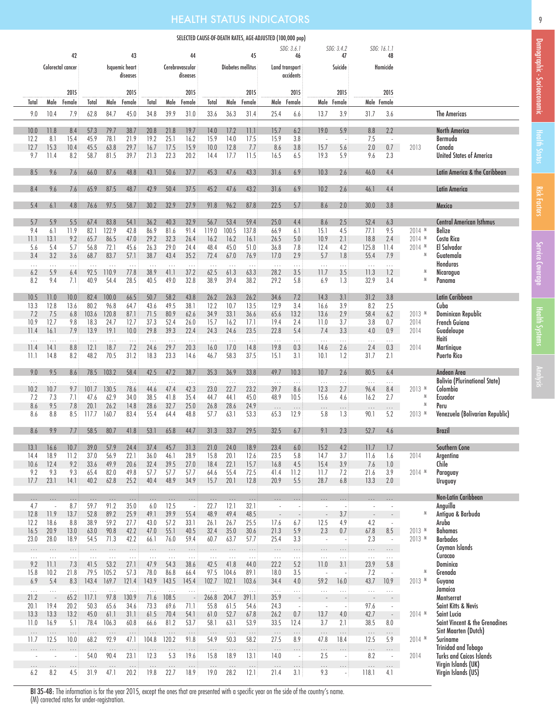### HEALTH STATUS INDICATORS 9

42

43

|                        | SELECTED CAUSE-OF-DEATH RATES, AGE-ADJUSTED (100,000 pop) |                             |                |                |  |
|------------------------|-----------------------------------------------------------|-----------------------------|----------------|----------------|--|
| 44                     | 45                                                        | SDG: 3.6.1                  | SDG: 3.4.2     | SDG: 16.1.1    |  |
| rovascular<br>diseases | Diabetes mellitus                                         | Land transport<br>accidents | Suicide        | Homicide       |  |
| 2015                   | 2015                                                      | 2015                        | 2015           | 2015           |  |
| Female                 | ۹ا۵<br>Female<br>Total                                    | Female<br>ماو               | Anle<br>Female | Male<br>Female |  |

|                      |                                  | Colorectal cancer    |                      |                   | Isquemic heart<br>diseases |                       |                      | Cerebrovascular<br>diseases |                      |                      | Diabetes mellitus    |                                  | Land transport<br>accidents          |                                  | Suicide                              |                                 | Homicide                                          |               |                                                        |
|----------------------|----------------------------------|----------------------|----------------------|-------------------|----------------------------|-----------------------|----------------------|-----------------------------|----------------------|----------------------|----------------------|----------------------------------|--------------------------------------|----------------------------------|--------------------------------------|---------------------------------|---------------------------------------------------|---------------|--------------------------------------------------------|
| Total                | Male                             | 2015<br>Female       | Total                | Male              | 2015<br>Female             | Total                 | Male                 | 2015<br>Female              | Total                | Male                 | 2015<br>Female       | Male                             | 2015<br>Female                       | Male                             | 2015<br>Female                       |                                 | 2015<br>Male Female                               |               |                                                        |
| 9.0                  | 10.4                             | 7.9                  | 62.8                 | 84.7              | 45.0                       | 34.8                  | 39.9                 | 31.0                        | 33.6                 | 36.3                 | 31.4                 | 25.4                             | 6.6                                  | 13.7                             | 3.9                                  | 31.7                            | 3.6                                               |               | <b>The Americas</b>                                    |
| 10.0                 | 11.8                             | 8.4                  | 57.3                 | 79.7              | 38.7                       | 20.8                  | 21.8                 | 19.7                        | 14.0                 | 17.2                 | 11.1                 | 15.7                             | 6.2                                  | 19.0                             | 5.9                                  | 8.8                             | 2.2                                               |               | <b>North America</b>                                   |
| 12.2<br>12.7         | 8.1<br>15.3                      | 15.4<br>10.4         | 45.9<br>45.5         | 78.1<br>63.8      | 21.9<br>29.7               | 19.2<br>16.7          | 25.1<br>17.5         | 16.2<br>15.9                | 15.9<br>10.0         | 14.0<br>12.8         | 17.5<br>7.7          | 15.9<br>8.6                      | 3.8<br>3.8                           | $\overline{\phantom{a}}$<br>15.7 | $\overline{\phantom{a}}$<br>5.6      | 7.5<br>2.0                      | $\sim$<br>$0.7\,$                                 | 2013          | Bermuda<br>Canada                                      |
| 9.7                  | 11.4                             | 8.2                  | 58.7                 | 81.5              | 39.7                       | 21.3                  | 22.3                 | 20.2                        | 14.4                 | 17.7                 | 11.5                 | 16.5                             | 6.5                                  | 19.3                             | 5.9                                  | 9.6                             | 2.3                                               |               | <b>United States of America</b>                        |
| 8.5                  | 9.6                              | 7.6                  | 66.0                 | 87.6              | 48.8                       | 43.1                  | 50.6                 | 37.7                        | 45.3                 | 47.6                 | 43.3                 | 31.6                             | 6.9                                  | 10.3                             | 2.6                                  | 46.0                            | 4.4                                               |               | Latin America & the Caribbean                          |
| 8.4                  | 9.6                              | 7.6                  | 65.9                 | 87.5              | 48.7                       | 42.9                  | 50.4                 | 37.5                        | 45.2                 | 47.6                 | 43.2                 | 31.6                             | 6.9                                  | 10.2                             | 2.6                                  | 46.1                            | 4.4                                               |               | <b>Latin America</b>                                   |
| 5.4                  | 6.1                              | 4.8                  | 76.6                 | 97.5              | 58.7                       | 30.2                  | 32.9                 | 27.9                        | 91.8                 | 96.2                 | 87.8                 | 22.5                             | 5.7                                  | 8.6                              | 2.0                                  | 30.0                            | 3.8                                               |               | Mexico                                                 |
| 5.7<br>9.4           | 5.9<br>6.1                       | 5.5<br>11.9          | 67.4<br>82.1         | 83.8<br>122.9     | 54.1<br>42.8               | 36.2<br>86.9          | 40.3<br>81.6         | 32.9<br>91.4                | 56.7<br>119.0        | 53.4<br>100.5        | 59.4<br>137.8        | 25.0<br>66.9                     | 4.4<br>6.1                           | 8.6<br>15.1                      | 2.5<br>4.5                           | 52.4<br>77.1                    | 6.3<br>9.5                                        | $2014$ M      | Central American Isthmus<br>Belize                     |
| 11.1                 | 13.1                             | 9.2                  | 65.7                 | 86.5              | 47.0                       | 29.2                  | 32.3                 | 26.4                        | 16.2                 | 16.2                 | 16.1                 | 26.5                             | 5.0                                  | 10.9                             | 2.1                                  | 18.8                            | 2.4                                               | $2014$ M      | Costa Rica                                             |
| 5.6<br>3.4           | 5.4<br>3.2                       | 5.7<br>3.6           | 56.8<br>68.7         | 72.1<br>83.7      | 45.6<br>57.1               | 26.3<br>38.7          | 29.0<br>43.4         | 24.4<br>35.2                | 48.4<br>72.4         | 45.0<br>67.0         | 51.0<br>76.9         | 36.8<br>17.0                     | 7.8<br>2.9                           | 12.4<br>5.7                      | 4.2<br>$1.8\,$                       | 125.8<br>55.4                   | 11.4<br>7.9                                       | $2014$ M<br>M | <b>El Salvador</b><br>Guatemala                        |
| $\ldots$             | .                                | $\cdots$             | $\ldots$             | $\ldots$          | $\ldots$                   | $\ldots$              | $\ldots$             | $\ldots$                    | $\ldots$             | $\ldots$             | $\ldots$             | $\ldots$                         | $\ldots$                             | $\ldots$                         | $\ldots$                             | $\ldots$                        | $\ldots$                                          |               | <b>Honduras</b>                                        |
| 6.2<br>8.2           | 5.9<br>9.4                       | 6.4<br>7.1           | 92.5<br>40.9         | 110.9<br>54.4     | 77.8<br>28.5               | 38.9<br>40.5          | 41.1<br>49.0         | 37.2<br>32.8                | 62.5<br>38.9         | 61.3<br>39.4         | 63.3<br>38.2         | 28.2<br>29.2                     | 3.5<br>5.8                           | 11.7<br>6.9                      | 3.5<br>1.3                           | 11.3<br>32.9                    | 1.2<br>3.4                                        |               | Nicaragua<br>Panama                                    |
|                      |                                  |                      |                      |                   |                            |                       |                      |                             |                      |                      |                      |                                  |                                      |                                  |                                      |                                 |                                                   |               |                                                        |
| 10.5<br>13.3         | 11.0<br>12.8                     | 10.0<br>13.6         | 82.4<br>80.2         | 100.0<br>96.8     | 66.5<br>64.7               | 50.7<br>43.6          | 58.2<br>49.5         | 43.8<br>38.1                | 26.2<br>12.2         | 26.3<br>10.7         | 26.2<br>13.5         | 34.6<br>12.9                     | 7.2<br>3.4                           | 14.3<br>16.6                     | 3.1<br>3.9                           | 31.2<br>8.2                     | 3.8<br>2.5                                        |               | Latin Caribbean<br>Cuba                                |
| 7.2                  | 7.5                              | 6.8                  | 103.6                | 120.8             | 87.1                       | 71.5                  | 80.9                 | 62.6                        | 34.9                 | 33.1                 | 36.6                 | 65.6                             | 13.2                                 | 13.6                             | 2.9                                  | 58.4                            | 6.2                                               | 2013 M        | Dominican Republic                                     |
| 10.9                 | 12.7                             | 9.8                  | 18.3                 | 24.7              | 12.7                       | 37.3                  | 52.4                 | 26.0                        | 15.7                 | 16.2                 | 17.1                 | 19.4                             | 2.4                                  | 11.0                             | 3.7                                  | 3.8                             | 0.7                                               | 2014          | <b>French Guiana</b>                                   |
| 11.4<br>$\ldots$     | 16.1<br>$\ldots$                 | 7.9<br>$\cdots$      | 13.9<br>$\ldots$     | 19.1<br>$\ldots$  | 10.0<br>$\ldots$           | 29.8<br>$\ldots$      | 39.3<br>$\ldots$     | 22.4<br>$\ldots$            | 24.3<br>$\ldots$     | 24.6<br>$\sim$ .     | 23.5<br>$\ldots$     | 22.8<br>$\ldots$                 | 5.4<br>$\ldots$                      | 7.4<br>$\ldots$                  | 3.3<br>.                             | 4.0<br>$\ldots$                 | 0.9<br>$\ldots$                                   | 2014          | Guadeloupe<br>Haiti                                    |
| 11.4                 | 14.1                             | 8.8                  | 12.1                 | 18.7              | 7.2                        | 24.6                  | 29.7                 | 20.3                        | 16.0                 | 17.0                 | 14.8                 | 19.8                             | 0.3                                  | 14.6                             | 2.6                                  | 2.4                             | 0.3                                               | 2014          | Martinique                                             |
| 11.1                 | 14.8                             | 8.2                  | 48.2                 | 70.5              | 31.2                       | 18.3                  | 23.3                 | 14.6                        | 46.7                 | 58.3                 | 37.5                 | 15.1                             | 3.1                                  | 10.1                             | 1.2                                  | 31.7                            | 2.1                                               |               | <b>Puerto Rico</b>                                     |
| 9.0                  | 9.5                              | 8.6                  | 78.5                 | 103.2             | 58.4                       | 42.5                  | 47.2                 | 38.7                        | 35.3                 | 36.9                 | 33.8                 | 49.7                             | 10.3                                 | 10.7                             | 2.6                                  | 80.5                            | 6.4                                               |               | Andean Area<br><b>Bolivia (Plurinational State)</b>    |
| $\cdots$<br>10.2     | $\ldots$<br>10.7                 | $\ldots$<br>9.7      | $\cdots$<br>101.7    | $\ldots$<br>130.5 | $\ldots$<br>78.6           | $\sim$ .<br>44.6      | $\ldots$<br>47.4     | $\ldots$<br>42.3            | $\ldots$<br>23.0     | $\sim$<br>22.7       | $\ldots$<br>23.2     | $\ldots$<br>39.7                 | $\cdots$<br>8.6                      | $\ldots$<br>12.3                 | $\cdots$<br>2.7                      | $\cdots$<br>96.4                | $\cdots$<br>8.4                                   | 2013 M        | Colombia                                               |
| 7.2<br>8.6           | 7.3<br>9.5                       | 7.1                  | 47.6<br>20.1         | 62.9<br>26.2      | 34.0<br>14.8               | 38.5<br>28.6          | 41.8<br>32.7         | 35.4<br>25.0                | 44.7<br>26.8         | 44.1<br>28.6         | 45.0                 | 48.9                             | 10.5                                 | 15.6                             | 4.6                                  | 16.2                            | 2.7                                               | M             | Ecuador<br>Peru                                        |
| 8.6                  | 8.8                              | 7.8<br>8.5           | 117.7                | 160.7             | 83.4                       | 55.4                  | 64.4                 | 48.8                        | 57.7                 | 63.1                 | 24.9<br>53.3         | $\ldots$<br>65.3                 | $\cdots$<br>12.9                     | $\ldots$<br>5.8                  | $\cdots$<br>1.3                      | $\ldots$<br>90.1                | $\cdots$<br>5.2                                   | 2013 M        | Venezuela (Bolivarian Republic)                        |
| 8.6                  | 9.9                              | 7.7                  | 58.5                 | 80.7              | 41.8                       | 53.1                  | 65.8                 | 44.7                        | 31.3                 | 33.7                 | 29.5                 | 32.5                             | 6.7                                  | 9.1                              | 2.3                                  | 52.7                            | 4.6                                               |               | <b>Brazil</b>                                          |
| 13.1                 | 16.6                             | 10.7                 | 39.0                 | 57.9              | 24.4                       | 37.4                  | 45.7                 | 31.3                        | 21.0                 | 24.0                 | 18.9                 | 23.4                             | 6.0                                  | 15.2                             | 4.2                                  | 11.7                            | 1.7                                               |               | <b>Southern Cone</b>                                   |
| 14.4                 | 18.9                             | 11.2                 | 37.0                 | 56.9              | 22.1                       | 36.0                  | 46.1                 | 28.9                        | 15.8                 | 20.1                 | 12.6                 | 23.5                             | 5.8                                  | 14.7                             | 3.7                                  | 11.6                            | 1.6                                               | 2014          | Argentina                                              |
| 10.6<br>9.2          | 12.4<br>9.3                      | 9.2<br>9.3           | 33.6<br>65.4         | 49.9<br>82.0      | 20.6<br>49.8               | 32.4<br>57.7          | 39.5<br>57.7         | 27.0<br>57.7                | 18.4<br>64.6         | 22.1<br>55.4         | 15.7<br>72.5         | 16.8<br>41.4                     | 4.5<br>11.2                          | 15.4<br>11.7                     | 3.9<br>7.2                           | 7.6<br>21.6                     | 1.0<br>3.9                                        | 2014 M        | Chile<br>Paraguay                                      |
| 17.7                 | 23.1                             | 14.1                 | 40.2                 | 62.8              | 25.2                       | 40.4                  | 48.9                 | 34.9                        | 15.7                 | 20.1                 | 12.8                 | 20.9                             | 5.5                                  | 28.7                             | 6.8                                  | 13.3                            | 2.0                                               |               | Uruguay                                                |
| $\cdots$             | .                                | $\ldots$             | $\ldots$             | $\ldots$          | $\ldots$                   | $\ldots$              | $\ldots$             | $\ldots$                    | $\ldots$             | $\ldots$             | $\ldots$             | $\cdots$                         | .                                    | $\cdots$                         | .                                    | .                               |                                                   |               | Non-Latin Caribbean                                    |
| 4.7                  | ÷,                               | 8.7                  | 59.7                 | 91.2              | 35.0                       | 6.0                   | 12.5                 | ÷.                          | 22.7                 | 12.1                 | 32.1                 | ÷,                               | ÷,                                   |                                  |                                      | $\sim$                          | $\overline{\phantom{a}}$                          |               | Anguilla                                               |
| 12.8<br>12.2         | 11.9<br>18.6                     | 13.7<br>8.8          | 52.8<br>38.9         | 89.2<br>59.2      | 25.9<br>27.7               | 49.1<br>43.0          | 39.9<br>57.2         | 55.4<br>33.1                | 48.9<br>26.1         | 49.4<br>26.7         | 48.5<br>25.5         | $\overline{\phantom{a}}$<br>17.6 | $\overline{\phantom{a}}$<br>6.7      | 12.5                             | 3.7<br>4.9                           | $\overline{\phantom{a}}$<br>4.2 | $\sim$<br>$\overline{\phantom{a}}$                |               | Antigua & Barbuda<br>Aruba                             |
| 16.5                 | 20.9                             | 13.0                 | 63.0                 | 90.8              | 42.2                       | 47.0                  | 55.1                 | 40.5                        | 32.4                 | 35.0                 | 30.6                 | 21.3                             | 5.9                                  | 2.3                              | 0.7                                  | 67.8                            | 8.5                                               | 2013 M        | <b>Bahamas</b>                                         |
| 23.0                 | 28.0                             | 18.9                 | 54.5                 | 71.3              | 42.2                       | 66.1                  | 76.0                 | 59.4                        | 60.7                 | 63.7                 | 57.7                 | 25.4                             | 3.3                                  | ÷.                               |                                      | 2.3                             | $\sim$                                            | 2013 M        | <b>Barbados</b><br>Cayman Islands                      |
| $\ldots$<br>$\ldots$ | .<br>$\ldots$                    | $\ldots$<br>$\ldots$ | $\ldots$<br>$\ldots$ | .<br>$\ldots$     | $\ldots$<br>$\ldots$       | $\ldots$<br>$\sim$    | $\ldots$<br>$\ldots$ | $\ldots$<br>$\ldots$        | $\ldots$<br>$\ldots$ | $\ldots$<br>$\sim$ . | $\ldots$<br>$\ldots$ | $\ldots$<br>$\ldots$             | $\cdots$<br>$\ldots$                 | $\ldots$<br>$\ldots$             | $\cdots$<br>$\ldots$                 | .<br>$\ldots$                   | $\mathbf{1}$ , $\mathbf{1}$<br>$\ldots$           |               | Curacao                                                |
| 9.2<br>15.8          | 11.1<br>10.2                     | 7.3<br>21.8          | 41.5<br>79.5         | 53.2<br>105.2     | 27.1<br>57.3               | 47.9<br>78.0          | 54.3<br>86.8         | 38.6<br>66.4                | 42.5<br>97.5         | 41.8<br>104.6        | 44.0<br>89.1         | 22.2<br>18.0                     | 5.2<br>3.5                           | 11.0<br>$\sim$                   | 3.1                                  | 23.9<br>7.2                     | 5.8<br>$\sim$                                     | M             | Dominica<br>Grenada                                    |
| 6.9                  | 5.4                              | 8.3                  | 143.4                | 169.7             | 121.4                      | 143.9                 | 143.5                | 145.4                       | 102.7                | 102.1                | 103.6                | 34.4                             | 4.0                                  | 59.2                             | 16.0                                 | 43.7                            | 10.9                                              | 2013<br>W     | Guyana                                                 |
| $\ldots$             | $\ldots$                         | $\ldots$<br>65.2     | $\ldots$<br>117.1    | $\sim$<br>97.8    | $\ldots$                   | $\bar{z}$ , $\bar{z}$ | $\ldots$<br>108.5    | $\ldots$                    | $\ldots$<br>266.8    | $\sim$ .<br>204.7    | $\ldots$<br>391.1    | $\ldots$<br>35.9                 | $\ldots$                             | $\ldots$                         | .                                    | $\ldots$                        | $\ldots$                                          |               | Jamaica<br>Montserrat                                  |
| 21.2<br>20.1         | $\overline{\phantom{a}}$<br>19.4 | 20.2                 | 50.3                 | 65.6              | 130.9<br>34.6              | 71.6<br>73.3          | 69.6                 | 71.1                        | 55.8                 | 61.5                 | 54.6                 | 24.3                             | ÷,<br>$\overline{\phantom{a}}$       | $\overline{\phantom{a}}$         |                                      | 97.6                            | $\sim$<br>$\overline{\phantom{a}}$                |               | Saint Kitts & Nevis                                    |
| 13.3                 | 13.3                             | 13.2                 | 45.0                 | 61.1              | 31.1                       | 61.5                  | 70.4                 | 54.1                        | 61.0                 | 52.7                 | 67.8                 | 26.2                             | 0.7                                  | 13.7                             | 4.0                                  | 42.7                            | $\omega_{\rm c}$                                  | 2014 M        | Saint Lucia                                            |
| 11.0<br>$\ldots$     | 16.9<br>$\cdots$                 | 5.1<br>$\ldots$      | 78.4<br>$\cdots$     | 106.3<br>$\cdots$ | 60.8<br>$\ldots$           | 66.6<br>$\cdots$      | 81.2<br>$\ldots$     | 53.7<br>$\ldots$            | 58.1<br>$\ldots$     | 63.1<br>$\ldots$     | 53.9<br>$\ldots$     | 33.5<br>$\ldots$                 | 12.4<br>$\cdots$                     | 3.7<br>$\ldots$                  | 2.1<br>$\ldots$                      | 38.5<br>$\ldots$                | $8.0\,$<br>$\cdots$                               |               | Saint Vincent & the Grenadines<br>Sint Maarten (Dutch) |
| 11.7                 | 12.5                             | 10.0                 | 68.2                 | 92.9              | 47.1                       | 104.8                 | 120.2                | 91.8                        | 54.9                 | 50.3                 | 58.2                 | 27.5                             | 8.9                                  | 47.8                             | 18.4                                 | 12.5                            | 5.9                                               | 2014 M        | Suriname<br><b>Trinidad and Tobago</b>                 |
| $\ldots$<br>$\sim$   | $\cdots$<br>$\sim$               | $\cdots$             | $\ldots$<br>54.0     | $\ldots$<br>90.4  | $\dots$<br>23.1            | $\cdots$<br>12.3      | $\ldots$<br>5.3      | $\ldots$<br>19.6            | $\ldots$<br>15.8     | $\ldots$<br>18.9     | $\cdots$<br>13.1     | $\ldots$<br>14.0                 | $\cdots$<br>$\overline{\phantom{a}}$ | $\cdots$<br>2.5                  | $\cdots$<br>$\sim$                   | $\ldots$<br>8.2                 | $\ldots$<br>$\overline{\phantom{a}}$              | 2014          | <b>Turks and Caicos Islands</b>                        |
| $\cdots$<br>6.2      | $\cdots$<br>8.2                  | $\cdots$<br>4.5      | $\cdots$<br>31.9     | $\ldots$<br>47.1  | $\ldots$<br>20.2           | 19.8                  | $\ldots$<br>22.7     | $\ldots$<br>18.9            | $\ldots$<br>19.0     | $\ldots$<br>28.2     | $\ldots$<br>12.1     | $\cdots$<br>21.4                 | $\cdots$<br>3.1                      | $\cdots$<br>9.3                  | $\cdots$<br>$\overline{\phantom{a}}$ | $\cdots$<br>118.1               | $\mathbf{r}$ , $\mathbf{r}$ , $\mathbf{r}$<br>4.1 |               | Virgin Islands (UK)<br>Virgin Islands (US)             |

BI 35-48: The information is for the year 2015, except the ones that are presented with a specific year on the side of the country's name. (M) corrected rates for under-registration.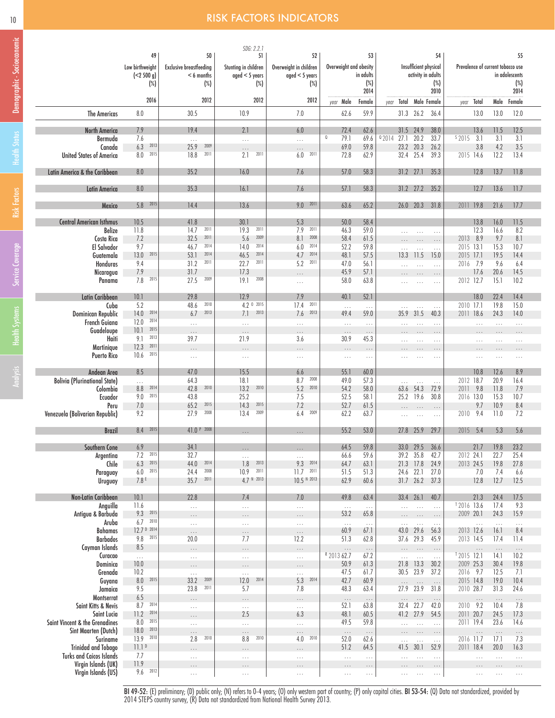### 10 **RISK FACTORS INDICATORS**

|                                                               | 49                       | 50                             | SDG: 2.2.<br>51         | 52                     |                         | 53                   |                        | 54                                           |                                   |                      | 55                   |
|---------------------------------------------------------------|--------------------------|--------------------------------|-------------------------|------------------------|-------------------------|----------------------|------------------------|----------------------------------------------|-----------------------------------|----------------------|----------------------|
|                                                               | Low birthweight          | <b>Exclusive breastfeeding</b> | Stunting in children    | Overweight in children | Overweight and obesity  |                      |                        | Insufficient physical                        | Prevalence of current tobacco use |                      |                      |
|                                                               | (<2500 g)                | $< 6$ months                   | $aged < 5$ years        | $aged < 5$ years       |                         | in adults            |                        | activity in adults                           |                                   |                      | in adolescents       |
|                                                               | $(\%)$                   | $(\%)$                         | $(\%)$                  | $(\%)$                 |                         | $(\%)$<br>2014       |                        | $(\%)$<br>2010                               |                                   |                      | $(\%)$<br>2014       |
|                                                               | 2016                     | 2012                           | 2012                    | 2012                   | year Male               | Female               | vear                   | Total Male Female                            | Total<br>year                     |                      | Male Female          |
| <b>The Americas</b>                                           | 8.0                      | 30.5                           | 10.9                    | 7.0                    | 62.6                    | 59.9                 | 31.3 26.2              | 36.4                                         | 13.0                              | 13.0                 | 12.0                 |
| <b>North America</b>                                          | 7.9                      | 19.4                           | 2.1                     | 6.0                    | 72.4                    | 62.6                 | 31.5 24.9              | 38.0                                         | 13.6                              | 11.5                 | 12.5                 |
| Bermuda                                                       | 7.6                      | $\ldots$                       | $\ldots$                | $\ldots$               | Q<br>79.1               | 69.6                 | 92014<br>27.1          | 20.2<br>33.7                                 | $s$ 2015<br>3.1                   | 3.1                  | 3.1                  |
| Canada                                                        | 6.3<br>2013              | 25.9<br>2009                   | $\cdots$                | $\cdots$               | 69.0                    | 59.8                 | 23.2 20.3              | 26.2                                         | 3.8                               | 4.2                  | 3.5                  |
| <b>United States of America</b>                               | 2015<br>8.0              | 2011<br>18.8                   | 2011<br>2.1             | 2011<br>6.0            | 72.8                    | 62.9                 | 32.4                   | 25.4<br>39.3                                 | 2015 14.6                         | 12.2                 | 13.4                 |
| Latin America & the Caribbean                                 | 8.0                      | 35.2                           | 16.0                    | 7.6                    | 57.0                    | 58.3                 | $31.2$ $27.1$          | 35.3                                         | 12.8                              | 13.7                 | 11.8                 |
| <b>Latin America</b>                                          | 8.0                      | 35.3                           | 16.1                    | 7.6                    | 57.1                    | 58.3                 | 31.2 27.2              | 35.2                                         | 12.7                              | 13.6                 | 11.7                 |
| <b>Mexico</b>                                                 | 5.8 2015                 | 14.4                           | 13.6                    | $9.0$ 2011             | 63.6                    | 65.2                 | 26.0 20.3              | 31.8                                         | 2011 19.8                         | 21.6                 | 17.7                 |
| <b>Central American Isthmus</b>                               | 10.5                     | 41.8                           | 30.1                    | 5.3                    | 50.0                    | 58.4                 |                        |                                              | 13.8                              | 16.0                 | 11.5                 |
| Belize                                                        | 11.8                     | 2011<br>14.7                   | 2011<br>19.3            | 2011<br>7.9            | 46.3                    | 59.0                 | $\cdots$               | $\cdots$<br>$\ldots$                         | 12.3                              | 16.6                 | 8.2                  |
| Costa Rica                                                    | 7.2                      | 2011<br>32.5                   | 5.6<br>2009             | 8.1<br>2008            | 58.4                    | 61.5                 |                        | $\ldots$<br>$\ldots$                         | 2013 8.9                          | 9.7                  | 8.1                  |
| El Salvador                                                   | 9.7<br>2015              | 2014<br>46.7<br>53.1<br>2014   | 2014<br>14.0<br>2014    | 2014<br>6.0<br>2014    | 52.2                    | 59.8                 |                        | $\ldots$                                     | 2015 13.1                         | 15.3                 | 10.7                 |
| Guatemala<br>Honduras                                         | 13.0<br>9.4              | 2011<br>31.2                   | 46.5<br>2011<br>22.7    | 4.7<br>2011<br>5.2     | 48.1<br>47.0            | 57.5<br>56.1         | 13.3                   | 11.5<br>15.0                                 | 2015 17.1<br>2016 7.9             | 19.5<br>9.6          | 14.4<br>6.4          |
| Nicaragua                                                     | 7.9                      | 31.7                           | 17.3                    | $\cdots$               | 45.9                    | 57.1                 |                        | $\ldots$<br>$\ldots$<br>$\cdots$             | 17.6                              | 20.6                 | 14.5                 |
| Panama                                                        | 7.8<br>2015              | 2009<br>27.5                   | 2008<br>19.1            | $\ldots$               | 58.0                    | 63.8                 | $\cdots$               | $\ldots$<br>$\cdots$                         | 2012 12.7                         | 15.1                 | 10.2                 |
|                                                               |                          |                                |                         |                        |                         |                      |                        |                                              |                                   |                      |                      |
| Latin Caribbean                                               | 10.1                     | 29.8<br>2010                   | 12.9<br>4.2 0 2015      | 7.9<br>2011            | 40.1                    | 52.1                 |                        |                                              | 18.0<br>2010 17.1                 | 22.4                 | 14.4                 |
| Cuba<br>Dominican Republic                                    | 5.2<br>14.0 2014         | 48.6<br>6.7<br>2013            | 7.1<br>2013             | 17.4<br>2013<br>7.6    | $\ldots$<br>49.4        | $\ldots$<br>59.0     | 35.9                   | $\sim$<br>$\ldots$<br>31.5<br>40.3           | 2011 18.6                         | 19.8<br>24.3         | 15.0<br>14.0         |
| French Guiana                                                 | 2014<br>12.0             | $\ldots$                       | $\ldots$                | $\ldots$               | $\ldots$                | $\ldots$             | $\cdots$               | $\sim$ $\sim$ $\sim$<br>$\ldots$             | $\ldots$ .                        | $\ldots$             | $\ldots$             |
| Guadeloupe                                                    | $10.1$ 2015              | $\cdots$                       | $\cdots$                | $\cdots$               | $\cdots$                | $\cdots$             | $\cdots$               | $\cdots$<br>$\cdots$                         | $\cdots$                          | $\cdots$             | $\cdots$             |
| Haiti                                                         | 2013<br>9.1              | 39.7                           | 21.9                    | 3.6                    | 30.9                    | 45.3                 | $\cdots$               | $\cdots$<br>$\cdots$                         | $\cdots$                          | $\cdots$             | $\cdots$             |
| Martinique                                                    | 12.3<br>2011             | $\cdots$                       | $\cdots$                | $\cdots$               | $\cdots$                | $\ldots$             |                        | $\cdots$                                     | $\cdots$                          | $\cdots$             | $\cdots$             |
| <b>Puerto Rico</b>                                            | $10.6$ 2015              | $\ldots$                       | $\ldots$                | $\ldots$               | $\ldots$                | $\ldots$             |                        | $\ldots$                                     | $\cdots$                          | $\cdots$             | $\ldots$             |
| Andean Area                                                   | 8.5                      | 47.0                           | 15.5                    | 6.6                    | 55.1                    | 60.0                 |                        |                                              | 10.8                              | 12.6                 | 8.9                  |
| <b>Bolivia (Plurinational State)</b>                          | $\cdots$                 | 64.3                           | 18.1                    | 2008<br>8.7            | 49.0                    | 57.3                 |                        | $\cdots$                                     | 2012 18.7                         | 20.9                 | 16.4                 |
| Colombia                                                      | 2014<br>8.8              | 2010<br>42.8                   | 2010<br>13.2            | 5.2<br>2010            | 54.2                    | 58.0                 | 63.6                   | 54.3<br>72.9                                 | 2011<br>9.8                       | 11.8                 | 7.9                  |
| Ecuador<br>Peru                                               | 9.0 2015<br>7.0          | 43.8<br>65.2<br>2015           | 25.2<br>2015<br>14.3    | 7.5<br>7.2             | 52.5<br>52.7            | 58.1<br>61.5         | 25.2 19.6              | 30.8                                         | 2016 13.0<br>9.7                  | 15.3<br>10.9         | 10.7<br>8.4          |
| Venezuela (Bolivarian Republic)                               | 9.2                      | 2008<br>27.9                   | 13.4<br>2009            | 6.4<br>2009            | 62.2                    | 63.7                 | $\cdots$<br>$\cdots$   | $\ldots$<br>$\cdots$<br>$\ldots$<br>$\ldots$ | 2010 9.4                          | 11.0                 | 7.2                  |
|                                                               |                          |                                |                         |                        |                         |                      |                        |                                              |                                   |                      |                      |
| <b>Brazil</b>                                                 | 8.4 2015                 | 41.0 P 2008                    | $\cdots$                |                        | 55.2                    | 53.0                 | 27.8 25.9              | 29.7                                         | 2015 5.4                          | 5.3                  | 5.6                  |
| Southern Cone                                                 | 6.9<br>1.2<br>2015       | 34.1<br>32.1                   | $\cdots$                |                        | 64.5<br>66.6            | 59.8<br>59.6         | 33.0 29.5<br>39.2 35.8 | 36.6<br>42.1                                 | 21.7<br>2012 24.1                 | 19.8<br>22.1         | 23.2<br>25.4         |
| Argentina<br>Chile                                            | 2015<br>6.3              | 2014<br>44.0                   | $\ldots$<br>2013<br>1.8 | $\ldots$<br>9.3 2014   | 64.7                    | 63.1                 | 21.3 17.8              | 24.9                                         | 2013 24.5                         | 19.8                 | 27.8                 |
| Paraguay                                                      | 2015<br>$6.0\,$          | 2008<br>24.4                   | 10.9<br>2011            | $11.7$ 2011            | 51.5                    | 51.3                 | 24.6 22.1              | 27.0                                         | 7.0                               | 7.4                  | 6.6                  |
| Uruguay                                                       | 7.8E                     | 2011<br>35.7                   | 4.7 N 2013              | 10.5 N 2013            | 62.9                    | 60.6                 | $31.7$ 26.2            | 37.3                                         | 12.8                              | 12.7                 | 12.5                 |
|                                                               | 10.1                     | 22.8                           | 7.4                     | 7.0                    | 49.8                    |                      | 33.4 26.1              | 40.7                                         | 21.3                              | 24.4                 | 17.5                 |
| Non-Latin Caribbean<br>Anguilla                               | 11.6                     | $\ldots$                       | $\ldots$                | $\ldots$               | $\ldots$                | 63.4<br>$\ldots$     | $\ldots$               | $\ldots$<br>$\ldots$                         | <sup>T</sup> 2016 13.6            | 17.4                 | 9.3                  |
| Antigua & Barbuda                                             | 2015<br>9.3              | $\cdots$                       | $\cdots$                | $\cdots$               | 53.2                    | 65.8                 | $\cdots$               | $\sim$<br>$\ldots$                           | 2009 20.1                         | 24.3                 | 15.9                 |
| Aruba                                                         | 2010<br>6.7              | $\sim$ .                       | $\ldots$                | $\ldots$               | $\ldots$                | $\ldots$             | $\ldots$               | $\ldots$<br>$\ldots$                         | $\ldots$                          | $\ldots$             | $\ldots$             |
| Bahamas                                                       | 12.7 D 2014              | $\cdots$                       | $\cdots$                | $\ldots$               | 60.9                    | 67.1                 | 43.0                   | 29.6<br>56.3                                 | 2013 12.6                         | 16.1                 | 8.4                  |
| <b>Barbados</b>                                               | 9.8 2015                 | 20.0                           | 7.7                     | 12.2                   | 51.3                    | 62.8                 | 37.6 29.3              | 45.9                                         | 2013 14.5                         | 17.4                 | 11.4                 |
| Cayman Islands<br>Curacao                                     | 8.5<br>$\ldots$          | $\cdots$<br>$\sim$ .           | $\cdots$<br>$\ldots$    | $\ldots$<br>$\ldots$   | $\ldots$<br>R 2013 62.7 | $\ldots$<br>67.2     | $\cdots$<br>$\ldots$   | $\ldots$<br>.<br>$\sim 10$<br>$\ldots$       | $\ldots$<br>$12015$ 12.1          | $\ldots$<br>14.1     | $\ldots$<br>10.2     |
| Dominica                                                      | 10.0                     | $\cdots$                       | $\cdots$                | $\cdots$               | 50.9                    | 61.3                 | 21.8 13.3              | 30.2                                         | 2009 25.3                         | 30.4                 | 19.8                 |
| Grenada                                                       | 10.2                     | $\sim$ .                       | $\ldots$                | $\ldots$               | 47.5                    | 61.7                 | 30.5 23.9              | 37.2                                         | 2016 9.7                          | 12.5                 | 7.1                  |
| Guyana                                                        | 8.0 2015                 | 33.2<br>2009                   | 2014<br>12.0            | 2014<br>5.3            | 42.7                    | 60.9                 | $\ldots$               | $\ldots$<br>$\ldots$                         | 2015 14.8                         | 19.0                 | 10.4                 |
| Jamaica                                                       | 9.5                      | 2011<br>23.8                   | 5.7                     | 7.8                    | 48.3                    | 63.4                 | 27.9 23.9              | 31.8                                         | 2010 28.7                         | 31.3                 | 24.6                 |
| Montserrat<br>Saint Kitts & Nevis                             | 6.5<br>2014<br>8.7       | $\cdots$<br>$\ldots$           | $\cdots$<br>$\ldots$    | $\cdots$<br>$\ldots$   | $\ldots$<br>52.1        | $\ldots$<br>63.8     | $\ldots$<br>32.4       | $\ldots$<br>$\ldots$<br>22.7<br>42.0         | $\ldots$<br>2010 9.2              | $\cdots$<br>10.4     | $\ldots$<br>7.8      |
| Saint Lucia                                                   | 2014<br>11.2             | $\cdots$                       | 2.5                     | 6.3                    | 48.1                    | 60.5                 | 41.2 27.9              | 54.5                                         | 2011 20.7                         | 24.5                 | 17.3                 |
| Saint Vincent & the Grenadines                                | 2015<br>8.0              | $\ldots$                       | $\cdots$                | $\ldots$               | 49.5                    | 59.8                 | $\ldots$               | $\ldots$<br>$\ldots$                         | 2011 19.4                         | 23.6                 | 14.6                 |
| Sint Maarten (Dutch)                                          | 18.0<br>2013             | $\cdots$                       | $\cdots$                | $\ldots$               | $\ldots$                | $\ldots$             | $\cdots$               | $\ldots$<br>$\ldots$                         | $\ldots$                          | $\ldots$             | $\ldots$             |
| Suriname                                                      | 2010<br>13.9             | 2010<br>2.8                    | 2010<br>8.8             | 2010<br>4.0            | 52.0                    | 62.6                 | $\cdots$               | $\ldots$<br>$\ldots$                         | 2016 11.7                         | 17.1                 | 7.3                  |
| <b>Trinidad and Tobago</b><br><b>Turks and Caicos Islands</b> | 11.1 <sup>0</sup><br>7.7 | $\cdots$                       | $\cdots$                | $\cdots$               | 51.2                    | 64.5                 | 41.5                   | 30.1<br>52.9                                 | 2011 18.4                         | 20.0                 | 16.3                 |
| Virgin Islands (UK)                                           | 11.9                     | $\ldots$                       | $\ldots$<br>$\cdots$    | $\cdots$<br>$\cdots$   | $\ldots$<br>$\cdots$    | $\ldots$<br>$\ldots$ | $\ldots$               | $\ldots$<br>$\ldots$<br>$\cdots$             | $\ldots$<br>$\cdots$              | $\ldots$<br>$\cdots$ | $\ldots$<br>$\cdots$ |
| Virgin Islands (US)                                           | 2012<br>9.6              | $\ldots$                       | $\ldots$                | $\ldots$               | $\ldots$                | $\ldots$             |                        | $\ldots$                                     |                                   |                      | $\cdots$             |
|                                                               |                          |                                |                         |                        |                         |                      |                        |                                              |                                   |                      |                      |

BI 49-52: (E) preliminary; (D) public only; (N) refers to 0-4 years; (O) only western part of country; (P) only capital cities. BI 53-54: (Q) Data not standardized, provided by 2014 STEPS country survey, (R) Data not standardized from National Health Survey 2013.

Demographic - Socioeconomic

Demographic - Socioeconomic

Risk Factors Service Coverage **Risk Factors Health Status** 

Service Coverage

Health Systems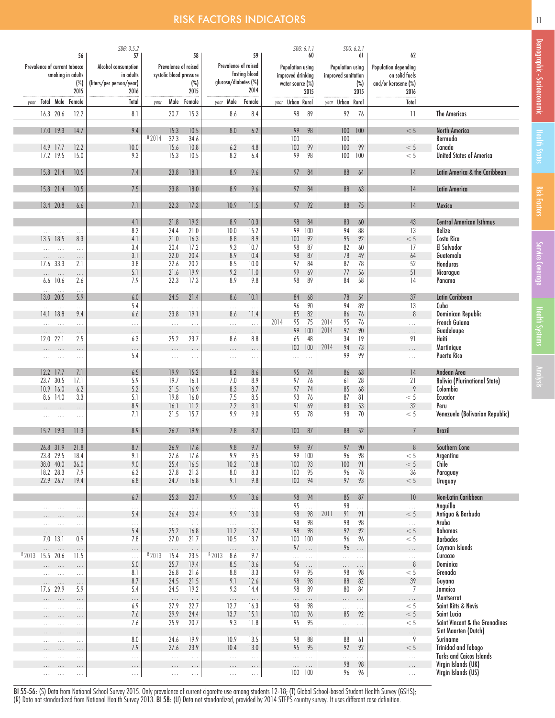### **RISK FACTORS INDICATORS 11 April 2018 12 April 2019 12 April 2019 12 April 2019**

|                               |                      |                                   |                      | SDG: 3.5.2                       |                                                 |                     |                          |                 |                                       | SDG: 6.1.1          |                                         | SDG: 6.2.1 |                                        |                                                               |
|-------------------------------|----------------------|-----------------------------------|----------------------|----------------------------------|-------------------------------------------------|---------------------|--------------------------|-----------------|---------------------------------------|---------------------|-----------------------------------------|------------|----------------------------------------|---------------------------------------------------------------|
|                               |                      |                                   | 56                   | 57                               |                                                 | 58                  |                          | 59              |                                       | 60                  |                                         | 61         | 62                                     |                                                               |
| Prevalence of current tobacco |                      | smoking in adults                 |                      | Alcohol consumption<br>in adults | Prevalence of raised<br>systolic blood pressure |                     | Prevalence of raised     | fasting blood   | Population using<br>improved drinking |                     | Population using<br>improved sanitation |            | Population depending<br>on solid fuels |                                                               |
|                               |                      |                                   | $(\%)$               | (liters/per person/year)         |                                                 | $(\%)$              | glucose/diabetes (%)     |                 | water source (%)                      |                     |                                         | $(\%)$     | and/or kerosene (%)                    |                                                               |
|                               |                      |                                   | 2015                 | 2016                             |                                                 | 2015                |                          | 2014            |                                       | 2015                |                                         | 2015       | 2016                                   |                                                               |
| year                          |                      |                                   | Total Male Female    | Total                            | year                                            | Male Female         | year Male                | Female          | year Urban Rural                      |                     | year Urban Rural                        |            | Total                                  |                                                               |
|                               |                      | 16.3 20.6                         | 12.2                 | 8.1                              | 20.7                                            | 15.3                | 8.6                      | 8.4             | 98                                    | 89                  | 92                                      | 76         | 11                                     | <b>The Americas</b>                                           |
|                               |                      | 17.0 19.3                         | 14.7                 | 9.4                              | 15.3                                            | 10.5                | 8.0                      | 6.2             | 99                                    | 98                  | 100                                     | 100        | < 5                                    | <b>North America</b>                                          |
|                               | $\cdots$             | $\ldots$                          | $\ldots$             | $\cdots$                         | 02014<br>32.3                                   | 34.6                | $\ldots$                 | .               | 100                                   | $\ddotsc$           | 100                                     | $\ldots$   | $\ldots$                               | Bermuda                                                       |
|                               |                      | 14.9 17.7                         | 12.2                 | 10.0                             | 15.6                                            | 10.8                | $6.2\,$                  | 4.8             | 100                                   | 99                  | 100                                     | 99         | < 5                                    | Canada                                                        |
|                               |                      | 17.2 19.5                         | 15.0                 | 9.3                              | 15.3                                            | 10.5                | 8.2                      | 6.4             | 99                                    | 98                  | 100                                     | 100        | < 5                                    | <b>United States of America</b>                               |
|                               |                      | 15.8 21.4                         | 10.5                 | 7.4                              | 23.8                                            | 18.1                | 8.9                      | 9.6             | 97                                    | 84                  | 88                                      | 64         | 14                                     | Latin America & the Caribbean                                 |
|                               |                      | 15.8 21.4                         | 10.5                 | 7.5                              | 23.8                                            | 18.0                | 8.9                      | 9.6             | 97                                    | 84                  | 88                                      | 63         | 14                                     |                                                               |
|                               |                      |                                   |                      |                                  |                                                 |                     |                          |                 |                                       |                     |                                         |            |                                        | <b>Latin America</b>                                          |
|                               |                      | 13.4 20.8                         | 6.6                  | 7.1                              | 22.3                                            | 17.3                | 10.9                     | 11.5            | 97                                    | 92                  | 88                                      | 75         | 4                                      | Mexico                                                        |
|                               |                      |                                   |                      | 4.1                              | 21.8                                            | 19.2                | 8.9                      | 10.3            | 98                                    | 84                  | 83                                      | 60         | 43                                     | <b>Central American Isthmus</b>                               |
|                               |                      | $\mathbb{P}(\mathbb{P}^1)$ . Then | $\ldots$             | 8.2                              | 24.4                                            | 21.0                | 10.0                     | 15.2            | 99                                    | 100                 | 94                                      | 88         | 13                                     | <b>Belize</b>                                                 |
|                               |                      | 13.5 18.5                         | 8.3                  | 4.1                              | 21.0                                            | 16.3                | 8.8                      | 8.9             | 100                                   | 92                  | 95                                      | 92         | < 5                                    | Costa Rica                                                    |
|                               | ia.                  | $\ldots$                          | $\ldots$             | 3.4                              | 20.4                                            | 17.2                | 9.3                      | 10.7            | 98                                    | 87                  | 82                                      | 60         | 17                                     | El Salvador                                                   |
|                               | $\cdots$             | $\dots$                           | $\cdots$             | 3.1                              | 22.0                                            | 20.4                | 8.9                      | 10.4            | 98                                    | 87                  | 78                                      | 49         | 64                                     | Guatemala                                                     |
|                               |                      | 17.6 33.3                         | 2.1                  | 3.8                              | 22.6                                            | 20.2                | 8.5                      | 10.0            | 97                                    | 84                  | 87                                      | 78         | 52                                     | Honduras                                                      |
|                               | $\cdots$             | $\ldots$                          | $\ldots$             | 5.1                              | 21.6                                            | 19.9                | 9.2                      | 11.0            | 99                                    | 69                  | 77                                      | 56         | 51                                     | Nicaragua                                                     |
|                               | $\cdots$             | $6.6$ 10.6<br>$\ldots$            | 2.6<br>$\ldots$      | 7.9                              | 22.3                                            | 17.3                | 8.9                      | 9.8             | 98                                    | 89                  | 84                                      | 58         | 14                                     | Panama                                                        |
|                               |                      | 13.0 20.5                         | 5.9                  | $6.0\,$                          | 24.5                                            | 21.4                | 8.6                      | 10.1            | 84                                    | 68                  | 78                                      | 54         | 37                                     | Latin Caribbean                                               |
|                               | $\cdots$             | $\bar{1}$ , $\bar{1}$             | $\cdots$             | 5.4                              | $\ldots$                                        | $\ldots$            | $\ldots$                 | $\ldots$        | 96                                    | 90                  | 94                                      | 89         | 13                                     | Cuba                                                          |
|                               |                      | 14.1 18.8                         | 9.4                  | 6.6                              | 23.8                                            | 19.1                | 8.6                      | 11.4            | 85                                    | 82                  | 86                                      | 76         | 8                                      | Dominican Republic                                            |
|                               | $\cdots$             | $\ldots$                          | $\ldots$             | .                                | .                                               | $\ldots$            | .                        | $\ldots$        | 2014<br>95<br>99                      | 75<br>100           | 2014<br>95<br>2014                      | 76<br>90   | $\ldots$                               | French Guiana<br>Guadeloupe                                   |
|                               | $\cdots$             | $\dots$<br>12.0 22.1              | $\ldots$<br>2.5      | $\ldots$<br>6.3                  | $\ldots$<br>25.2                                | $\ldots$<br>23.7    | $\ldots$<br>8.6          | $\cdots$<br>8.8 | 65                                    | 48                  | 97<br>34                                | 19         | $\cdots$<br>91                         | Haiti                                                         |
|                               | .                    | $\cdots$                          | $\ldots$             | $\cdots$                         | $\cdots$                                        | .                   | $\cdots$                 | .               | 100                                   | 100                 | 2014<br>94                              | 73         |                                        | Martinique                                                    |
|                               | $\cdots$             | $\cdots$                          | $\ldots$             | 5.4                              | $\sim$ $\sim$ $\sim$                            | $\cdots$            | $\sim$ $\sim$ $\sim$     | $\cdots$        | $\cdots$                              | $\sim$ . $\sim$     | 99                                      | 99         | $\ldots$                               | <b>Puerto Rico</b>                                            |
|                               |                      |                                   |                      |                                  |                                                 |                     |                          |                 |                                       |                     |                                         |            |                                        |                                                               |
|                               |                      | 12.2 17.7                         | 7.1                  | 6.5                              | 19.9                                            | 15.2                | 8.2                      | 8.6             | 95                                    | 74                  | 86                                      | 63         | 14                                     | Andean Area                                                   |
|                               |                      | 23.7 30.5                         | 17.1                 | 5.9                              | 19.7                                            | 16.1                | 7.0                      | 8.9             | 97                                    | 76                  | 61                                      | 28         | 21                                     | <b>Bolivia (Plurinational State)</b>                          |
|                               |                      | 10.9 16.0                         | 6.2                  | 5.2                              | 21.5                                            | 16.9                | 8.3                      | 8.7             | 97                                    | 74                  | 85                                      | 68         | 9                                      | Colombia                                                      |
|                               |                      | 8.6 14.0                          | 3.3                  | 5.1<br>8.9                       | 19.8<br>16.1                                    | 16.0<br>11.2        | 7.5<br>7.2               | 8.5<br>8.1      | 93<br>91                              | 76<br>69            | 87<br>83                                | 81<br>53   | $< 5\,$<br>32                          | Ecuador<br>Peru                                               |
|                               | $\cdots$             | $\cdots$<br>$\cdots$              | $\cdots$             | 7.1                              | 21.5                                            | 15.7                | 9.9                      | 9.0             | 95                                    | 78                  | 98                                      | 70         | < 5                                    | Venezuela (Bolivarian Republic)                               |
|                               |                      |                                   | $\ldots$             |                                  |                                                 |                     |                          |                 |                                       |                     |                                         |            |                                        |                                                               |
|                               |                      | 15.2 19.3                         | 11.3                 | 8.9                              | 26.7                                            | 19.9                | 7.8                      | 8.7             | 100                                   | 87                  | 88                                      | 52         |                                        | <b>Brazil</b>                                                 |
|                               |                      | 26.8 31.9                         | 21.8                 | 8.7                              | 26.9                                            | 17.6                | 9.8                      | 9.7             | 99                                    | 97                  | 97                                      | 90         | 8                                      | Southern Cone                                                 |
|                               |                      | 23.8 29.5                         | 18.4                 | 9.1                              | 27.6                                            | 17.6                | 9.9                      | 9.5             | 99                                    | 100                 | 96                                      | 98         | < 5                                    | Argentina                                                     |
|                               |                      | 38.0 40.0                         | 36.0                 | 9.0                              | 25.4                                            | 16.5                | 10.2                     | 10.8            | 100                                   | 93                  | 100                                     | 91         | < 5                                    | Chile                                                         |
|                               |                      | 18.2 28.3                         | 7.9                  | 6.3                              | 27.8                                            | 21.3                | $8.0\,$                  | 8.3             | 100                                   | 95                  | 96                                      | 78         | 36                                     | Paraguay                                                      |
|                               |                      | 22.9 26.7                         | 19.4                 | 6.8                              | 24.7                                            | 16.8                | 9.1                      | 9.8             | 100                                   | 94                  | 97                                      | 93         | < 5                                    | Uruguay                                                       |
|                               |                      |                                   |                      | 6.7                              | 25.3                                            | 20.7                | 9.9                      | 13.6            | 98                                    | 94                  | 85                                      | 87         | 10                                     | Non-Latin Caribbean                                           |
|                               | $\ldots$             | $\cdots$                          | $\cdots$             | .                                | $\sim$ $\sim$                                   | $\ldots$            | $\ldots$                 | $\ldots$        | 95                                    | i.                  | 98                                      | .          | $\ldots$                               | Anguilla                                                      |
|                               |                      |                                   | $\cdots$             | 5.4                              | 26.4                                            | 20.4                | 9.9                      | 13.0            | 98                                    | 98                  | 2011<br>91                              | 91         | < 5                                    | Antigua & Barbuda                                             |
|                               | $\cdots$             | $\cdots$                          | $\ldots$             | .                                | $\ldots$                                        | $\ldots$            | $\ldots$                 | $\ldots$        | 98                                    | 98                  | 98                                      | 98         | $\bar{\mathcal{L}}$ .                  | Aruba                                                         |
|                               | $\cdots$             | $\cdots$                          | $\ldots$             | 5.4                              | 25.2                                            | 16.8                | 11.2                     | 13.7            | 98                                    | 98                  | 92                                      | 92         | < 5                                    | <b>Bahamas</b>                                                |
|                               |                      | $7.0$ 13.1                        | 0.9                  | 7.8                              | 27.0                                            | 21.7                | 10.5                     | 13.7            |                                       | 100 100             | 96                                      | 96         | < 5                                    | <b>Barbados</b>                                               |
|                               | $\cdots$             | $\ldots$                          | $\ldots$             | $\cdots$                         | $\ldots$                                        | $\ldots$            | $\ldots$                 | $\ldots$        | 97                                    | $\ldots$            | 96                                      | $\cdots$   | $\ldots$                               | Cayman Islands                                                |
| R 2013                        |                      | 15.5 20.6                         | 11.5                 | .                                | R 2013<br>15.4                                  | 23.5                | R <sub>2013</sub><br>8.6 | 9.7             | .                                     | $\ldots$            | $\ldots$                                | $\ldots$   | $\ldots$                               | Curacao                                                       |
|                               | $\cdots$             | $\ldots$                          | $\ldots$             | 5.0                              | 25.7                                            | 19.4                | 8.5                      | 13.6            | 96                                    | $\ldots$            | $\cdots$                                | $\ldots$   | $\, 8$                                 | Dominica                                                      |
|                               | $\cdots$             | $\ldots$                          | $\ldots$             | 8.1<br>8.7                       | 26.8<br>24.5                                    | 21.6<br>21.5        | $8.8\,$<br>9.1           | 13.3<br>12.6    | 99<br>98                              | 95<br>98            | 98<br>88                                | 98<br>82   | < 5<br>39                              | Grenada<br>Guyana                                             |
|                               | $\cdots$<br>17.6     | $\ldots$<br>29.9                  | $\cdots$<br>5.9      | 5.4                              | 24.5                                            | 19.2                | 9.3                      | 14.4            | 98                                    | 89                  | 80                                      | 84         | $\overline{7}$                         | Jamaica                                                       |
|                               | $\cdots$             | $\cdots$                          | $\ldots$             | $\cdots$                         | $\ldots$                                        | $\ldots$            | $\ldots$                 | $\ldots$        | $\cdots$                              | $\cdots$            | .                                       | $\cdots$   | $\ldots$                               | Montserrat                                                    |
|                               | $\cdots$             | $\cdots$                          | $\ldots$             | 6.9                              | 27.9                                            | 22.7                | 12.7                     | 16.3            | 98                                    | 98                  | $\ldots$ .                              | $\ldots$   | < 5                                    | Saint Kitts & Nevis                                           |
|                               | $\cdots$             | $\cdots$                          | $\cdots$             | 7.6                              | 29.9                                            | 24.4                | 13.7                     | 15.1            | $100$                                 | 96                  | 85                                      | 92         | < 5                                    | Saint Lucia                                                   |
|                               | $\cdots$             | $\ldots$                          | $\ldots$             | 7.6                              | 25.9                                            | 20.7                | 9.3                      | 11.8            | 95                                    | 95                  | $\ldots$                                | $\ldots$   | < 5                                    | Saint Vincent & the Grenadines                                |
|                               |                      |                                   | $\ldots$             | $\cdots$                         | $\ldots$                                        | $\ldots$            | $\ldots$                 | $\ldots$        | $\cdots$                              |                     | $\cdots$                                | $\cdots$   | $\ldots$                               | Sint Maarten (Dutch)                                          |
|                               | $\cdots$             | $\ldots$                          | $\ldots$             | 8.0                              | 24.6                                            | 19.9                | 10.9                     | 13.5            | 98                                    | 88                  | 88                                      | 61         | 9                                      | Suriname                                                      |
|                               | $\cdots$             |                                   | $\cdots$             | 7.9                              | 27.6                                            | 23.9                | 10.4                     | 13.0            | 95                                    | 95                  | 92                                      | 92         | < 5                                    | <b>Trinidad and Tobago</b><br><b>Turks and Caicos Islands</b> |
|                               |                      | $\cdots$                          | $\ldots$             | .                                | $\ldots$                                        | .                   | $\ldots$                 | .               |                                       | $\ldots$            | .<br>98                                 | .<br>98    | $\ldots$                               | Virgin Islands (UK)                                           |
|                               | $\cdots$<br>$\cdots$ | $\sim$ $\sim$ $\sim$              | $\cdots$<br>$\ldots$ | $\ldots$<br>$\ldots$             | $\cdots$<br>$\ldots$                            | $\cdots$<br>$\dots$ | $\cdots$<br>$\ldots$     | $\cdots$<br>.   | $\cdots$                              | $\ldots$<br>100 100 | 96                                      | 96         | $\cdots$<br>$\ldots$                   | Virgin Islands (US)                                           |
|                               |                      |                                   |                      |                                  |                                                 |                     |                          |                 |                                       |                     |                                         |            |                                        |                                                               |

BI 55-56: (S) Data from National School Survey 2015. Only prevalence of current cigarette use among students 12-18; (T) Global School-based Student Health Survey (GSHS); (R) Data not standardized from National Health Survey 2013. BI 58: (U) Data not standardized, provided by 2014 STEPS country survey. It uses different case definition.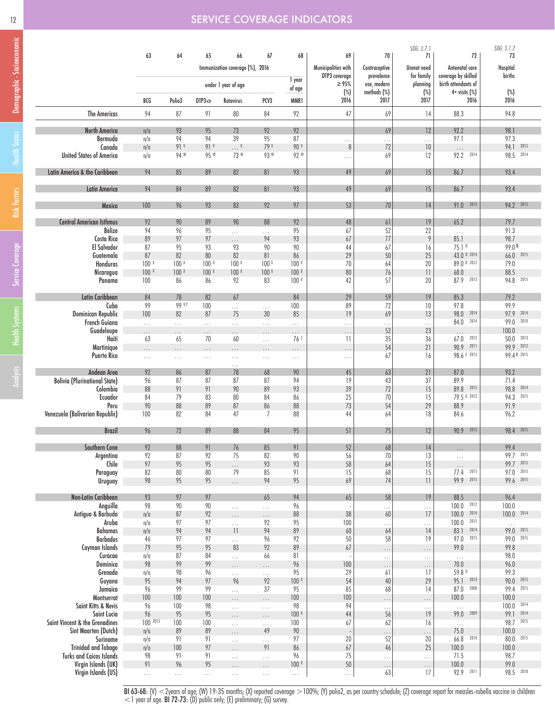# Demographic - Socioeconomic Analysis Health Systems Service Coverage Hisk Factors Health Status Demographic - Socioeconomic

| 12 |  |  |  |  |  |  |  |  |  | <b>SERVICE COVERAGE INDICATORS</b> |  |  |
|----|--|--|--|--|--|--|--|--|--|------------------------------------|--|--|
|    |  |  |  |  |  |  |  |  |  |                                    |  |  |

|                                      |                  |                  |                  |                                 |                  |                        |                              |                           | SDG: 3.7.1                    |                                       | SDG: 3.1.2                 |
|--------------------------------------|------------------|------------------|------------------|---------------------------------|------------------|------------------------|------------------------------|---------------------------|-------------------------------|---------------------------------------|----------------------------|
|                                      | 63               | 64               | 65               | 66                              | 67               | 68                     | 69                           | 70                        | 71                            | 72                                    | 73                         |
|                                      |                  |                  |                  | Immunization coverage (%), 2016 |                  |                        | Municipalities with          | Contraceptive             | Unmet need                    | Antenatal care<br>coverage by skilled | Hospital<br>births         |
|                                      |                  |                  |                  | under 1 year of age             |                  | 1 year                 | DTP3 coverage<br>$\geq 95\%$ | prevalence<br>use, modern | for family<br>planning        | birth attendants of                   |                            |
|                                      | BCG              | Polio3           | DTP3-cv          | Rotavirus                       | PCV3             | of age<br>MMR1         | $(\%)$<br>2016               | methods (%)<br>2017       | $(\%)$<br>2017                | $4+$ visits $(\%)$<br>2016            | $(\%)$<br>2016             |
| <b>The Americas</b>                  | 94               | 87               | 91               | $80\,$                          | 84               | 92                     | 47                           | 69                        | 14                            | 88.3                                  | 94.8                       |
| North America                        | n/a              | 93               | 95               | 73                              | 92               | 92                     |                              | 69                        | 12                            | 92.2                                  | 98.1                       |
| Bermuda                              | n/a              | 94               | 94               | 39                              | 95               | 87                     | $\ldots$                     | $\cdots$                  | $\ldots$                      | 97.1                                  | 97.3                       |
| Canada                               | n/a              | 91 <sup>V</sup>  | 91 <sup>V</sup>  | $\ldots$ V                      | 79 V             | 90 v                   | 8                            | 72                        | 10                            | $\ldots$                              | 94.1 2015                  |
| <b>United States of America</b>      | n/a              | 94 W             | 95 W             | 73 W                            | 93W              | 92 W                   | .                            | 69                        | 12                            | 92.2 2014                             | 98.5 2014                  |
|                                      | 94               | 85               | 89               | 82                              |                  | 93                     | 49                           |                           | 15                            | 86.7                                  | 93.4                       |
| Latin America & the Caribbean        |                  |                  |                  |                                 | 81               |                        |                              | 69                        |                               |                                       |                            |
| <b>Latin America</b>                 | 94               | 84               | 89               | 82                              | 81               | 93                     | 49                           | 69                        | 15                            | 86.7                                  | 93.4                       |
| Mexico                               | 100              | 96               | 93               | 83                              | 92               | 97                     | 53                           | 70                        | 14                            | 91.0 2015                             | 94.2 2015                  |
|                                      |                  |                  |                  |                                 |                  |                        |                              |                           |                               |                                       |                            |
| <b>Central American Isthmus</b>      | 92               | 90               | 89               | 90                              | 88               | $92$                   | $48\,$                       | 61                        | 19                            | 65.2                                  | 79.7                       |
| Belize                               | 94               | 96               | 95               | .                               | .                | 95                     | 67                           | 52                        | 22                            | $\ldots$                              | 91.3                       |
| Costa Rica<br>El Salvador            | 89<br>87         | 97<br>95         | 97<br>93         | $\cdots$<br>93                  | 94<br>90         | 93<br>90               | 67<br>44                     | $77\,$<br>67              | 9                             | 85.1<br>75.1 <sup>D</sup>             | 98.7<br>99.0 <sup>D</sup>  |
| Guatemala                            | 87               | 82               | 80               | 82                              | 81               | 86                     | 29                           | $50\,$                    | 16<br>25                      | 43.0 D 2014                           | 66.0 2015                  |
| Honduras                             | 100 <sub>x</sub> | 100 <sup>x</sup> | 100 <sup>x</sup> | 100 <sup>x</sup>                | 100 <sup>x</sup> | 100 <sup>X</sup>       | 70                           | 64                        | 20                            | 89.0 D 2012                           | 79.0                       |
| Nicaragua                            | $100 \times$     | 100 <sub>x</sub> | 100 <sub>x</sub> | 100 <sub>x</sub>                | 100 <sub>x</sub> | 100 <sub>x</sub>       | 80                           | 76                        | $\overline{\phantom{a}}$      | 68.0                                  | 88.5                       |
| Panama                               | 100              | 86               | 86               | 92                              | 83               | 100 <sub>x</sub>       | 42                           | 57                        | 20                            | 87.9 2013                             | 94.8 2015                  |
|                                      |                  |                  |                  |                                 |                  |                        |                              |                           |                               |                                       |                            |
| Latin Caribbean                      | 84               | 78               | 82               | 67                              |                  | 84                     | 29                           | 59                        | 19                            | 85.3                                  | 79.2                       |
| Cuba<br>Dominican Republic           | 99<br>100        | 99 V.Y<br>82     | 100<br>87        | .<br>75                         | $\ldots$<br>30   | 100<br>85              | 89<br>19                     | $72\,$<br>69              | 10<br>13                      | 97.8<br>98.0 2014                     | 99.9<br>97.9 2014          |
| French Guiana                        | $\ldots$         | $\cdots$         |                  |                                 |                  |                        |                              |                           |                               | 84.0<br>2014                          | 99.0 2010                  |
| Guadeloupe                           | $\cdots$         | .                | $\ldots$<br>.    | 22<br>.                         | $\ldots$<br>.    | .<br>$\cdots$          | $\cdots$<br>.                | .<br>$52\,$               | .<br>23                       | $\ldots$                              | 100.0                      |
| Haiti                                | 63               | 65               | 70               | 60                              | Н.               | 76 <sup>Z</sup>        | $\overline{11}$              | 35                        | 36                            | $67.0$ $2012$                         | 50.0 2013                  |
| Martinique                           |                  | .                | .                |                                 | $\cdots$         | $\cdots$               | .                            | 54                        | 21                            | 2011<br>90.9                          | 99.9 2012                  |
| <b>Puerto Rico</b>                   | $\ldots$         | $\ldots$         | $\ldots$         | $\ldots$                        | $\ldots$         | $\ldots$               | $\ldots$                     | 67                        | 16                            | 98.6 E 2015                           | 99.4 E 2015                |
|                                      |                  |                  |                  | .                               |                  |                        |                              |                           |                               |                                       |                            |
| Andean Area                          | 92               | 86               | 87               | 78                              | 68               | 90                     | 45                           | 63                        | $21\,$                        | 87.0                                  | 93.2                       |
| <b>Bolivia (Plurinational State)</b> | 96               | 87               | 87               | 87                              | 87               | 94                     | 19                           | 43                        | 37                            | 89.9                                  | 71.4                       |
| Colombia                             | 88               | 91               | 91               | 90                              | 89               | 93                     | 39                           | $72\,$                    | 15                            | 89.8 2015                             | 98.8 2014                  |
| Ecuador<br>Peru                      | 84<br>90         | 79<br>88         | 83<br>89         | 80<br>87                        | 84<br>86         | 86<br>88               | 25<br>73                     | 70<br>54                  | 15<br>29                      | 79.5 6 2012<br>88.9                   | 94.3 2015<br>91.9          |
| Venezuela (Bolivarian Republic)      | 100              | 82               | 84               | 47                              | $\overline{7}$   | 88                     | 44                           | 64                        | 18                            | 84.6                                  | 96.2                       |
|                                      |                  |                  |                  |                                 |                  |                        |                              |                           |                               |                                       |                            |
| <b>Brazil</b>                        | 96               | 72               | 89               | 88                              | 84               | 95                     | 51                           | 75                        | 12                            | 90.9 2015                             | 98.4 2015                  |
| Southern Cone                        | 92               | 88               | 91               | 76                              | 85               | 91                     | $52\,$                       | 68                        | 14                            | $\cdots$                              | 99.4                       |
| Argentina                            | 92               | 87               | 92               | 75                              | 82               | 90                     | 56                           | 70                        | 13                            | $\ldots$                              | 99.7 2015                  |
| Chile                                | 97               | 95               | 95<br>80         | .<br>79                         | 93               | 93                     | 58<br>15                     | 64                        | 15                            | $\ldots$<br>2015<br>77.4              | 99.7 2015<br>2015<br>97.0  |
| Paraguay<br>Uruguay                  | 82<br>98         | 80<br>95         | 95               |                                 | 85<br>94         | 91<br>95               | 69                           | 68<br>74                  | 15<br>$\overline{\mathbf{1}}$ | 99.9 2015                             | 99.6 2015                  |
|                                      |                  |                  |                  | $\cdots$                        |                  |                        |                              |                           |                               |                                       |                            |
| <b>Non-Latin Caribbean</b>           | 93               | 97               | 97               |                                 | 65               | 94                     | 65                           | 58                        | 19                            | 88.5                                  | 96.4                       |
| Anguilla                             | 98               | 90               | 90               | .                               | $\ldots$         | 96                     |                              | .                         | $\ldots$                      | 100.0 2012                            | 100.0                      |
| Antigua & Barbuda                    | n/a              | 87               | 92               | $\cdots$                        | .                | 88                     | $38\,$                       | 60                        | 17                            | 100.0<br>2014                         | 100.0 2014                 |
| Aruba                                | n/a              | 97               | 97               | .                               | 92               | 95                     | 100                          | $\cdots$                  | $\ldots$                      | 100.0<br>2015<br>2014                 | $\ldots$<br>99.0 2015      |
| Bahamas<br><b>Barbados</b>           | n/a<br>46        | 94<br>97         | 94<br>97         | 1                               | 94<br>96         | $89$<br>92             | 60<br>50                     | 64<br>58                  | 14<br>19                      | 83.1<br>97.0 2015                     | 99.0 2015                  |
| Cayman Islands                       | 79               | 95               | 95               | .<br>83                         | 92               | 89                     | 67                           |                           |                               | 99.0                                  | 99.8                       |
| Curacao                              | n/a              | 87               | 84               | $\cdots$                        | 66               | 81                     |                              | $\cdots$<br>$\ldots$      | $\cdots$<br>$\ldots$          | $\ldots$                              | 98.0                       |
| Dominica                             | 98               | 99               | 99               | $\cdots$                        | $\cdots$         | 96                     | 100                          | .                         | $\cdots$                      | 70.0                                  | 96.0                       |
| Grenada                              | n/a              | 98               | 96               | .                               | $\ldots$         | 95                     | 29                           | 61                        | 17                            | 59.8 D                                | 99.3                       |
| Guyana                               | 95               | 94               | 97               | 96                              | 92               | 100 <sub>x</sub>       | 54                           | 40                        | 29                            | 95.1 2013                             | 90.0<br>2015               |
| Jamaica                              | 96               | 99               | 99               | .                               | 37               | 95                     | 85                           | 68                        | 14                            | 87.0<br>2008                          | 99.4<br>2015               |
| Montserrat                           | 100              | 100              | 100              | .                               | .                | 100                    | 100                          | $\cdots$                  | $\ldots$                      | 100.0                                 | 100.0                      |
| Saint Kitts & Nevis<br>Saint Lucia   | 96<br>96         | 100<br>95        | 98<br>95         | $\ldots$                        | $\ldots$         | 98<br>100 <sub>x</sub> | 94<br>44                     | $\cdots$<br>56            | $\ldots$<br>19                | $\ldots$<br>99.0 2009                 | 100.0 2014<br>2014<br>99.1 |
| Saint Vincent & the Grenadines       | 100 2015         | 100              | 100              | $\cdots$                        | $\cdots$         | 100                    | 67                           | 62                        | 16                            |                                       | 98.7<br>2015               |
| Sint Maarten (Dutch)                 | n/a              | 89               | 89               | $\ldots$<br>.                   | $\ldots$<br>49   | 90                     |                              |                           |                               | $\ldots$<br>75.0                      | 100.0                      |
| Suriname                             | n/a              | 91               | 91               | $\ldots$                        | $\ldots$         | 97                     | 20                           | 52                        | $\cdots$<br>20                | 66.8 2010                             | 80.0 2015                  |
| <b>Trinidad and Tobago</b>           | n/a              | 100              | 97               | .                               | 91               | 86                     | 67                           | 46                        | 25                            | 100.0                                 | 100.0                      |
| <b>Turks and Caicos Islands</b>      | 98               | 91               | 91               | $\ldots$                        | $\cdots$         | 96                     | 75                           | $\cdots$                  | $\ldots$                      | 71.5                                  | 98.7                       |
| Virgin Islands (UK)                  | 91               | 96               | 95               | $\cdots$                        | $\cdots$         | 100 <sub>x</sub>       | 50                           | .                         | $\cdots$                      | 100.0                                 | 99.0                       |
| Virgin Islands (US)                  | $\ldots$         | $\dots$          | $\ldots$         | $\sim$ .                        | $\ldots$         | $\ldots$               | $\ldots$                     | 63                        | 17                            | 92.9 2011                             | 98.5 2010                  |
|                                      |                  |                  |                  |                                 |                  |                        |                              |                           |                               |                                       |                            |

BI 63-68: (V) <2years of age; (W) 19-35 months; (X) reported coverage >100%; (Y) polio2, as per country schedule; (Z) coverage report for measles-rubella vaccine in children  $<$  1 year of age. BI 72-73: (D) public only; (E) preliminary; (G) survey.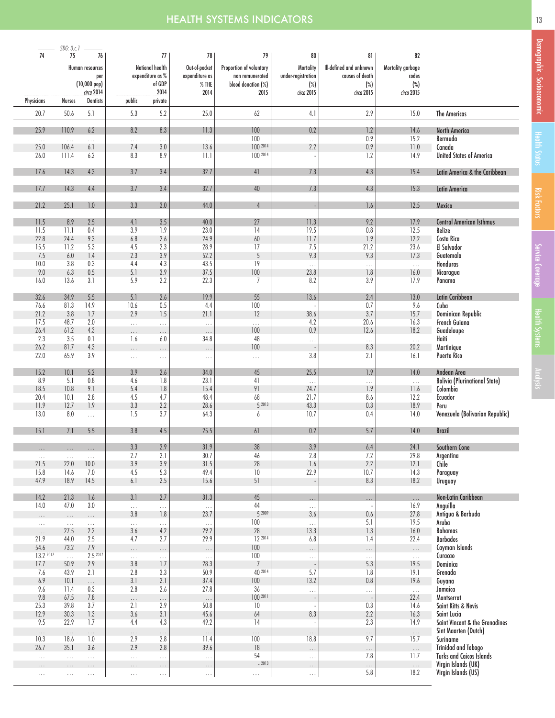# **HEALTH SYSTEMS INDICATORS** 13 NOTE 2014 13 NOTE 2014 13

|                   | $SDG: 3.c. 1$ $\longrightarrow$ |                      |                    |                                     |                                 |                                            |                                        |                                            |                                       |                                            |
|-------------------|---------------------------------|----------------------|--------------------|-------------------------------------|---------------------------------|--------------------------------------------|----------------------------------------|--------------------------------------------|---------------------------------------|--------------------------------------------|
| 74                | 75                              | 76                   |                    | 77                                  | 78                              | 79                                         | 80                                     | 81                                         | 82                                    |                                            |
|                   |                                 | Human resources      |                    | National health<br>expenditure as % | Out-of-pocket<br>expenditure as | Proportion of voluntary<br>non remunerated | <b>Mortality</b><br>under-registration | Ill-defined and unknown<br>causes of death | Mortality garbage<br>codes            |                                            |
|                   | per<br>$(10,000~\text{pop})$    |                      |                    | of GDP                              | $%$ THE                         | blood donation (%)                         | $(\%)$                                 | $(\%)$                                     | $(\%)$                                |                                            |
|                   |                                 | circa 2014           |                    | 2014                                | 2014                            | 2015                                       | circa 2015                             | circa 2015                                 | circa 2015                            |                                            |
| Physicians        | <b>Nurses</b>                   | <b>Dentists</b>      | public             | private                             |                                 |                                            |                                        |                                            |                                       |                                            |
| 20.7              | 50.6                            | 5.1                  | 5.3                | 5.2                                 | 25.0                            | 62                                         | 4.1                                    | 2.9                                        | 15.0                                  | <b>The Americas</b>                        |
| 25.9              | 110.9                           | 6.2                  | 8.2                | 8.3                                 | 11.3                            | 100                                        | 0.2                                    | 1.2                                        | 14.6                                  | <b>North America</b>                       |
| $\ldots$          | $\ldots$                        | $\cdots$             | $\ldots$           | $\ldots$                            | $\ldots$                        | 100                                        | $\ldots$                               | 0.9                                        | 15.2                                  | Bermuda                                    |
| 25.0<br>26.0      | 106.4<br>111.4                  | 6.1<br>6.2           | 7.4<br>8.3         | 3.0<br>8.9                          | 13.6<br>11.1                    | 100 2014<br>100 2014                       | 2.2                                    | 0.9<br>1.2                                 | 11.0<br>14.9                          | Canada<br><b>United States of America</b>  |
|                   |                                 |                      |                    |                                     |                                 |                                            |                                        |                                            |                                       |                                            |
| 17.6              | 14.3                            | 4.3                  | 3.7                | 3.4                                 | 32.7                            | 41                                         | 7.3                                    | 4.3                                        | 15.4<br>Latin America & the Caribbean |                                            |
| 17.7              | 14.3                            | 4.4                  | 3.7                | $3.4\,$                             | 32.7                            | $40\,$                                     | 7.3                                    | 4.3                                        | 15.3                                  | <b>Latin America</b>                       |
|                   |                                 |                      |                    |                                     |                                 |                                            |                                        |                                            |                                       |                                            |
| 21.2              | 25.1                            | 1.0                  | 3.3                | $3.0\,$                             | 44.0                            | $\overline{4}$                             |                                        | 1.6                                        | 12.5                                  | Mexico                                     |
| 11.5              | 8.9                             | $2.5\,$              | 4.1                | 3.5                                 | 40.0                            | 27                                         | 11.3                                   | 9.2                                        | 17.9                                  | <b>Central American Isthmus</b>            |
| 11.5              | 11.1                            | 0.4                  | 3.9                | 1.9                                 | 23.0                            | 14                                         | 19.5                                   | 0.8                                        | 12.5                                  | <b>Belize</b>                              |
| 22.8              | 24.4                            | 9.3                  | 6.8                | 2.6                                 | 24.9                            | 60                                         | 11.7                                   | 1.9                                        | 12.2                                  | Costa Rica                                 |
| 15.5              | 11.2                            | 5.3                  | 4.5                | 2.3                                 | 28.9                            | 17                                         | 7.5                                    | 21.2                                       | 23.6                                  | El Salvador                                |
| 7.5               | $6.0\,$                         | $1.4\,$              | 2.3                | 3.9                                 | 52.2                            | $5\,$                                      | 9.3                                    | 9.3                                        | 17.3                                  | Guatemala                                  |
| 10.0              | $3.8\,$                         | $0.3\,$              | $4.4\,$            | 4.3                                 | 43.5                            | 19                                         |                                        | $\ldots$                                   | $\bar{1}$ , $\bar{1}$                 | Honduras                                   |
| 9.0               | 6.3                             | $0.5\,$              | 5.1                | 3.9                                 | 37.5                            | 100                                        | 23.8                                   | 1.8                                        | 16.0                                  | Nicaragua                                  |
| 16.0              | 13.6                            | 3.1                  | 5.9                | 2.2                                 | 22.3                            | $\overline{7}$                             | 8.2                                    | 3.9                                        | 17.9                                  | Panama                                     |
| 32.6              | 34.9                            | $5.5\,$              | 5.1                | $2.6\,$                             | 19.9                            | 55                                         | 13.6                                   | 2.4                                        | 13.0                                  | Latin Caribbean                            |
| 76.6              | 81.3                            | 14.9                 | 10.6               | 0.5                                 | 4.4                             | 100                                        |                                        | 0.7                                        | 9.6                                   | Cuba                                       |
| 21.2              | 3.8                             | 1.7                  | 2.9                | 1.5                                 | 21.1                            | 12                                         | 38.6                                   | 3.7                                        | 15.7                                  | Dominican Republic                         |
| 17.5              | 48.7                            | 2.0                  | $\ldots$           | $\ldots$                            | $\ldots$                        | $\ldots$                                   | 4.2                                    | 20.6                                       | 16.3                                  | <b>French Guiana</b>                       |
| 26.4              | 61.2                            | $4.3\,$              | $\dots$            | $\ldots$                            | $\sim$ .                        | $100$                                      | 0.9                                    | 12.6                                       | 18.2                                  | Guadeloupe                                 |
| 2.3               | 3.5                             | 0.1                  | 1.6                | 6.0                                 | 34.8                            | 48                                         | $\ldots$                               | $\ldots$                                   | $\bar{1}$ , $\bar{1}$                 | Haiti                                      |
| 26.2              | 81.7                            | $4.3\,$              | $\cdots$           | $\cdots$                            |                                 | $100$                                      |                                        | 8.3                                        | 20.2                                  | Martinique                                 |
| 22.0              | 65.9                            | 3.9                  | $\ldots$           | $\ldots$                            | $\ldots$                        | $\ldots$                                   | 3.8                                    | 2.1                                        | 16.1                                  | <b>Puerto Rico</b>                         |
| 15.2              | 10.1                            | $5.2\,$              | 3.9                | 2.6                                 | 34.0                            | 45                                         | 25.5                                   | 1.9                                        | 14.0                                  | Andean Area                                |
| 8.9               | 5.1                             | 0.8                  | 4.6                | 1.8                                 | 23.1                            | 41                                         | $\cdots$                               | $\ldots$                                   | $\ldots$                              | <b>Bolivia (Plurinational State)</b>       |
| 18.5              | 10.8                            | 9.1                  | 5.4                | $1.8\,$                             | 15.4                            | 91                                         | 24.7                                   | 1.9                                        | 11.6                                  | Colombia                                   |
| 20.4              | 10.1                            | 2.8                  | 4.5                | 4.7                                 | 48.4                            | 68                                         | 21.7                                   | 8.6                                        | 12.2                                  | Ecuador                                    |
| 11.9              | 12.7                            | 1.9                  | 3.3                | 2.2                                 | 28.6                            | 5 2013                                     | 43.3                                   | 0.3                                        | 18.9                                  | Peru                                       |
| 13.0              | $8.0\,$                         | $\bar{\mathbb{Z}}$ . | 1.5                | 3.7                                 | 64.3                            | 6                                          | 10.7                                   | 0.4                                        | 14.0                                  | Venezuela (Bolivarian Republic)            |
|                   |                                 |                      |                    |                                     |                                 |                                            |                                        |                                            |                                       |                                            |
| 15.1              | 7.1                             | $5.5\,$              | 3.8                | 4.5                                 | 25.5                            | 61                                         | 0.2                                    | 5.7                                        | 14.0                                  | <b>Brazil</b>                              |
|                   |                                 |                      | 3.3                | $2.9$                               | 31.9                            | 38                                         | $3.9\,$                                | $6.4\,$                                    | 24.1                                  | Southern Cone                              |
| $\ldots$          | $\ldots$                        | $\sim 10$            | 2.7                | 2.1                                 | 30.7                            | 46                                         | 2.8                                    | 7.2                                        | 29.8                                  | Argentina                                  |
| 21.5              | 22.0                            | 10.0                 | 3.9                | 3.9                                 | 31.5                            | 28                                         | 1.6                                    | 2.2                                        | 12.1                                  | Chile                                      |
| 15.8              | 14.6                            | 7.0                  | 4.5                | 5.3                                 | 49.4                            | $10\,$                                     | 22.9                                   | 10.7                                       | 14.3                                  | Paraguay                                   |
| 47.9              | 18.9                            | 14.5                 | 6.1                | 2.5                                 | 15.6                            | 51                                         |                                        | 8.3                                        | 18.2                                  | Uruguay                                    |
| 14.2              | 21.3                            | $1.6\,$              | 3.1                | 2.7                                 | 31.3                            | 45                                         | $\ldots$                               | $\ldots$                                   | $\ldots$                              | Non-Latin Caribbean                        |
| 14.0              | 47.0                            | 3.0                  | $\ldots$           | $\bar{\mathcal{L}}$ .               |                                 | 44                                         | $\ldots$                               |                                            | 16.9                                  | Anguilla                                   |
| $\cdots$          | $\ldots$                        | $\ldots$             | $3.8\,$            | 1.8                                 | 23.7                            | 5 2009                                     | 3.6                                    | 0.6                                        | 27.8                                  | Antigua & Barbuda                          |
| $\ldots$          | $\ldots$                        | $\ldots$             | $\ldots$           | $\ldots$                            |                                 | 100                                        | $\ldots$                               | 5.1                                        | 19.5                                  | Aruba                                      |
| $\cdots$          | 27.5                            | 2.2                  | 3.6                | 4.2                                 | 29.2                            | 28                                         | 13.3                                   | 1.3                                        | 16.0                                  | <b>Bahamas</b>                             |
| 21.9              | 44.0                            | 2.5                  | 4.7                | 2.7                                 | 29.9                            | 12 2014                                    | 6.8                                    | 1.4                                        | 22.4                                  | <b>Barbados</b>                            |
| 54.6              | 73.2                            | 7.9                  | $\ldots$           | $\ldots$                            | $\ldots$                        | $100\,$                                    | $\ldots$                               | $\ldots$                                   | $\cdots$                              | Cayman Islands                             |
| 13.2 2017<br>17.7 | $\ldots$<br>50.9                | 2.5 2017<br>2.9      | $\dots$<br>$3.8\,$ | $\ldots$<br>1.7                     | $\sim$ $\sim$<br>28.3           | 100                                        | $\ldots$                               | $\ldots$<br>5.3                            | $\ldots$                              | Curacao                                    |
| 7.6               | 43.9                            | 2.1                  | 2.8                | 3.3                                 | 50.9                            | $\overline{7}$<br>40 2014                  | 5.7                                    | 1.8                                        | 19.5<br>19.1                          | Dominica<br>Grenada                        |
| 6.9               | 10.1                            |                      | 3.1                | 2.1                                 | 37.4                            | $100$                                      | 13.2                                   | 0.8                                        | 19.6                                  | Guyana                                     |
| 9.6               | 11.4                            | $\ldots$<br>0.3      | 2.8                | 2.6                                 | 27.8                            | 36                                         | $\ldots$                               | $\ldots$                                   | $\ldots$                              | Jamaica                                    |
| 9.8               | 67.5                            | $7.8$                | $\ldots$           | $\ldots$                            | $\ldots$                        | 100 2011                                   |                                        |                                            | 22.4                                  | Montserrat                                 |
| 25.3              | 39.8                            | 3.7                  | 2.1                | 2.9                                 | 50.8                            | 10                                         |                                        | 0.3                                        | 14.6                                  | Saint Kitts & Nevis                        |
| 12.9              | 30.3                            | 1.3                  | 3.6                | 3.1                                 | 45.6                            | 64                                         | 8.3                                    | 2.2                                        | 16.3                                  | Saint Lucia                                |
| 9.5               | 22.9                            | 1.7                  | 4.4                | 4.3                                 | 49.2                            | 14                                         | $\overline{\phantom{a}}$               | 2.3                                        | 14.9                                  | Saint Vincent & the Grenadines             |
| $\ldots$          | $\ldots$                        | $\ldots$             | $\ldots$           | $\cdots$                            | $\ldots$                        | $\ldots$                                   | $\ldots$                               | $\cdots$                                   | $\ldots$                              | Sint Maarten (Dutch)                       |
| 10.3              | 18.6                            | 1.0                  | 2.9                | 2.8                                 | 11.4                            | 100                                        | 18.8                                   | 9.7                                        | 15.7                                  | Suriname                                   |
| 26.7              | 35.1                            | 3.6                  | 2.9                | 2.8                                 | 39.6                            | $18\,$                                     | $\ldots$                               | $\ldots$                                   | $\ldots$                              | <b>Trinidad and Tobago</b>                 |
| $\cdots$          | $\ldots$                        | $\ldots$             | $\ldots$           | $\bar{\mathcal{L}}$ .               | $\ldots$                        | 54<br>$-2013$                              | $\ldots$                               | 7.8                                        | 11.7                                  | <b>Turks and Caicos Islands</b>            |
| $\cdots$          | $\cdots$                        | $\cdots$             | $\cdots$           | $\ldots$                            | $\cdots$                        |                                            | $\ldots$                               | $\cdots$<br>5.8                            | $\ldots$<br>18.2                      | Virgin Islands (UK)<br>Virgin Islands (US) |
| $\ldots$          | $\ldots$                        | $\ldots$             | $\sim$ .           | $\ldots$                            | $\ldots$                        | $\ldots$                                   | $\ldots$                               |                                            |                                       |                                            |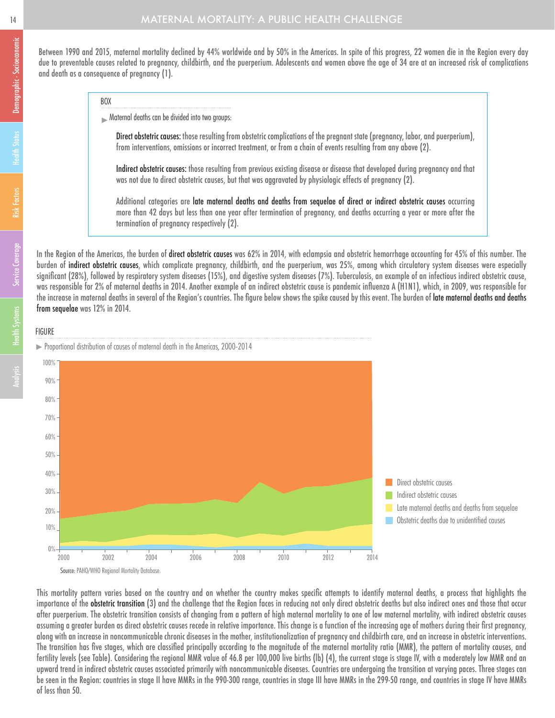Between 1990 and 2015, maternal mortality declined by 44% worldwide and by 50% in the Americas. In spite of this progress, 22 women die in the Region every day due to preventable causes related to pregnancy, childbirth, and the puerperium. Adolescents and women above the age of 34 are at an increased risk of complications and death as a consequence of pregnancy (1).

BOX

Maternal deaths can be divided into two groups:

Direct obstetric causes: those resulting from obstetric complications of the pregnant state (pregnancy, labor, and puerperium), from interventions, omissions or incorrect treatment, or from a chain of events resulting from any above (2).

Indirect obstetric causes: those resulting from previous existing disease or disease that developed during pregnancy and that was not due to direct obstetric causes, but that was aggravated by physiologic effects of pregnancy (2).

Additional categories are late maternal deaths and deaths from sequelae of direct or indirect obstetric causes occurring more than 42 days but less than one year after termination of pregnancy, and deaths occurring a year or more after the termination of pregnancy respectively (2).

In the Region of the Americas, the burden of direct obstetric causes was 62% in 2014, with eclampsia and obstetric hemorrhage accounting for 45% of this number. The burden of indirect obstetric causes, which complicate pregnancy, childbirth, and the puerperium, was 25%, among which circulatory system diseases were especially significant (28%), followed by respiratory system diseases (15%), and digestive system diseases (7%). Tuberculosis, an example of an infectious indirect obstetric cause, was responsible for 2% of maternal deaths in 2014. Another example of an indirect obstetric cause is pandemic influenza A (H1N1), which, in 2009, was responsible for the increase in maternal deaths in several of the Region's countries. The figure below shows the spike caused by this event. The burden of late maternal deaths and deaths from sequelae was 12% in 2014.

### **FIGURE**





This mortality pattern varies based on the country and on whether the country makes specific attempts to identify maternal deaths, a process that highlights the importance of the obstetric transition (3) and the challenge that the Region faces in reducing not only direct obstetric deaths but also indirect ones and those that occur after puerperium. The obstetric transition consists of changing from a pattern of high maternal mortality to one of low maternal mortality, with indirect obstetric causes assuming a greater burden as direct obstetric causes recede in relative importance. This change is a function of the increasing age of mothers during their first pregnancy, along with an increase in noncommunicable chronic diseases in the mother, institutionalization of pregnancy and childbirth care, and an increase in obstetric interventions. The transition has five stages, which are classified principally according to the magnitude of the maternal mortality ratio (MMR), the pattern of mortality causes, and fertility levels (see Table). Considering the regional MMR value of 46.8 per 100,000 live births (lb) (4), the current stage is stage IV, with a moderately low MMR and an upward trend in indirect obstetric causes associated primarily with noncommunicable diseases. Countries are undergoing the transition at varying paces. Three stages can be seen in the Region: countries in stage II have MMRs in the 990-300 range, countries in stage III have MMRs in the 299-50 range, and countries in stage IV have MMRs of less than 50.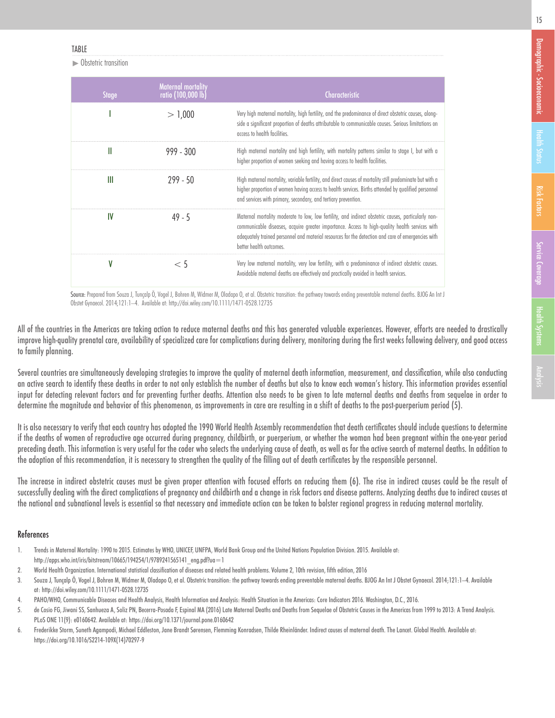**Industry** Obstetric transition

| <b>Stage</b> | <b>Maternal</b> mortality<br>ratio (100,000 lb) | <b>Characteristic</b>                                                                                                                                                                                                                                                                                                                  |
|--------------|-------------------------------------------------|----------------------------------------------------------------------------------------------------------------------------------------------------------------------------------------------------------------------------------------------------------------------------------------------------------------------------------------|
|              | > 1,000                                         | Very high maternal mortality, high fertility, and the predominance of direct obstetric causes, along-<br>side a significant proportion of deaths attributable to communicable causes. Serious limitations on<br>access to health facilities.                                                                                           |
| Ш            | $999 - 300$                                     | High maternal mortality and high fertility, with mortality patterns similar to stage I, but with a<br>higher proportion of women seeking and having access to health facilities.                                                                                                                                                       |
| Ш            | $799 - 50$                                      | High maternal mortality, variable fertility, and direct causes of mortality still predominate but with a<br>higher proportion of women having access to health services. Births attended by qualified personnel<br>and services with primary, secondary, and tertiary prevention.                                                      |
| IV           | $49 - 5$                                        | Maternal mortality moderate to low, low fertility, and indirect obstetric causes, particularly non-<br>communicable diseases, acquire greater importance. Access to high-quality health services with<br>adequately trained personnel and material resources for the detection and care of emergencies with<br>better health outcomes. |
|              | < 5                                             | Very low maternal mortality, very low fertility, with a predominance of indirect obstetric causes.<br>Avoidable maternal deaths are effectively and practically avoided in health services.                                                                                                                                            |

Source: Prepared from Souza J, Tunçalp Ö, Vogel J, Bohren M, Widmer M, Oladapo O, et al. Obstetric transition: the pathway towards ending preventable maternal deaths. BJOG An Int J Obstet Gynaecol. 2014;121:1–4. Available at: http://doi.wiley.com/10.1111/1471-0528.12735

All of the countries in the Americas are taking action to reduce maternal deaths and this has generated valuable experiences. However, efforts are needed to drastically improve high-quality prenatal care, availability of specialized care for complications during delivery, monitoring during the first weeks following delivery, and good access to family planning.

Several countries are simultaneously developing strategies to improve the quality of maternal death information, measurement, and classification, while also conducting an active search to identify these deaths in order to not only establish the number of deaths but also to know each woman's history. This information provides essential input for detecting relevant factors and for preventing further deaths. Attention also needs to be given to late maternal deaths and deaths from sequelae in order to determine the magnitude and behavior of this phenomenon, as improvements in care are resulting in a shift of deaths to the post-puerperium period (5).

It is also necessary to verify that each country has adopted the 1990 World Health Assembly recommendation that death certificates should include questions to determine if the deaths of women of reproductive age occurred during pregnancy, childbirth, or puerperium, or whether the woman had been pregnant within the one-year period preceding death. This information is very useful for the coder who selects the underlying cause of death, as well as for the active search of maternal deaths. In addition to the adoption of this recommendation, it is necessary to strengthen the quality of the filling out of death certificates by the responsible personnel.

The increase in indirect obstetric causes must be given proper attention with focused efforts on reducing them (6). The rise in indirect causes could be the result of successfully dealing with the direct complications of pregnancy and childbirth and a change in risk factors and disease patterns. Analyzing deaths due to indirect causes at the national and subnational levels is essential so that necessary and immediate action can be taken to bolster regional progress in reducing maternal mortality.

### **References**

- 1. Trends in Maternal Mortality: 1990 to 2015. Estimates by WHO, UNICEF, UNFPA, World Bank Group and the United Nations Population Division. 2015. Available at: http://apps.who.int/iris/bitstream/10665/194254/1/9789241565141\_eng.pdf?ua=1
- 2. World Health Organization. International statistical classification of diseases and related health problems. Volume 2, 10th revision, fifth edition, 2016
- 3. Souza J, Tunçalp Ö, Vogel J, Bohren M, Widmer M, Oladapo O, et al. Obstetric transition: the pathway towards ending preventable maternal deaths. BJOG An Int J Obstet Gynaecol. 2014;121:1–4. Available at:http://doi.wiley.com/10.1111/1471-0528.12735
- 4. PAHO/WHO, Communicable Diseases and Health Analysis, Health Information and Analysis: Health Situation in the Americas: Core Indicators 2016. Washington, D.C., 2016.
- 5. de Cosio FG, Jiwani SS, Sanhueza A, Soliz PN, Becerra-Posada F, Espinal MA (2016) Late Maternal Deaths and Deaths from Sequelae of Obstetric Causes in the Americas from 1999 to 2013: A Trend Analysis. PLoS ONE 11(9): e0160642. Available at: https://doi.org/10.1371/journal.pone.0160642
- 6. Frederikke Storm, Suneth Agampodi, Michael Eddleston, Jane Brandt Sørensen, Flemming Konradsen, Thilde Rheinländer. Indirect causes of maternal death. The Lancet. Global Health. Available at: https://doi.org/10.1016/S2214-109X(14)70297-9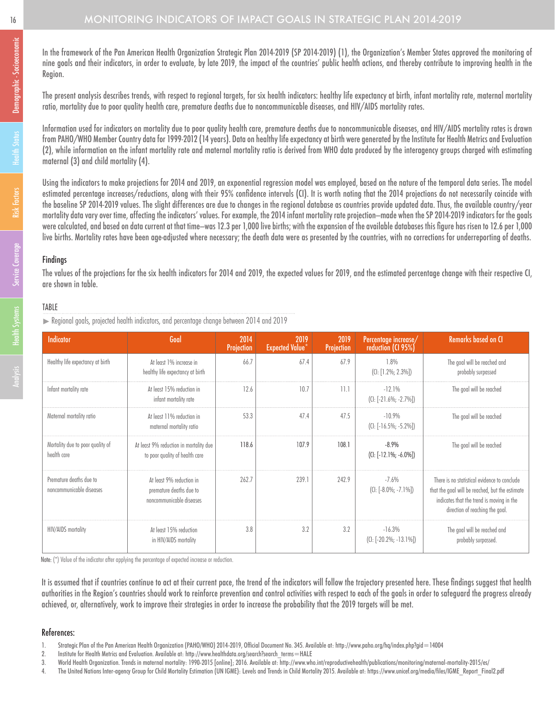### 16 MONITORING INDICATORS OF IMPACT GOALS IN STRATEGIC PLAN 2014-2019

In the framework of the Pan American Health Organization Strategic Plan 2014-2019 (SP 2014-2019) (1), the Organization's Member States approved the monitoring of nine goals and their indicators, in order to evaluate, by late 2019, the impact of the countries' public health actions, and thereby contribute to improving health in the Region.

The present analysis describes trends, with respect to regional targets, for six health indicators: healthy life expectancy at birth, infant mortality rate, maternal mortality ratio, mortality due to poor quality health care, premature deaths due to noncommunicable diseases, and HIV/AIDS mortality rates.

Information used for indicators on mortality due to poor quality health care, premature deaths due to noncommunicable diseases, and HIV/AIDS mortality rates is drawn from PAHO/WHO Member Country data for 1999-2012 (14 years). Data on healthy life expectancy at birth were generated by the Institute for Health Metrics and Evaluation (2), while information on the infant mortality rate and maternal mortality ratio is derived from WHO data produced by the interagency groups charged with estimating maternal (3) and child mortality (4).

Using the indicators to make projections for 2014 and 2019, an exponential regression model was employed, based on the nature of the temporal data series. The model estimated percentage increases/reductions, along with their 95% confidence intervals (CI). It is worth noting that the 2014 projections do not necessarily coincide with the baseline SP 2014-2019 values. The slight differences are due to changes in the regional database as countries provide updated data. Thus, the available country/year mortality data vary over time, affecting the indicators' values. For example, the 2014 infant mortality rate projection—made when the SP 2014-2019 indicators for the goals were calculated, and based on data current at that time—was 12.3 per 1,000 live births; with the expansion of the available databases this figure has risen to 12.6 per 1,000 live births. Mortality rates have been age-adjusted where necessary; the death data were as presented by the countries, with no corrections for underreporting of deaths.

### Findings

The values of the projections for the six health indicators for 2014 and 2019, the expected values for 2019, and the estimated percentage change with their respective CI, are shown in table.

### **TABLE**

Regional goals, projected health indicators, and percentage change between 2014 and 2019

| Indicator                                           | Goal                                                                            | 2014<br>Projection | 2019<br><b>Expected Value</b> * | 2019<br>Projection | Percentage increase/<br>reduction (CI 95%) | <b>Remarks based on CI</b>                                                                                                                                                      |
|-----------------------------------------------------|---------------------------------------------------------------------------------|--------------------|---------------------------------|--------------------|--------------------------------------------|---------------------------------------------------------------------------------------------------------------------------------------------------------------------------------|
| Healthy life expectancy at birth                    | At least 1% increase in<br>healthy life expectancy at birth                     | 66.7               | 67.4                            | 67.9               | 1.8%<br>$(CI: [1.2\%; 2.3\%])$             | The goal will be reached and<br>probably surpassed                                                                                                                              |
| Infant mortality rate                               | At least 15% reduction in<br>infant mortality rate                              | 12.6               | 10.7                            | 11.1               | $-12.1%$<br>$(C1: [-21.6\%; -2.7\%])$      | The goal will be reached                                                                                                                                                        |
| Maternal mortality ratio                            | At least 11% reduction in<br>maternal mortality ratio                           | 53.3               | 47.4                            | 47.5               | $-10.9%$<br>$(C1: [-16.5\%; -5.2\%])$      | The goal will be reached                                                                                                                                                        |
| Mortality due to poor quality of<br>health care     | At least 9% reduction in mortality due<br>to poor quality of health care        | 118.6              | 107.9                           | 108.1              | $-8.9%$<br>$(CI: [-12.1\%; -6.0\%])$       | The goal will be reached                                                                                                                                                        |
| Premature deaths due to<br>noncommunicable diseases | At least 9% reduction in<br>premature deaths due to<br>noncommunicable diseases | 262.7              | 239.1                           | 242.9              | $-7.6%$<br>$(C_1: [-8.0\%; -7.1\%])$       | There is no statistical evidence to conclude<br>that the goal will be reached, but the estimate<br>indicates that the trend is moving in the<br>direction of reaching the goal. |
| <b>HIV/AIDS</b> mortality                           | At least 15% reduction<br>in HIV/AIDS mortality                                 | 3.8                | 3.2                             | 3.2                | $-16.3%$<br>$(C_1: [-20.2\%; -13.1\%])$    | The goal will be reached and<br>probably surpassed.                                                                                                                             |

Note: (\*) Value of the indicator after applying the percentage of expected increase or reduction.

It is assumed that if countries continue to act at their current pace, the trend of the indicators will follow the trajectory presented here. These findings suggest that health authorities in the Region's countries should work to reinforce prevention and control activities with respect to each of the goals in order to safeguard the progress already achieved, or, alternatively, work to improve their strategies in order to increase the probability that the 2019 targets will be met.

### References:

- 2. Institute for Health Metrics and Evaluation. Available at: http://www.healthdata.org/search?search\_terms=HALE
- 3. World Health Organization. Trends in maternal mortality: 1990-2015 [online]; 2016. Available at: http://www.who.int/reproductivehealth/publications/monitoring/maternal-mortality-2015/es/
- 4. The United Nations Inter-agency Group for Child Mortality Estimation (UN IGME): Levels and Trends in Child Mortality 2015. Available at: https://www.unicef.org/media/files/IGME\_Report\_Final2.pdf

<sup>1.</sup> Strategic Plan of the Pan American Health Organization (PAHO/WHO) 2014-2019, Official Document No. 345. Available at: http://www.paho.org/hq/index.php?gid=14004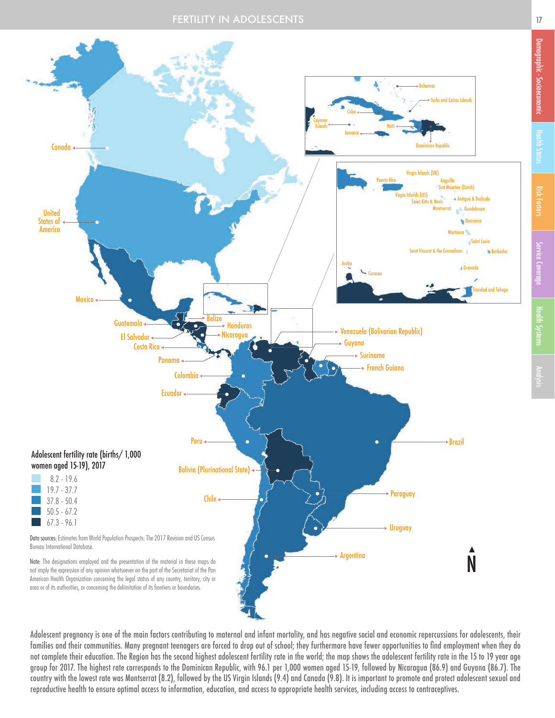

Adolescent pregnancy is one of the main factors contributing to maternal and infant mortality, and has negative social and economic repercussions for adolescents, their families and their communities. Many pregnant teenagers are forced to drop out of school; they furthermore have fewer opportunities to find employment when they do not complete their education. The Region has the second highest adolescent fertility rate in the world; the map shows the adolescent fertility rate in the 15 to 19 year age group for 2017. The highest rate corresponds to the Dominican Republic, with 96.1 per 1,000 women aged 15-19, followed by Nicaragua (86.9) and Guyana (86.7). The country with the lowest rate was Montserrat (8.2), followed by the US Virgin Islands (9.4) and Canada (9.8). It is important to promote and protect adolescent sexual and reproductive health to ensure optimal access to information, education, and access to appropriate health services, including access to contraceptives.

Demographic - Socioeconomic

Demographic - Socioeconomic

Risk Factors Service Coverage Health Status

**Health Status** 

Health Systems

Service Coverage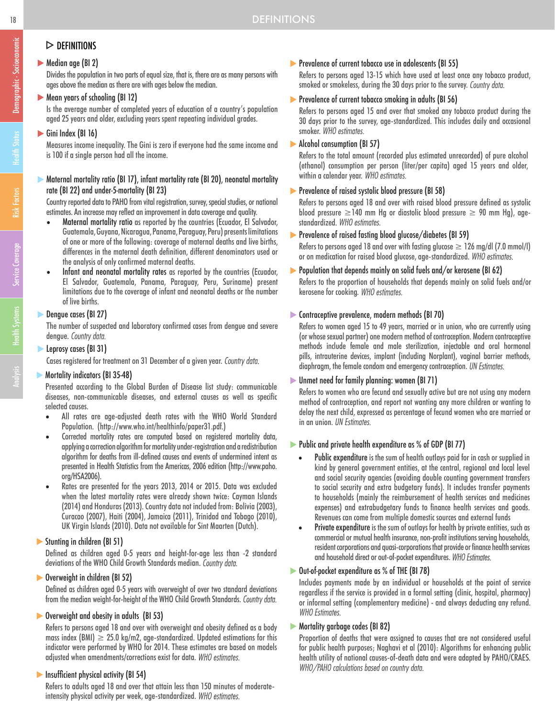### $\triangleright$  DEFINITIONS

### Median age (BI 2)

Divides the population in two parts of equal size, that is, there are as many persons with ages above the median as there are with ages below the median.

### Mean years of schooling (BI 12)

Is the average number of completed years of education of a country's population aged 25 years and older, excluding years spent repeating individual grades.

### Gini Index (BI 16)

Measures income inequality. The Gini is zero if everyone had the same income and is 100 if a single person had all the income.

### Maternal mortality ratio (BI 17), infant mortality rate (BI 20), neonatal mortality rate (BI 22) and under-5-mortality (BI 23)

Country reported data to PAHO from vital registration, survey, special studies, or national estimates. An increase may reflect an improvement in data coverage and quality.

- Maternal mortality ratio as reported by the countries (Ecuador, El Salvador, Guatemala, Guyana, Nicaragua, Panama, Paraguay, Peru) presents limitations of one or more of the following: coverage of maternal deaths and live births, differences in the maternal death definition, different denominators used or the analysis of only confirmed maternal deaths.
- Infant and neonatal mortality rates as reported by the countries (Ecuador, El Salvador, Guatemala, Panama, Paraguay, Peru, Suriname) present limitations due to the coverage of infant and neonatal deaths or the number of live births.

### Dengue cases (BI 27)

The number of suspected and laboratory confirmed cases from dengue and severe dengue. Country data.

### **Leprosy cases (BI 31)**

Cases registered for treatment on 31 December of a given year. Country data.

### **Mortality indicators (BI 35-48)**

Presented according to the Global Burden of Disease list study: communicable diseases, non-communicable diseases, and external causes as well as specific selected causes.

- All rates are age-adjusted death rates with the WHO World Standard Population. (http://www.who.int/healthinfo/paper31.pdf.)
- Corrected mortality rates are computed based on registered mortality data, applying a correction algorithm for mortality under-registration and a redistribution algorithm for deaths from ill-defined causes and events of undermined intent as presented in Health Statistics from the Americas, 2006 edition (http://www.paho. org/HSA2006).
- Rates are presented for the years 2013, 2014 or 2015. Data was excluded when the latest mortality rates were already shown twice: Cayman Islands (2014) and Honduras (2013). Country data not included from: Bolivia (2003), Curacao (2007), Haiti (2004), Jamaica (2011), Trinidad and Tobago (2010), UK Virgin Islands (2010). Data not available for Sint Maarten (Dutch).

### Stunting in children (BI 51)

Defined as children aged 0-5 years and height-for-age less than -2 standard deviations of the WHO Child Growth Standards median. Country data.

### Overweight in children (BI 52)

Defined as children aged 0-5 years with overweight of over two standard deviations from the median weight-for-height of the WHO Child Growth Standards. Country data.

### Overweight and obesity in adults (BI 53)

Refers to persons aged 18 and over with overweight and obesity defined as a body mass index (BMI)  $\geq$  25.0 kg/m2, age-standardized. Updated estimations for this indicator were performed by WHO for 2014. These estimates are based on models adjusted when amendments/corrections exist for data. WHO estimates.

### Insufficient physical activity (BI 54)

Refers to adults aged 18 and over that attain less than 150 minutes of moderateintensity physical activity per week, age-standardized. WHO estimates.

### Prevalence of current tobacco use in adolescents (BI 55)

Refers to persons aged 13-15 which have used at least once any tobacco product, smoked or smokeless, during the 30 days prior to the survey. Country data.

### Prevalence of current tobacco smoking in adults (BI 56)

Refers to persons aged 15 and over that smoked any tobacco product during the 30 days prior to the survey, age-standardized. This includes daily and occasional smoker. WHO estimates.

### Alcohol consumption (BI 57)

Refers to the total amount (recorded plus estimated unrecorded) of pure alcohol (ethanol) consumption per person (liter/per capita) aged 15 years and older, within a calendar year. WHO estimates.

### **Prevalence of raised systolic blood pressure (BI 58)**

Refers to persons aged 18 and over with raised blood pressure defined as systolic blood pressure  $\geq$ 140 mm Hg or diastolic blood pressure  $\geq$  90 mm Hg), agestandardized. WHO estimates.

### Prevalence of raised fasting blood glucose/diabetes (BI 59)

Refers to persons aged 18 and over with fasting glucose  $\geq$  126 mg/dl (7.0 mmol/l) or on medication for raised blood glucose, age-standardized. WHO estimates.

### Population that depends mainly on solid fuels and/or kerosene (BI 62)

Refers to the proportion of households that depends mainly on solid fuels and/or kerosene for cooking. WHO estimates.

### Contraceptive prevalence, modern methods (BI 70)

Refers to women aged 15 to 49 years, married or in union, who are currently using (or whose sexual partner) one modern method of contraception. Modern contraceptive methods include female and male sterilization, injectable and oral hormonal pills, intrauterine devices, implant (including Norplant), vaginal barrier methods, diaphraam, the female condom and emergency contraception. UN Estimates.

### Unmet need for family planning: women (BI 71)

Refers to women who are fecund and sexually active but are not using any modern method of contraception, and report not wanting any more children or wanting to delay the next child, expressed as percentage of fecund women who are married or in an union. UN Estimates.

### ▶ Public and private health expenditure as % of GDP (BI 77)

- Public expenditure is the sum of health outlays paid for in cash or supplied in kind by general government entities, at the central, regional and local level and social security agencies (avoiding double counting government transfers to social security and extra budgetary funds). It includes transfer payments to households (mainly the reimbursement of health services and medicines expenses) and extrabudgetary funds to finance health services and goods. Revenues can come from multiple domestic sources and external funds
- Private expenditure is the sum of outlays for health by private entities, such as commercial or mutual health insurance, non-profit institutions serving households, resident corporations and quasi-corporations that provide or finance health services and household direct or out-of-pocket expenditures. WHO Estimates.

### Out-of-pocket expenditure as % of THE (BI 78)

Includes payments made by an individual or households at the point of service regardless if the service is provided in a formal setting (clinic, hospital, pharmacy) or informal setting (complementary medicine) - and always deducting any refund. **WHO** Estimates.

### **Mortality garbage codes (BI 82)**

Proportion of deaths that were assigned to causes that are not considered useful for public health purposes; Naghavi et al (2010): Algorithms for enhancing public health utility of national causes-of-death data and were adapted by PAHO/CRAES. WHO/PAHO calculations based on country data.

Demographic - Socioeconomic

Demographic - Socioeconomic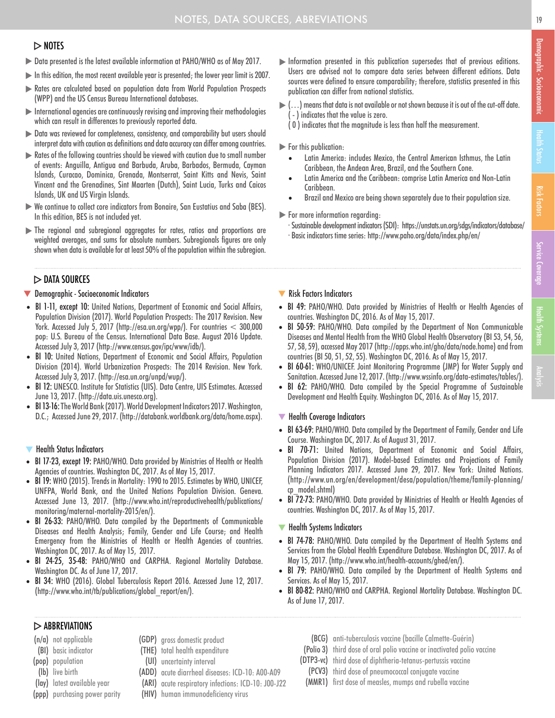### $>$  NOTES

- Data presented is the latest available information at PAHO/WHO as of May 2017.
- In this edition, the most recent available year is presented; the lower year limit is 2007.
- Rates are calculated based on population data from World Population Prospects (WPP) and the US Census Bureau International databases.
- $\blacktriangleright$  International agencies are continuously revising and improving their methodologies which can result in differences to previously reported data.
- Data was reviewed for completeness, consistency, and comparability but users should interpret data with caution as definitions and data accuracy can differ among countries.
- Rates of the following countries should be viewed with caution due to small number of events: Anguilla, Antigua and Barbuda, Aruba, Barbados, Bermuda, Cayman Islands, Curacao, Dominica, Grenada, Montserrat, Saint Kitts and Nevis, Saint Vincent and the Grenadines, Sint Maarten (Dutch), Saint Lucia, Turks and Caicos Islands, UK and US Virgin Islands.
- We continue to collect core indicators from Bonaire, San Eustatius and Saba (BES). In this edition, BES is not included yet.
- The regional and subregional aggregates for rates, ratios and proportions are weighted averages, and sums for absolute numbers. Subregionals figures are only shown when data is available for at least 50% of the population within the subregion.

### $\triangleright$  DATA SOURCES

### **V** Demographic - Socioeconomic Indicators

- BI 1-11, except 10: United Nations, Department of Economic and Social Affairs, Population Division (2017). World Population Prospects: The 2017 Revision. New York. Accessed July 5, 2017 (http://esa.un.org/wpp/). For countries < 300,000 pop: U.S. Bureau of the Census. International Data Base. August 2016 Update. Accessed July 3, 2017 (http://www.census.gov/ipc/www/idb/).
- BI 10: United Nations, Department of Economic and Social Affairs, Population Division (2014). World Urbanization Prospects: The 2014 Revision. New York. Accessed July 3, 2017. (http://esa.un.org/unpd/wup/).
- BI 12: UNESCO. Institute for Statistics (UIS). Data Centre, UIS Estimates. Accessed June 13, 2017. (http://data.uis.unesco.org).
- BI 13-16: The World Bank (2017). World Development Indicators 2017. Washington, D.C.; Accessed June 29, 2017. (http://databank.worldbank.org/data/home.aspx).

### $\blacktriangledown$ Health Status Indicators

- BI 17-23, except 19: PAHO/WHO. Data provided by Ministries of Health or Health Agencies of countries. Washington DC, 2017. As of May 15, 2017.
- BI 19: WHO (2015). Trends in Mortality: 1990 to 2015. Estimates by WHO, UNICEF, UNFPA, World Bank, and the United Nations Population Division. Geneva. Accessed June 13, 2017. (http://www.who.int/reproductivehealth/publications/ monitoring/maternal-mortality-2015/en/).
- BI 26-33: PAHO/WHO. Data compiled by the Departments of Communicable Diseases and Health Analysis; Family, Gender and Life Course; and Health Emergency from the Ministries of Health or Health Agencies of countries. Washington DC, 2017. As of May 15, 2017.
- BI 24-25, 35-48: PAHO/WHO and CARPHA. Regional Mortality Database. Washington DC. As of June 17, 2017.
- BI 34: WHO (2016). Global Tuberculosis Report 2016. Accessed June 12, 2017. (http://www.who.int/tb/publications/global\_report/en/).
- Information presented in this publication supersedes that of previous editions. Users are advised not to compare data series between different editions. Data sources were defined to ensure comparability; therefore, statistics presented in this publication can differ from national statistics.
- $\blacktriangleright$  (...) means that data is not available or not shown because it is out of the cut-off date. - ) indicates that the value is zero.
	- ( 0 ) indicates that the magnitude is less than half the measurement.

### For this publication:

- Latin America: includes Mexico, the Central American Isthmus, the Latin Caribbean, the Andean Area, Brazil, and the Southern Cone.
- Latin America and the Caribbean: comprise Latin America and Non-Latin Caribbean.
- Brazil and Mexico are being shown separately due to their population size.
- For more information regarding:
	- · Sustainable development indicators (SDI): https://unstats.un.org/sdgs/indicators/database/ · Basic indicators time series: http://www.paho.org/data/index.php/en/
- Risk Factors Indicators
- BI 49: PAHO/WHO. Data provided by Ministries of Health or Health Agencies of countries. Washington DC, 2016. As of May 15, 2017.
- BI 50-59: PAHO/WHO. Data compiled by the Department of Non Communicable Diseases and Mental Health from the WHO Global Health Observatory (BI 53, 54, 56, 57, 58, 59), accessed May 2017 (http://apps.who.int/gho/data/node.home) and from countries (BI 50, 51, 52, 55). Washington DC, 2016. As of May 15, 2017.
- BI 60-61: WHO/UNICEF. Joint Monitoring Programme (JMP) for Water Supply and Sanitation. Accessed June 12, 2017. (http://www.wssinfo.org/data-estimates/tables/).
- BI 62: PAHO/WHO. Data compiled by the Special Programme of Sustainable Development and Health Equity. Washington DC, 2016. As of May 15, 2017.

### $\blacktriangledown$  Health Coverage Indicators

- BI 63-69: PAHO/WHO. Data compiled by the Department of Family, Gender and Life Course. Washington DC, 2017. As of August 31, 2017.
- BI 70-71: United Nations, Department of Economic and Social Affairs, Population Division (2017). Model-based Estimates and Projections of Family Planning Indicators 2017. Accessed June 29, 2017. New York: United Nations. (http://www.un.org/en/development/desa/population/theme/family-planning/ cp\_model.shtml)
- BI 72-73: PAHO/WHO. Data provided by Ministries of Health or Health Agencies of countries. Washington DC, 2017. As of May 15, 2017.

### $\blacktriangledown$  Health Systems Indicators

- BI 74-78: PAHO/WHO. Data compiled by the Department of Health Systems and Services from the Global Health Expenditure Database. Washington DC, 2017. As of May 15, 2017. (http://www.who.int/health-accounts/ghed/en/).
- BI 79: PAHO/WHO. Data compiled by the Department of Health Systems and Services. As of May 15, 2017.
- BI 80-82: PAHO/WHO and CARPHA. Regional Mortality Database. Washington DC. As of June 17, 2017.

### $\triangleright$  ABBREVIATIONS

- (n/a) not applicable
- (BI) basic indicator
- (pop) population
- (lb) live birth
- (lay) latest available year
- (ppp) purchasing power parity
- (GDP) gross domestic product (THE) total health expenditure
- (UI) uncertainty interval
- 
- (ADD) acute diarrheal diseases: ICD-10: A00-A09 (ARI) acute respiratory infections: ICD-10: J00-J22
- (HIV) human immunodeficiency virus
- (BCG) anti-tuberculosis vaccine (bacille Calmette-Guérin)
- (Polio 3) third dose of oral polio vaccine or inactivated polio vaccine
- (DTP3-vc) third dose of diphtheria-tetanus-pertussis vaccine
- (PCV3) third dose of pneumococcal conjugate vaccine
- (MMR1) first dose of measles, mumps and rubella vaccine